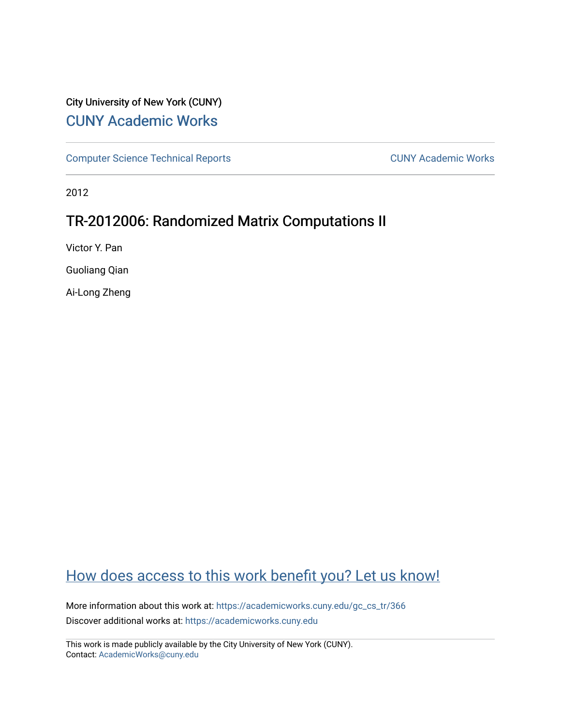# City University of New York (CUNY) [CUNY Academic Works](https://academicworks.cuny.edu/)

[Computer Science Technical Reports](https://academicworks.cuny.edu/gc_cs_tr) **CUNY Academic Works** CUNY Academic Works

2012

# TR-2012006: Randomized Matrix Computations II

Victor Y. Pan

Guoliang Qian

Ai-Long Zheng

# [How does access to this work benefit you? Let us know!](http://ols.cuny.edu/academicworks/?ref=https://academicworks.cuny.edu/gc_cs_tr/366)

More information about this work at: [https://academicworks.cuny.edu/gc\\_cs\\_tr/366](https://academicworks.cuny.edu/gc_cs_tr/366)  Discover additional works at: [https://academicworks.cuny.edu](https://academicworks.cuny.edu/?)

This work is made publicly available by the City University of New York (CUNY). Contact: [AcademicWorks@cuny.edu](mailto:AcademicWorks@cuny.edu)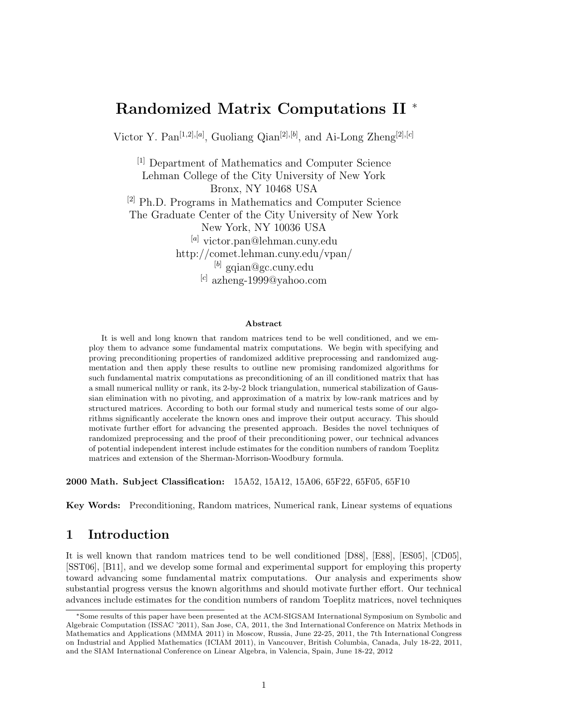# **Randomized Matrix Computations II** <sup>∗</sup>

Victor Y. Pan[1*,*2]*,*[*a*] , Guoliang Qian[2]*,*[*b*] , and Ai-Long Zheng[2]*,*[*c*]

[1] Department of Mathematics and Computer Science Lehman College of the City University of New York Bronx, NY 10468 USA [2] Ph.D. Programs in Mathematics and Computer Science The Graduate Center of the City University of New York New York, NY 10036 USA [*a*] victor.pan@lehman.cuny.edu http://comet.lehman.cuny.edu/vpan/ [*b*] gqian@gc.cuny.edu [*c*] azheng-1999@yahoo.com

#### **Abstract**

It is well and long known that random matrices tend to be well conditioned, and we employ them to advance some fundamental matrix computations. We begin with specifying and proving preconditioning properties of randomized additive preprocessing and randomized augmentation and then apply these results to outline new promising randomized algorithms for such fundamental matrix computations as preconditioning of an ill conditioned matrix that has a small numerical nullity or rank, its 2-by-2 block triangulation, numerical stabilization of Gaussian elimination with no pivoting, and approximation of a matrix by low-rank matrices and by structured matrices. According to both our formal study and numerical tests some of our algorithms significantly accelerate the known ones and improve their output accuracy. This should motivate further effort for advancing the presented approach. Besides the novel techniques of randomized preprocessing and the proof of their preconditioning power, our technical advances of potential independent interest include estimates for the condition numbers of random Toeplitz matrices and extension of the Sherman-Morrison-Woodbury formula.

**2000 Math. Subject Classification:** 15A52, 15A12, 15A06, 65F22, 65F05, 65F10

**Key Words:** Preconditioning, Random matrices, Numerical rank, Linear systems of equations

## **1 Introduction**

It is well known that random matrices tend to be well conditioned [D88], [E88], [ES05], [CD05], [SST06], [B11], and we develop some formal and experimental support for employing this property toward advancing some fundamental matrix computations. Our analysis and experiments show substantial progress versus the known algorithms and should motivate further effort. Our technical advances include estimates for the condition numbers of random Toeplitz matrices, novel techniques

<sup>∗</sup>Some results of this paper have been presented at the ACM-SIGSAM International Symposium on Symbolic and Algebraic Computation (ISSAC '2011), San Jose, CA, 2011, the 3nd International Conference on Matrix Methods in Mathematics and Applications (MMMA 2011) in Moscow, Russia, June 22-25, 2011, the 7th International Congress on Industrial and Applied Mathematics (ICIAM 2011), in Vancouver, British Columbia, Canada, July 18-22, 2011, and the SIAM International Conference on Linear Algebra, in Valencia, Spain, June 18-22, 2012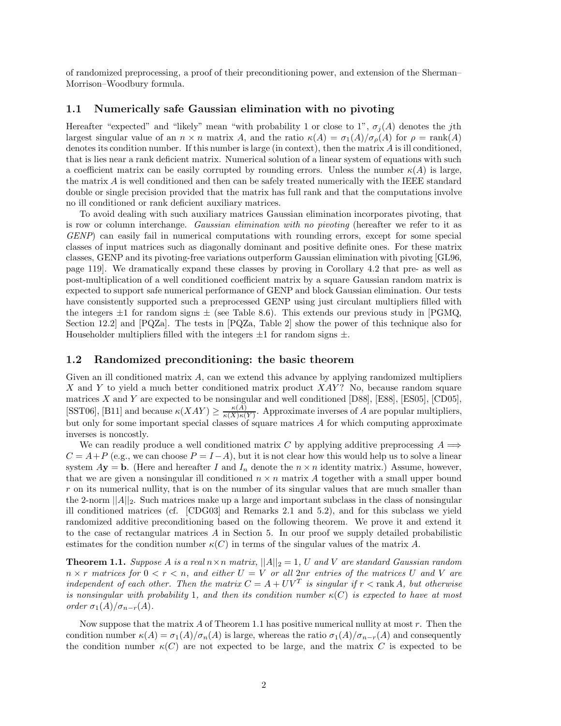of randomized preprocessing, a proof of their preconditioning power, and extension of the Sherman– Morrison–Woodbury formula.

### **1.1 Numerically safe Gaussian elimination with no pivoting**

Hereafter "expected" and "likely" mean "with probability 1 or close to 1",  $\sigma_i(A)$  denotes the *j*th largest singular value of an  $n \times n$  matrix *A*, and the ratio  $\kappa(A) = \sigma_1(A)/\sigma_0(A)$  for  $\rho = \text{rank}(A)$ denotes its condition number. If this number is large (in context), then the matrix *A* is ill conditioned, that is lies near a rank deficient matrix. Numerical solution of a linear system of equations with such a coefficient matrix can be easily corrupted by rounding errors. Unless the number  $\kappa(A)$  is large, the matrix *A* is well conditioned and then can be safely treated numerically with the IEEE standard double or single precision provided that the matrix has full rank and that the computations involve no ill conditioned or rank deficient auxiliary matrices.

To avoid dealing with such auxiliary matrices Gaussian elimination incorporates pivoting, that is row or column interchange. *Gaussian elimination with no pivoting* (hereafter we refer to it as *GENP*) can easily fail in numerical computations with rounding errors, except for some special classes of input matrices such as diagonally dominant and positive definite ones. For these matrix classes, GENP and its pivoting-free variations outperform Gaussian elimination with pivoting [GL96, page 119]. We dramatically expand these classes by proving in Corollary 4.2 that pre- as well as post-multiplication of a well conditioned coefficient matrix by a square Gaussian random matrix is expected to support safe numerical performance of GENP and block Gaussian elimination. Our tests have consistently supported such a preprocessed GENP using just circulant multipliers filled with the integers  $\pm 1$  for random signs  $\pm$  (see Table 8.6). This extends our previous study in [PGMQ, Section 12.2] and [PQZa]. The tests in [PQZa, Table 2] show the power of this technique also for Householder multipliers filled with the integers  $\pm 1$  for random signs  $\pm.$ 

#### **1.2 Randomized preconditioning: the basic theorem**

Given an ill conditioned matrix *A*, can we extend this advance by applying randomized multipliers *X* and *Y* to yield a much better conditioned matrix product *XAY* ? No, because random square matrices *X* and *Y* are expected to be nonsingular and well conditioned [D88], [E88], [ES05], [CD05], [SST06], [B11] and because  $\kappa(XAY) \geq \frac{\kappa(A)}{\kappa(X)\kappa(Y)}$ . Approximate inverses of *A* are popular multipliers, but only for some important special classes of square matrices *A* for which computing approximate inverses is noncostly.

We can readily produce a well conditioned matrix *C* by applying additive preprocessing  $A \implies$  $C = A + P$  (e.g., we can choose  $P = I - A$ ), but it is not clear how this would help us to solve a linear system  $A$ **y** = **b**. (Here and hereafter *I* and  $I_n$  denote the  $n \times n$  identity matrix.) Assume, however, that we are given a nonsingular ill conditioned  $n \times n$  matrix A together with a small upper bound *r* on its numerical nullity, that is on the number of its singular values that are much smaller than the 2-norm  $||A||_2$ . Such matrices make up a large and important subclass in the class of nonsingular ill conditioned matrices (cf. [CDG03] and Remarks 2.1 and 5.2), and for this subclass we yield randomized additive preconditioning based on the following theorem. We prove it and extend it to the case of rectangular matrices *A* in Section 5. In our proof we supply detailed probabilistic estimates for the condition number  $\kappa(C)$  in terms of the singular values of the matrix A.

**Theorem 1.1.** *Suppose A is a real*  $n \times n$  *matrix*,  $||A||_2 = 1$ , *U and V are standard Gaussian random*  $n \times r$  *matrices for*  $0 \lt r \lt n$ , and either  $U = V$  *or all* 2*nr entries of the matrices*  $U$  *and*  $V$  *are independent of each other. Then the matrix*  $C = A + UV^T$  *is singular if*  $r <$  rank *A, but otherwise is nonsingular with probability* 1*, and then its condition number*  $\kappa(C)$  *is expected to have at most order*  $\sigma_1(A)/\sigma_{n-r}(A)$ *.* 

Now suppose that the matrix *A* of Theorem 1.1 has positive numerical nullity at most *r*. Then the condition number  $\kappa(A) = \sigma_1(A)/\sigma_n(A)$  is large, whereas the ratio  $\sigma_1(A)/\sigma_{n-r}(A)$  and consequently the condition number  $\kappa(C)$  are not expected to be large, and the matrix *C* is expected to be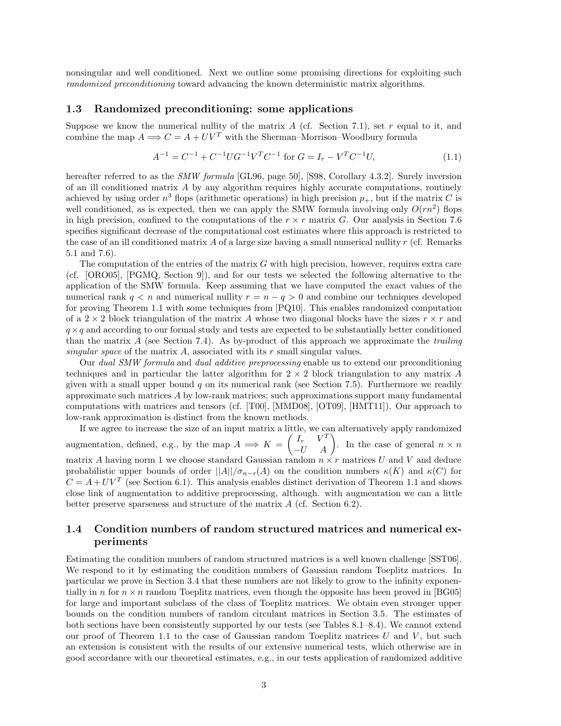nonsingular and well conditioned. Next we outline some promising directions for exploiting such *randomized preconditioning* toward advancing the known deterministic matrix algorithms.

#### **1.3 Randomized preconditioning: some applications**

Suppose we know the numerical nullity of the matrix *A* (cf. Section 7.1), set *r* equal to it, and combine the map  $A \Longrightarrow C = A + UV^T$  with the Sherman–Morrison–Woodbury formula

$$
A^{-1} = C^{-1} + C^{-1} U G^{-1} V^T C^{-1} \text{ for } G = I_r - V^T C^{-1} U,
$$
\n(1.1)

hereafter referred to as the *SMW formula* [GL96, page 50], [S98, Corollary 4.3.2]. Surely inversion of an ill conditioned matrix *A* by any algorithm requires highly accurate computations, routinely achieved by using order  $n^3$  flops (arithmetic operations) in high precision  $p_+$ , but if the matrix *C* is well conditioned, as is expected, then we can apply the SMW formula involving only  $O(rn^2)$  flops in high precision, confined to the computations of the  $r \times r$  matrix *G*. Our analysis in Section 7.6 specifies significant decrease of the computational cost estimates where this approach is restricted to the case of an ill conditioned matrix *A* of a large size having a small numerical nullity *r* (cf. Remarks 5.1 and 7.6).

The computation of the entries of the matrix *G* with high precision, however, requires extra care (cf. [ORO05], [PGMQ, Section 9]), and for our tests we selected the following alternative to the application of the SMW formula. Keep assuming that we have computed the exact values of the numerical rank  $q < n$  and numerical nullity  $r = n - q > 0$  and combine our techniques developed for proving Theorem 1.1 with some techniques from [PQ10]. This enables randomized computation of a  $2 \times 2$  block triangulation of the matrix A whose two diagonal blocks have the sizes  $r \times r$  and  $q \times q$  and according to our formal study and tests are expected to be substantially better conditioned than the matrix *A* (see Section 7.4). As by-product of this approach we approximate the *trailing singular space* of the matrix *A*, associated with its *r* small singular values.

Our *dual SMW formula* and *dual additive preprocessing* enable us to extend our preconditioning techniques and in particular the latter algorithm for 2 × 2 block triangulation to any matrix *A* given with a small upper bound *q* on its numerical rank (see Section 7.5). Furthermore we readily approximate such matrices *A* by low-rank matrices; such approximations support many fundamental computations with matrices and tensors (cf. [T00], [MMD08], [OT09], [HMT11]). Our approach to low-rank approximation is distinct from the known methods.

If we agree to increase the size of an input matrix a little, we can alternatively apply randomized augmentation, defined, e.g., by the map  $A \implies K = \begin{pmatrix} I_r & V^T \\ -U & A \end{pmatrix}$ . In the case of general  $n \times n$ matrix A having norm 1 we choose standard Gaussian random  $n \times r$  matrices U and V and deduce probabilistic upper bounds of order  $||A||/\sigma_{n-r}(A)$  on the condition numbers  $\kappa(K)$  and  $\kappa(C)$  for  $C = A + UV^T$  (see Section 6.1). This analysis enables distinct derivation of Theorem 1.1 and shows close link of augmentation to additive preprocessing, although. with augmentation we can a little better preserve sparseness and structure of the matrix *A* (cf. Section 6.2).

## **1.4 Condition numbers of random structured matrices and numerical experiments**

Estimating the condition numbers of random structured matrices is a well known challenge [SST06]. We respond to it by estimating the condition numbers of Gaussian random Toeplitz matrices. In particular we prove in Section 3.4 that these numbers are not likely to grow to the infinity exponentially in *n* for  $n \times n$  random Toeplitz matrices, even though the opposite has been proved in [BG05] for large and important subclass of the class of Toeplitz matrices. We obtain even stronger upper bounds on the condition numbers of random circulant matrices in Section 3.5. The estimates of both sections have been consistently supported by our tests (see Tables 8.1–8.4). We cannot extend our proof of Theorem 1.1 to the case of Gaussian random Toeplitz matrices *U* and *V* , but such an extension is consistent with the results of our extensive numerical tests, which otherwise are in good accordance with our theoretical estimates, e.g., in our tests application of randomized additive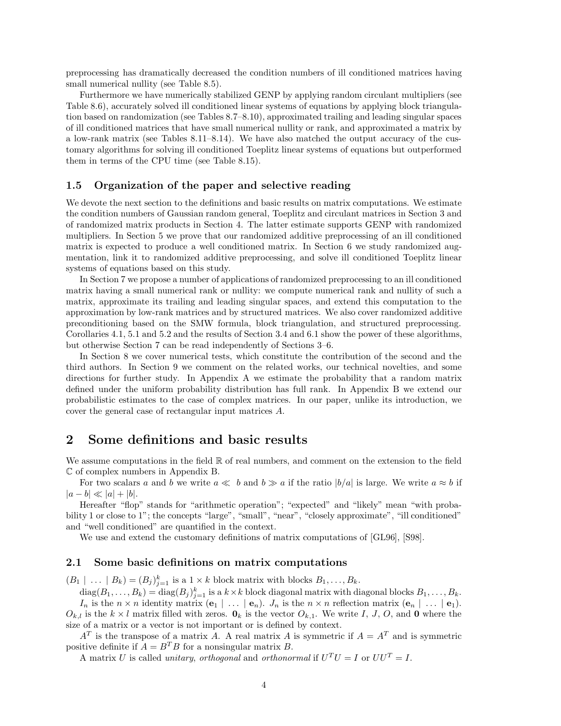preprocessing has dramatically decreased the condition numbers of ill conditioned matrices having small numerical nullity (see Table 8.5).

Furthermore we have numerically stabilized GENP by applying random circulant multipliers (see Table 8.6), accurately solved ill conditioned linear systems of equations by applying block triangulation based on randomization (see Tables 8.7–8.10), approximated trailing and leading singular spaces of ill conditioned matrices that have small numerical nullity or rank, and approximated a matrix by a low-rank matrix (see Tables 8.11–8.14). We have also matched the output accuracy of the customary algorithms for solving ill conditioned Toeplitz linear systems of equations but outperformed them in terms of the CPU time (see Table 8.15).

### **1.5 Organization of the paper and selective reading**

We devote the next section to the definitions and basic results on matrix computations. We estimate the condition numbers of Gaussian random general, Toeplitz and circulant matrices in Section 3 and of randomized matrix products in Section 4. The latter estimate supports GENP with randomized multipliers. In Section 5 we prove that our randomized additive preprocessing of an ill conditioned matrix is expected to produce a well conditioned matrix. In Section 6 we study randomized augmentation, link it to randomized additive preprocessing, and solve ill conditioned Toeplitz linear systems of equations based on this study.

In Section 7 we propose a number of applications of randomized preprocessing to an ill conditioned matrix having a small numerical rank or nullity: we compute numerical rank and nullity of such a matrix, approximate its trailing and leading singular spaces, and extend this computation to the approximation by low-rank matrices and by structured matrices. We also cover randomized additive preconditioning based on the SMW formula, block triangulation, and structured preprocessing. Corollaries 4.1, 5.1 and 5.2 and the results of Section 3.4 and 6.1 show the power of these algorithms, but otherwise Section 7 can be read independently of Sections 3–6.

In Section 8 we cover numerical tests, which constitute the contribution of the second and the third authors. In Section 9 we comment on the related works, our technical novelties, and some directions for further study. In Appendix A we estimate the probability that a random matrix defined under the uniform probability distribution has full rank. In Appendix B we extend our probabilistic estimates to the case of complex matrices. In our paper, unlike its introduction, we cover the general case of rectangular input matrices *A*.

## **2 Some definitions and basic results**

We assume computations in the field  $\mathbb R$  of real numbers, and comment on the extension to the field C of complex numbers in Appendix B.

For two scalars *a* and *b* we write  $a \ll b$  and  $b \gg a$  if the ratio  $|b/a|$  is large. We write  $a \approx b$  if  $|a - b| \ll |a| + |b|.$ 

Hereafter "flop" stands for "arithmetic operation"; "expected" and "likely" mean "with probability 1 or close to 1"; the concepts "large", "small", "near", "closely approximate", "ill conditioned" and "well conditioned" are quantified in the context.

We use and extend the customary definitions of matrix computations of [GL96], [S98].

## **2.1 Some basic definitions on matrix computations**

 $(B_1 \mid \ldots \mid B_k) = (B_j)_{j=1}^k$  is a  $1 \times k$  block matrix with blocks  $B_1, \ldots, B_k$ .

 $\text{diag}(B_1,\ldots,B_k) = \text{diag}(B_j)_{j=1}^k$  is a  $k \times k$  block diagonal matrix with diagonal blocks  $B_1,\ldots,B_k$ . *I<sub>n</sub>* is the  $n \times n$  identity matrix  $(\mathbf{e}_1 | \dots | \mathbf{e}_n)$ . *J<sub>n</sub>* is the  $n \times n$  reflection matrix  $(\mathbf{e}_n | \dots | \mathbf{e}_1)$ .  $O_{k,l}$  is the  $k \times l$  matrix filled with zeros.  $\mathbf{0}_k$  is the vector  $O_{k,1}$ . We write *I*, *J*, *O*, and **0** where the size of a matrix or a vector is not important or is defined by context.

 $A<sup>T</sup>$  is the transpose of a matrix *A*. A real matrix *A* is symmetric if  $A = A<sup>T</sup>$  and is symmetric positive definite if  $A = B^T B$  for a nonsingular matrix *B*.

A matrix *U* is called *unitary*, *orthogonal* and *orthonormal* if  $U^T U = I$  or  $UU^T = I$ .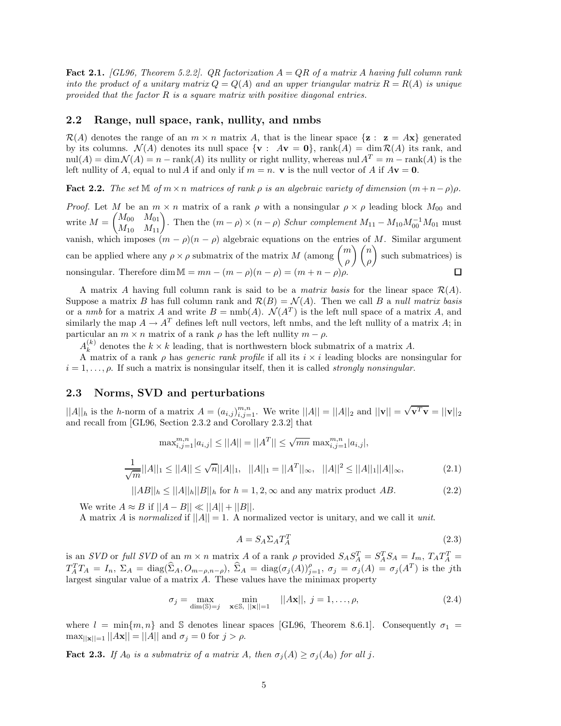**Fact 2.1.** *[GL96, Theorem 5.2.2]. QR factorization A* = *QR of a matrix A having full column rank into the product of a unitary matrix*  $Q = Q(A)$  *and an upper triangular matrix*  $R = R(A)$  *is unique provided that the factor R is a square matrix with positive diagonal entries.*

## **2.2 Range, null space, rank, nullity, and nmbs**

 $\mathcal{R}(A)$  denotes the range of an  $m \times n$  matrix A, that is the linear space  $\{z : z = Ax\}$  generated by its columns.  $\mathcal{N}(A)$  denotes its null space  $\{ \mathbf{v} : A\mathbf{v} = \mathbf{0} \}$ , rank $(A) = \dim \mathcal{R}(A)$  its rank, and  $\text{null}(A) = \dim \mathcal{N}(A) = n - \text{rank}(A)$  its nullity or right nullity, whereas nul  $A^T = m - \text{rank}(A)$  is the left nullity of *A*, equal to nul *A* if and only if  $m = n$ . **v** is the null vector of *A* if  $A$ **v** = **0**.

**Fact 2.2.** *The set*  $\mathbb{M}$  *of*  $m \times n$  *matrices of rank*  $\rho$  *is an algebraic variety of dimension*  $(m+n-\rho)\rho$ *.* 

*Proof.* Let *M* be an  $m \times n$  matrix of a rank  $\rho$  with a nonsingular  $\rho \times \rho$  leading block  $M_{00}$  and  $M = \begin{pmatrix} M_{00} & M_{01} \ M_{10} & M_{11} \end{pmatrix}$ . Then the  $(m - \rho) \times (n - \rho)$  *Schur complement*  $M_{11} - M_{10} M_{00}^{-1} M_{01}$  must vanish, which imposes  $(m - \rho)(n - \rho)$  algebraic equations on the entries of *M*. Similar argument can be applied where any  $\rho \times \rho$  submatrix of the matrix *M* (among  $\binom{m}{q}$ - *n* -such submatrices) is *ρ ρ* nonsingular. Therefore dim  $M = mn - (m - \rho)(n - \rho) = (m + n - \rho)$  $\Box$ 

A matrix A having full column rank is said to be a *matrix basis* for the linear space  $\mathcal{R}(A)$ . Suppose a matrix *B* has full column rank and  $\mathcal{R}(B) = \mathcal{N}(A)$ . Then we call *B* a *null matrix basis* or a *nmb* for a matrix *A* and write  $B = \text{nmb}(A)$ .  $\mathcal{N}(A^T)$  is the left null space of a matrix *A*, and similarly the map  $A \to A^T$  defines left null vectors, left nmbs, and the left nullity of a matrix *A*; in particular an  $m \times n$  matrix of a rank  $\rho$  has the left nullity  $m - \rho$ .

 $A_k^{(k)}$  denotes the  $k \times k$  leading, that is northwestern block submatrix of a matrix *A*.

A matrix of a rank *ρ* has *generic rank profile* if all its *i* × *i* leading blocks are nonsingular for  $i = 1, \ldots, \rho$ . If such a matrix is nonsingular itself, then it is called *strongly nonsingular*.

### **2.3 Norms, SVD and perturbations**

 $||A||_h$  is the *h*-norm of a matrix  $A = (a_{i,j})_{i,j=1}^{m,n}$ . We write  $||A|| = ||A||_2$  and  $||\mathbf{v}|| = \sqrt{\mathbf{v}^T \mathbf{v}} = ||\mathbf{v}||_2$ and recall from [GL96, Section 2.3.2 and Corollary 2.3.2] that

$$
\max_{i,j=1}^{m,n} |a_{i,j}| \le ||A|| = ||A^T|| \le \sqrt{mn} \max_{i,j=1}^{m,n} |a_{i,j}|,
$$
  

$$
\frac{1}{\sqrt{m}}||A||_1 \le ||A|| \le \sqrt{n}||A||_1, \quad ||A||_1 = ||A^T||_{\infty}, \quad ||A||^2 \le ||A||_1||A||_{\infty}, \tag{2.1}
$$

$$
||AB||_h \le ||A||_h ||B||_h
$$
 for  $h = 1, 2, \infty$  and any matrix product AB. (2.2)

We write  $A \approx B$  if  $||A - B|| \ll ||A|| + ||B||$ .

A matrix *A* is *normalized* if ||*A*|| = 1. A normalized vector is unitary, and we call it *unit*.

$$
A = S_A \Sigma_A T_A^T \tag{2.3}
$$

is an *SVD* or full *SVD* of an  $m \times n$  matrix A of a rank  $\rho$  provided  $S_A S_A^T = S_A^T S_A = I_m$ ,  $T_A T_A^T =$  $T_A^TT_A = I_n$ ,  $\Sigma_A = \text{diag}(\hat{\Sigma}_A, O_{m-\rho,n-\rho}), \ \hat{\Sigma}_A = \text{diag}(\sigma_j(A))_{j=1}^{\rho}, \ \sigma_j = \sigma_j(A) = \sigma_j(A^T)$  is the jth largest singular value of a matrix *A*. These values have the minimax property

$$
\sigma_j = \max_{\dim(\mathbb{S}) = j} \min_{\mathbf{x} \in \mathbb{S}, \ ||\mathbf{x}|| = 1} \ ||A\mathbf{x}||, \ j = 1, \dots, \rho,
$$
\n(2.4)

where  $l = \min\{m, n\}$  and S denotes linear spaces [GL96, Theorem 8.6.1]. Consequently  $\sigma_1$  $\max_{\|\mathbf{x}\|=\mathbf{1}}\|A\mathbf{x}\| = \|A\|$  and  $\sigma_j = 0$  for  $j > \rho$ .

**Fact 2.3.** *If*  $A_0$  *is a submatrix of a matrix*  $A$ *, then*  $\sigma_j(A) \geq \sigma_j(A_0)$  *for all j.*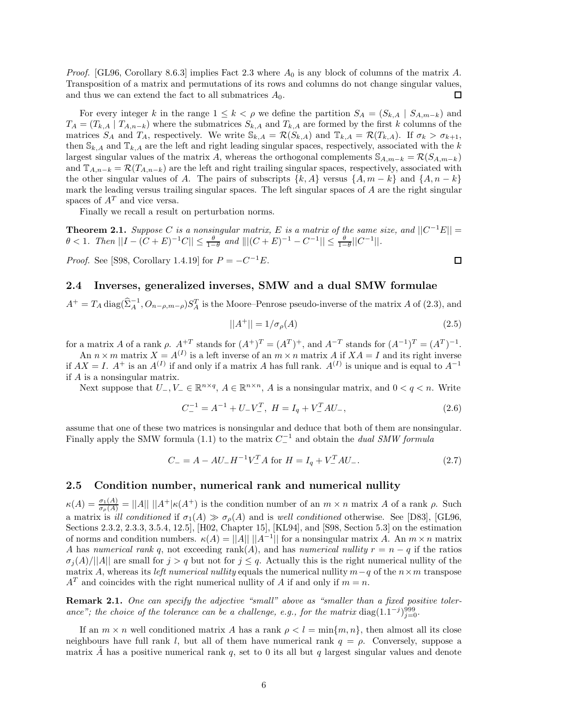*Proof.* [GL96, Corollary 8.6.3] implies Fact 2.3 where *A*0 is any block of columns of the matrix *A*. Transposition of a matrix and permutations of its rows and columns do not change singular values, and thus we can extend the fact to all submatrices  $A_0$ . 口

For every integer *k* in the range  $1 \leq k < \rho$  we define the partition  $S_A = (S_{k,A} | S_{A,m-k})$  and  $T_A = (T_{k,A} | T_{A,n-k})$  where the submatrices  $S_{k,A}$  and  $T_{k,A}$  are formed by the first *k* columns of the matrices  $S_A$  and  $T_A$ , respectively. We write  $\mathcal{S}_{k,A} = \mathcal{R}(S_{k,A})$  and  $\mathbb{T}_{k,A} = \mathcal{R}(T_{k,A})$ . If  $\sigma_k > \sigma_{k+1}$ , then  $\mathbb{S}_{k,A}$  and  $\mathbb{T}_{k,A}$  are the left and right leading singular spaces, respectively, associated with the *k* largest singular values of the matrix *A*, whereas the orthogonal complements  $S_{A,m-k} = \mathcal{R}(S_{A,m-k})$ and  $\mathbb{T}_{A,n-k} = \mathcal{R}(T_{A,n-k})$  are the left and right trailing singular spaces, respectively, associated with the other singular values of *A*. The pairs of subscripts  $\{k, A\}$  versus  $\{A, m - k\}$  and  $\{A, n - k\}$ mark the leading versus trailing singular spaces. The left singular spaces of *A* are the right singular spaces of *A<sup>T</sup>* and vice versa.

Finally we recall a result on perturbation norms.

**Theorem 2.1.** *Suppose C is a nonsingular matrix, E is a matrix of the same size, and*  $||C^{-1}E|| =$  $\theta$  < 1*.* Then  $||I - (C + E)^{-1}C|| \leq \frac{\theta}{1-\theta}$  and  $||[(C + E)^{-1} - C^{-1}|| \leq \frac{\theta}{1-\theta}||C^{-1}||$ .

*Proof.* See [S98, Corollary 1.4.19] for  $P = -C^{-1}E$ .

### **2.4 Inverses, generalized inverses, SMW and a dual SMW formulae**

 $A^+ = T_A \text{diag}(\hat{\Sigma}_A^{-1}, O_{n-\rho,m-\rho}) S_A^T$  is the Moore–Penrose pseudo-inverse of the matrix *A* of (2.3), and

$$
||A^{+}|| = 1/\sigma_{\rho}(A)
$$
\n(2.5)

for a matrix *A* of a rank  $\rho$ .  $A^{+T}$  stands for  $(A^{+})^{T} = (A^{T})^{+}$ , and  $A^{-T}$  stands for  $(A^{-1})^{T} = (A^{T})^{-1}$ .

An  $n \times m$  matrix  $X = A^{(I)}$  is a left inverse of an  $m \times n$  matrix A if  $XA = I$  and its right inverse if  $AX = I$ .  $A^+$  is an  $A^{(I)}$  if and only if a matrix *A* has full rank.  $A^{(I)}$  is unique and is equal to  $A^{-1}$ if *A* is a nonsingular matrix.

Next suppose that  $U_-, V_-\in \mathbb{R}^{n\times q}$ ,  $A\in \mathbb{R}^{n\times n}$ , *A* is a nonsingular matrix, and  $0 < q < n$ . Write

$$
C_{-}^{-1} = A^{-1} + U_{-}V_{-}^{T}, \ H = I_{q} + V_{-}^{T}AU_{-}, \tag{2.6}
$$

assume that one of these two matrices is nonsingular and deduce that both of them are nonsingular. Finally apply the SMW formula (1.1) to the matrix  $C_{-}^{-1}$  and obtain the *dual SMW formula* 

$$
C_{-} = A - AU_{-}H^{-1}V_{-}^{T}A \text{ for } H = I_{q} + V_{-}^{T}AU_{-}.
$$
\n(2.7)

#### **2.5 Condition number, numerical rank and numerical nullity**

 $\kappa(A) = \frac{\sigma_1(A)}{\sigma_\rho(A)} = ||A|| \, ||A^+|\kappa(A^+)$  is the condition number of an  $m \times n$  matrix *A* of a rank  $\rho$ . Such a matrix is *ill conditioned* if  $\sigma_1(A) \gg \sigma_0(A)$  and is *well conditioned* otherwise. See [D83], [GL96, Sections 2.3.2, 2.3.3, 3.5.4, 12.5], [H02, Chapter 15], [KL94], and [S98, Section 5.3] on the estimation of norms and condition numbers.  $\kappa(A) = ||A|| ||A^{-1}||$  for a nonsingular matrix A. An  $m \times n$  matrix *A* has *numerical rank q*, not exceeding rank(*A*), and has *numerical nullity*  $r = n - q$  if the ratios  $\sigma_i(A)/||A||$  are small for  $j > q$  but not for  $j < q$ . Actually this is the right numerical nullity of the matrix *A*, whereas its *left numerical nullity* equals the numerical nullity  $m-q$  of the  $n \times m$  transpose  $A<sup>T</sup>$  and coincides with the right numerical nullity of *A* if and only if  $m = n$ .

**Remark 2.1.** *One can specify the adjective "small" above as "smaller than a fixed positive tolerance"; the choice of the tolerance can be a challenge, e.g., for the matrix* diag(1.1<sup>-*j*)999</sup> $j=0$ .

If an  $m \times n$  well conditioned matrix *A* has a rank  $\rho < l = \min\{m, n\}$ , then almost all its close neighbours have full rank *l*, but all of them have numerical rank *q* = *ρ*. Conversely, suppose a matrix A has a positive numerical rank  $q$ , set to 0 its all but  $q$  largest singular values and denote

$$
\Box
$$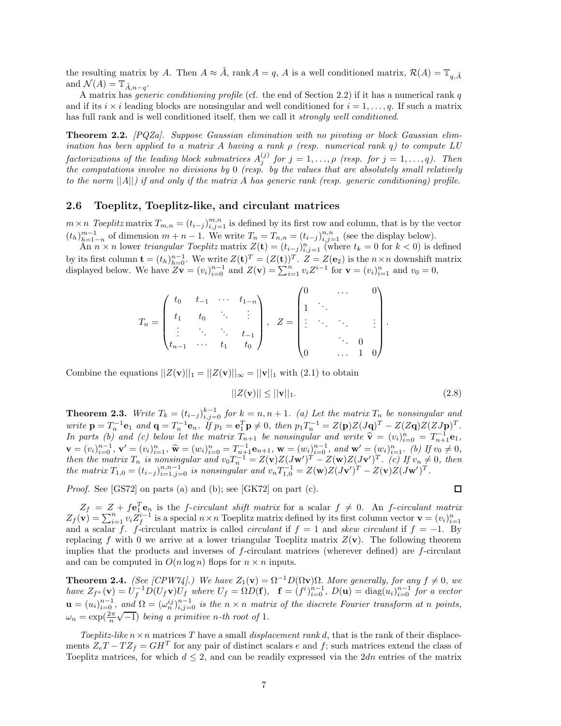the resulting matrix by *A*. Then  $A \approx \tilde{A}$ , rank  $A = q$ , *A* is a well conditioned matrix,  $\mathcal{R}(A) = \mathbb{T}_{q,\tilde{A}}$ and  $\mathcal{N}(A) = \mathbb{T}_{\tilde{A}, n-q}$ .

A matrix has *generic conditioning profile* (cf. the end of Section 2.2) if it has a numerical rank *q* and if its  $i \times i$  leading blocks are nonsingular and well conditioned for  $i = 1, \ldots, q$ . If such a matrix has full rank and is well conditioned itself, then we call it *strongly well conditioned*.

**Theorem 2.2.** *[PQZa]. Suppose Gaussian elimination with no pivoting or block Gaussian elimination has been applied to a matrix A having a rank ρ (resp. numerical rank q) to compute LU factorizations of the leading block submatrices*  $A_j^{(j)}$  *for*  $j = 1, \ldots, \rho$  *(resp. for*  $j = 1, \ldots, q$ *). Then the computations involve no divisions by* 0 *(resp. by the values that are absolutely small relatively to the norm* ||*A*||*) if and only if the matrix A has generic rank (resp. generic conditioning) profile.*

## **2.6 Toeplitz, Toeplitz-like, and circulant matrices**

 $m \times n$  *Toeplitz* matrix  $T_{m,n} = (t_{i-j})_{i,j=1}^{m,n}$  is defined by its first row and column, that is by the vector  $(t_h)_{h=1-n}^{m-1}$  of dimension  $m+n-1$ . We write  $T_n = T_{n,n} = (t_{i-j})_{i,j=1}^{n,n}$  (see the display below).

An  $n \times n$  lower *triangular Toeplitz* matrix  $Z(\mathbf{t}) = (t_{i-j})_{i,j=1}^n$  (where  $t_k = 0$  for  $k < 0$ ) is defined by its first column  $\mathbf{t} = (t_h)_{h=0}^{n-1}$ . We write  $Z(\mathbf{t})^T = (Z(\mathbf{t}))^T$ .  $Z = Z(\mathbf{e}_2)$  is the  $n \times n$  downshift matrix displayed below. We have  $Z\mathbf{v} = (v_i)_{i=0}^{n-1}$  and  $Z(\mathbf{v}) = \sum_{i=1}^{n} v_i Z^{i-1}$  for  $\mathbf{v} = (v_i)_{i=1}^n$  and  $v_0 = 0$ ,

$$
T_n = \begin{pmatrix} t_0 & t_{-1} & \cdots & t_{1-n} \\ t_1 & t_0 & \ddots & \vdots \\ \vdots & \ddots & \ddots & t_{-1} \\ t_{n-1} & \cdots & t_1 & t_0 \end{pmatrix}, \quad Z = \begin{pmatrix} 0 & \cdots & 0 \\ 1 & \ddots & & \\ \vdots & \ddots & \ddots & \vdots \\ 0 & \cdots & 1 & 0 \end{pmatrix}
$$

Combine the equations  $||Z(\mathbf{v})||_1 = ||Z(\mathbf{v})||_{\infty} = ||\mathbf{v}||_1$  with (2.1) to obtain

$$
||Z(\mathbf{v})|| \le ||\mathbf{v}||_1. \tag{2.8}
$$

*.*

**Theorem 2.3.** Write  $T_k = (t_{i-j})_{i,j=0}^{k-1}$  for  $k = n, n+1$ . (a) Let the matrix  $T_n$  be nonsingular and write  $\mathbf{p} = T_n^{-1} \mathbf{e}_1$  and  $\mathbf{q} = T_n^{-1} \mathbf{e}_n$ . If  $p_1 = \mathbf{e}_1^T \mathbf{p} \neq 0$ , then  $p_1 T_n^{-1} = Z(\mathbf{p})Z(J\mathbf{q})^T - Z(Z\mathbf{q})Z(ZJ\mathbf{p})^T$ . *In parts (b)* and (c) below let the matrix  $T_{n+1}$  be nonsingular and write  $\hat{\mathbf{v}} = (v_i)^n \hat{\mathbf{v}} = T_{n+1}^{-1} \mathbf{e}_1$ ,  $\mathbf{v} = (v_i)_{i=0}^{n-1}, \mathbf{v}' = (v_i)_{i=1}^n, \hat{\mathbf{w}} = (w_i)_{i=0}^n = T_{n+1}^{-1} \mathbf{e}_{n+1}, \mathbf{w} = (w_i)_{i=0}^{n-1}, \text{ and } \mathbf{w}' = (w_i)_{i=0}^n, \hat{v}' = (w_i)_{i=0}^n, \hat{v}' = (w_i)_{i=0}^n, \hat{v}' = (w_i)_{i=0}^n, \hat{v}' = (w_i)_{i=0}^n, \hat{v}' = (w_i)_{i=0}^n, \hat{v}'$ then the matrix  $T_n$  is nonsingular and  $v_0T_n^{-1} = Z(\mathbf{v})Z(J\mathbf{w}')^T - Z(\mathbf{w})Z(J\mathbf{v}')^T$ . (c) If  $v_n \neq 0$ , then the matrix  $T_{1,0} = (t_{i-j})_{i=1,j=0}^{n,n-1}$  is nonsingular and  $v_nT_{1,0}^{-1} = Z(\mathbf{w})Z(J\mathbf{v}')^T - Z(\mathbf{v})Z(J\mathbf{w}')^T$ .

*Proof.* See [GS72] on parts (a) and (b); see [GK72] on part (c).

$$
\Box
$$

 $Z_f = Z + f\mathbf{e}_1^T\mathbf{e}_n$  is the *f*-*circulant shift matrix* for a scalar  $f \neq 0$ . An *f*-*circulant matrix*  $Z_f(\mathbf{v}) = \sum_{i=1}^n v_i Z_f^{i-1}$  is a special  $n \times n$  Toeplitz matrix defined by its first column vector  $\mathbf{v} = (v_i)_{i=1}^n$ and a scalar *f*. *f*-circulant matrix is called *circulant* if  $f = 1$  and *skew circulant* if  $f = -1$ . By replacing f with 0 we arrive at a lower triangular Toeplitz matrix  $Z(\mathbf{v})$ . The following theorem implies that the products and inverses of *f*-circulant matrices (wherever defined) are *f*-circulant and can be computed in  $O(n \log n)$  flops for  $n \times n$  inputs.

**Theorem 2.4.** *(See [CPW74].)* We have  $Z_1(\mathbf{v}) = \Omega^{-1}D(\Omega \mathbf{v})\Omega$ *. More generally, for any*  $f \neq 0$ *, we* have  $Z_{f^n}(\mathbf{v}) = U_f^{-1} D(U_f \mathbf{v}) U_f'$  where  $U_f = \Omega D(\mathbf{f}), \quad \mathbf{f} = (f^i)_{i=0}^{n-1}, D(\mathbf{u}) = \text{diag}(u_i)_{i=0}^{n-1}$  for a vector  $\mathbf{u} = (u_i)_{i=0}^{n-1}$ , and  $\Omega = (\omega_n^{ij})_{i,j=0}^{n-1}$  is the  $n \times n$  matrix of the discrete Fourier transform at n points,  $\omega_n = \frac{(\omega_n)^i}{(n-1)^i}$  *being a primitive n-th root of* 1*.* 

*Toeplitz-like*  $n \times n$  matrices *T* have a small *displacement rank d*, that is the rank of their displacements  $Z_eT - TZ_f = GH^T$  for any pair of distinct scalars *e* and *f*; such matrices extend the class of Toeplitz matrices, for which  $d \leq 2$ , and can be readily expressed via the 2*dn* entries of the matrix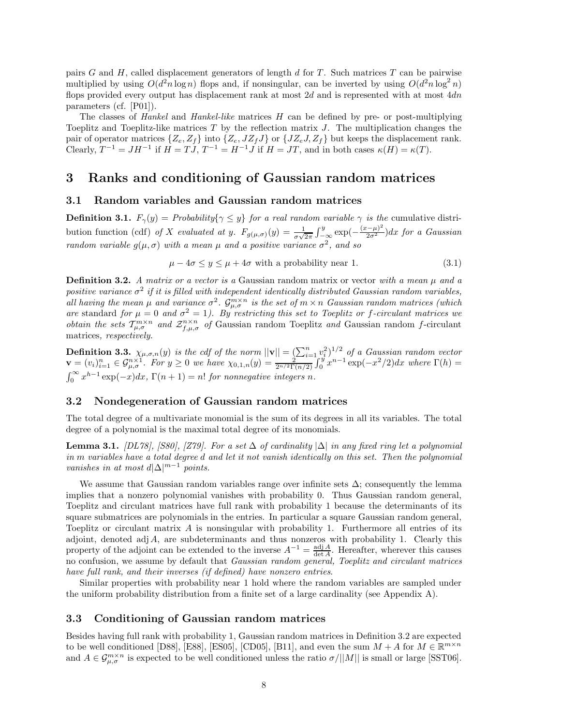pairs *G* and *H*, called displacement generators of length *d* for *T*. Such matrices *T* can be pairwise multiplied by using  $O(d^2n \log n)$  flops and, if nonsingular, can be inverted by using  $O(d^2n \log^2 n)$ flops provided every output has displacement rank at most 2*d* and is represented with at most 4*dn* parameters (cf. [P01]).

The classes of *Hankel* and *Hankel-like* matrices *H* can be defined by pre- or post-multiplying Toeplitz and Toeplitz-like matrices *T* by the reflection matrix *J*. The multiplication changes the pair of operator matrices  $\{Z_e, Z_f\}$  into  $\{Z_e, JZ_fJ\}$  or  $\{JZ_eJ, Z_f\}$  but keeps the displacement rank. Clearly,  $T^{-1} = JH^{-1}$  if  $H = TJ$ ,  $T^{-1} = H^{-1}J$  if  $H = JT$ , and in both cases  $\kappa(H) = \kappa(T)$ .

## **3 Ranks and conditioning of Gaussian random matrices**

#### **3.1 Random variables and Gaussian random matrices**

**Definition 3.1.**  $F_{\gamma}(y) = Probability\{\gamma \leq y\}$  *for a real random variable*  $\gamma$  *is the* cumulative distribution function (cdf) *of X evaluated at y.*  $F_{g(\mu,\sigma)}(y) = \frac{1}{\sigma\sqrt{2\pi}} \int_{-\infty}^{y} \exp(-\frac{(x-\mu)^2}{2\sigma^2}) dx$  for a Gaussian *random variable*  $g(\mu, \sigma)$  *with a mean*  $\mu$  *and a positive variance*  $\sigma^2$ *, and so* 

$$
\mu - 4\sigma \le y \le \mu + 4\sigma \text{ with a probability near 1.} \tag{3.1}
$$

**Definition 3.2.** *A matrix or a vector is a* Gaussian random matrix or vector *with a mean µ and a positive variance*  $\sigma^2$  *if it is filled with independent identically distributed Gaussian random variables,*  $\int_{a}^{b}$  *all having the mean*  $\mu$  *and variance*  $\sigma^2$ *.*  $\mathcal{G}_{\mu,\sigma}^{m\times n}$  *is the set of*  $m \times n$  *Gaussian random matrices (which are* standard *for*  $\mu = 0$  *and*  $\sigma^2 = 1$ *). By restricting this set to Toeplitz or f-circulant matrices we obtain the sets*  $T_{\mu,\sigma}^{m\times n}$  *and*  $Z_{f,\mu,\sigma}^{n\times n}$  *of* Gaussian random Toeplitz *and* Gaussian random *f*-circulant matrices*, respectively.*

**Definition 3.3.**  $\chi_{\mu,\sigma,n}(y)$  *is the cdf of the norm*  $||\mathbf{v}|| = \left(\sum_{i=1}^{n} v_i^2\right)^{1/2}$  *of a Gaussian random vector*  $\mathbf{v} = (v_i)_{i=1}^n \in \mathcal{G}_{\mu,\sigma}^{n \times 1}$ . For  $y \ge 0$  we have  $\chi_{0,1,n}(y) = \frac{y_i}{2^{n/2} \Gamma(n/2)} \int_0^y x^{n-1} \exp(-x^2/2) dx$  where  $\Gamma(h) =$  $\int_0^\infty x^{h-1} \exp(-x) dx$ ,  $\Gamma(n+1) = n!$  *for nonnegative integers n.* 

## **3.2 Nondegeneration of Gaussian random matrices**

The total degree of a multivariate monomial is the sum of its degrees in all its variables. The total degree of a polynomial is the maximal total degree of its monomials.

**Lemma 3.1.** *[DL78], [S80], [Z79]. For a set* ∆ *of cardinality* |∆| *in any fixed ring let a polynomial in m variables have a total degree d and let it not vanish identically on this set. Then the polynomial vanishes in at most*  $d|\Delta|^{m-1}$  *points.* 

We assume that Gaussian random variables range over infinite sets  $\Delta$ ; consequently the lemma implies that a nonzero polynomial vanishes with probability 0. Thus Gaussian random general, Toeplitz and circulant matrices have full rank with probability 1 because the determinants of its square submatrices are polynomials in the entries. In particular a square Gaussian random general, Toeplitz or circulant matrix *A* is nonsingular with probability 1. Furthermore all entries of its adjoint, denoted adj A, are subdeterminants and thus nonzeros with probability 1. Clearly this property of the adjoint can be extended to the inverse  $A^{-1} = \frac{\text{adj }A}{\text{det }A}$ . Hereafter, wherever this causes no confusion, we assume by default that *Gaussian random general, Toeplitz and circulant matrices have full rank, and their inverses (if defined) have nonzero entries*.

Similar properties with probability near 1 hold where the random variables are sampled under the uniform probability distribution from a finite set of a large cardinality (see Appendix A).

### **3.3 Conditioning of Gaussian random matrices**

Besides having full rank with probability 1, Gaussian random matrices in Definition 3.2 are expected to be well conditioned [D88], [E88], [ES05], [CD05], [B11], and even the sum  $M + A$  for  $M \in \mathbb{R}^{m \times n}$ and  $A \in \mathcal{G}_{\mu,\sigma}^{m \times n}$  is expected to be well conditioned unless the ratio  $\sigma/||M||$  is small or large [SST06].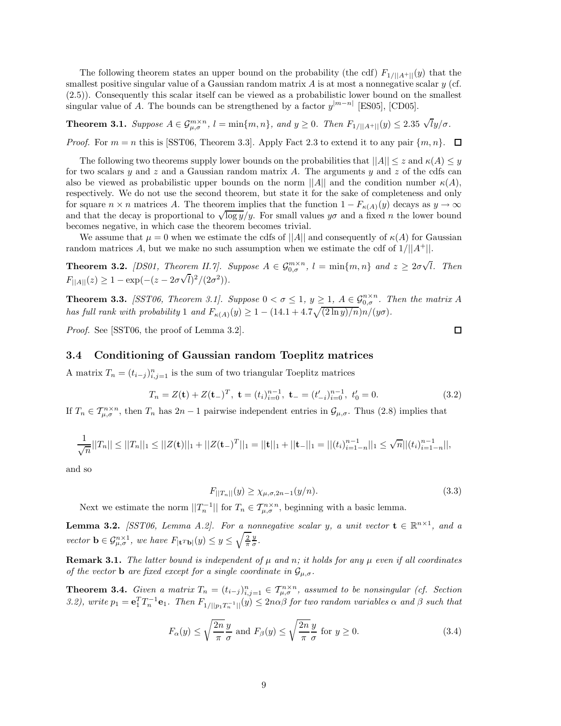The following theorem states an upper bound on the probability (the cdf)  $F_{1/||A^+||}(y)$  that the smallest positive singular value of a Gaussian random matrix *A* is at most a nonnegative scalar *y* (cf. (2.5)). Consequently this scalar itself can be viewed as a probabilistic lower bound on the smallest singular value of *A*. The bounds can be strengthened by a factor  $y^{|m-n|}$  [ES05], [CD05].

**Theorem 3.1.** Suppose  $A \in \mathcal{G}_{\mu,\sigma}^{m \times n}$ ,  $l = \min\{m,n\}$ , and  $y \ge 0$ . Then  $F_{1/||A^+||}(y) \le 2.35 \sqrt{lg/\sigma}$ .

*Proof.* For  $m = n$  this is [SST06, Theorem 3.3]. Apply Fact 2.3 to extend it to any pair  $\{m, n\}$ .  $\Box$ 

The following two theorems supply lower bounds on the probabilities that  $||A|| \leq z$  and  $\kappa(A) \leq y$ for two scalars *y* and *z* and a Gaussian random matrix *A*. The arguments *y* and *z* of the cdfs can also be viewed as probabilistic upper bounds on the norm  $||A||$  and the condition number  $\kappa(A)$ , respectively. We do not use the second theorem, but state it for the sake of completeness and only for square  $n \times n$  matrices *A*. The theorem implies that the function  $1 - F_{\kappa(A)}(y)$  decays as  $y \to \infty$ and that the decay is proportional to  $\sqrt{\log y}/y$ . For small values  $y\sigma$  and a fixed *n* the lower bound becomes negative, in which case the theorem becomes trivial.

We assume that  $\mu = 0$  when we estimate the cdfs of  $||A||$  and consequently of  $\kappa(A)$  for Gaussian random matrices A, but we make no such assumption when we estimate the cdf of  $1/||A^+||$ .

**Theorem 3.2.** *[DS01, Theorem II.7]. Suppose*  $A \in \mathcal{G}_{0,\sigma}^{m \times n}$ ,  $l = \min\{m,n\}$  and  $z \geq 2\sigma\sqrt{l}$ . Then  $F_{\vert A \vert}(z) \geq 1 - \exp(-(z - 2\sigma\sqrt{l})^2/(2\sigma^2)).$ 

**Theorem 3.3.** *[SST06, Theorem 3.1]. Suppose*  $0 < \sigma \leq 1$ ,  $y \geq 1$ ,  $A \in \mathcal{G}_{0,\sigma}^{n \times n}$ . *Then the matrix A has full rank with probability* 1 *and*  $F_{\kappa(A)}(y) \geq 1 - (14.1 + 4.7\sqrt{(2 \ln y)/n})n/(y\sigma)$ .

*Proof.* See [SST06, the proof of Lemma 3.2].

#### **3.4 Conditioning of Gaussian random Toeplitz matrices**

A matrix  $T_n = (t_{i-j})_{i,j=1}^n$  is the sum of two triangular Toeplitz matrices

$$
T_n = Z(\mathbf{t}) + Z(\mathbf{t})^T, \ \mathbf{t} = (t_i)_{i=0}^{n-1}, \ \mathbf{t}_- = (t'_{-i})_{i=0}^{n-1}, \ t'_0 = 0. \tag{3.2}
$$

If  $T_n \in \mathcal{T}_{\mu,\sigma}^{n \times n}$ , then  $T_n$  has  $2n-1$  pairwise independent entries in  $\mathcal{G}_{\mu,\sigma}$ . Thus (2.8) implies that

$$
\frac{1}{\sqrt{n}}||T_n|| \leq ||T_n||_1 \leq ||Z(\mathbf{t})||_1 + ||Z(\mathbf{t})^T||_1 = ||\mathbf{t}||_1 + ||\mathbf{t}||_1 = ||(t_i)_{i=1-n}^{n-1}||_1 \leq \sqrt{n}||(t_i)_{i=1-n}^{n-1}||,
$$

and so

$$
F_{||T_n||}(y) \ge \chi_{\mu,\sigma,2n-1}(y/n). \tag{3.3}
$$

Next we estimate the norm  $||T_n^{-1}||$  for  $T_n \in T_{\mu,\sigma}^{n \times n}$ , beginning with a basic lemma.

**Lemma 3.2.** *[SST06, Lemma A.2]. For a nonnegative scalar y, a unit vector*  $\mathbf{t} \in \mathbb{R}^{n \times 1}$ *, and a vector*  $\mathbf{b} \in \mathcal{G}_{\mu,\sigma}^{n\times 1}$ , we have  $F_{|\mathbf{t}^T\mathbf{b}|}(y) \leq y \leq \sqrt{\frac{2}{\pi}} \frac{y}{\sigma}$ .

**Remark 3.1.** *The latter bound is independent of*  $\mu$  *and*  $n$ *; it holds for any*  $\mu$  *even if all coordinates of the vector* **b** *are fixed except for a single coordinate in*  $\mathcal{G}_{\mu,\sigma}$ *.* 

**Theorem 3.4.** *Given a matrix*  $T_n = (t_{i-j})_{i,j=1}^n \in \mathcal{T}_{\mu,\sigma}^{n \times n}$ , assumed to be nonsingular (cf. Section 3.2), write  $p_1 = \mathbf{e}_1^T T_n^{-1} \mathbf{e}_1$ . Then  $F_{1/||p_1T_n^{-1}||}(y) \le 2n\alpha\beta$  for two random variables  $\alpha$  and  $\beta$  such that

$$
F_{\alpha}(y) \le \sqrt{\frac{2n}{\pi}} \frac{y}{\sigma} \text{ and } F_{\beta}(y) \le \sqrt{\frac{2n}{\pi}} \frac{y}{\sigma} \text{ for } y \ge 0.
$$
 (3.4)

 $\Box$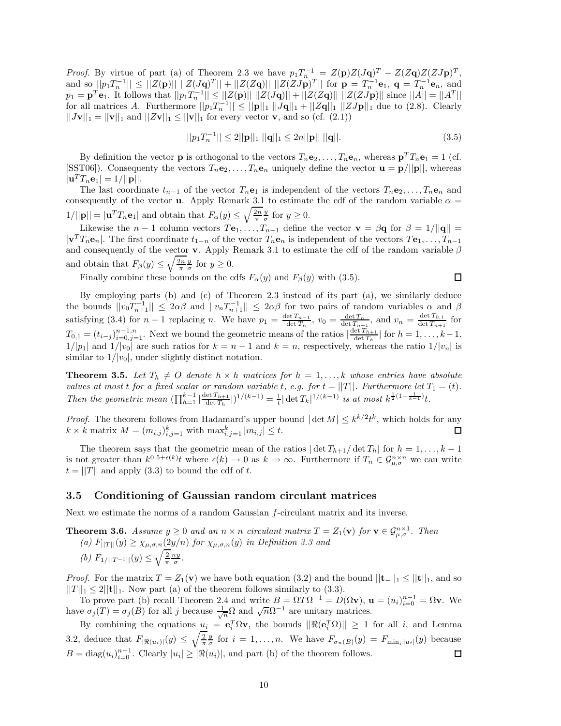*Proof.* By virtue of part (a) of Theorem 2.3 we have  $p_1T_n^{-1} = Z(\mathbf{p})Z(J\mathbf{q})^T - Z(Z\mathbf{q})Z(ZJ\mathbf{p})^T$ , and so  $||p_1T_n^{-1}|| \leq ||Z(\mathbf{p})|| ||Z(J\mathbf{q})^T|| + ||Z(Z\mathbf{q})|| ||Z(ZJ\mathbf{p})^T||$  for  $\mathbf{p} = T_n^{-1}\mathbf{e}_1$ ,  $\mathbf{q} = T_n^{-1}\mathbf{e}_n$ , and  $p_1 = \mathbf{p}^T \mathbf{e}_1$ . It follows that  $||p_1 T_n^{-1}|| \le ||Z(\mathbf{p})|| ||Z(J\mathbf{q})|| + ||Z(Z\mathbf{q})|| ||Z(ZJ\mathbf{p})||$  since  $||A|| = ||A^T||$ for all matrices *A*. Furthermore  $||p_1T_n^{-1}|| \le ||\mathbf{p}||_1 ||J\mathbf{q}||_1 + ||Z\mathbf{q}||_1 ||ZJ\mathbf{p}||_1$  due to (2.8). Clearly  $||J\mathbf{v}||_1 = ||\mathbf{v}||_1$  and  $||Z\mathbf{v}||_1 \le ||\mathbf{v}||_1$  for every vector **v**, and so (cf. (2.1))

$$
||p_1 T_n^{-1}|| \le 2||\mathbf{p}||_1 ||\mathbf{q}||_1 \le 2n||\mathbf{p}|| ||\mathbf{q}||. \tag{3.5}
$$

By definition the vector **p** is orthogonal to the vectors  $T_n \mathbf{e}_2, \ldots, T_n \mathbf{e}_n$ , whereas  $\mathbf{p}^T T_n \mathbf{e}_1 = 1$  (cf. [SST06]). Consequenty the vectors  $T_n \mathbf{e}_2, \ldots, T_n \mathbf{e}_n$  uniquely define the vector  $\mathbf{u} = \mathbf{p}/||\mathbf{p}||$ , whereas  $|\mathbf{u}^T T_n \mathbf{e}_1| = 1/||\mathbf{p}||.$ 

The last coordinate  $t_{n-1}$  of the vector  $T_n$ **e**<sub>1</sub> is independent of the vectors  $T_n$ **e**<sub>2</sub>,..., $T_n$ **e**<sub>n</sub> and consequently of the vector **u**. Apply Remark 3.1 to estimate the cdf of the random variable  $\alpha$  =  $1/||\mathbf{p}|| = |\mathbf{u}^T T_n \mathbf{e}_1|$  and obtain that  $F_\alpha(y) \le \sqrt{\frac{2n}{\pi}} \frac{y}{\sigma}$  for  $y \ge 0$ .

Likewise the *n* − 1 column vectors  $T\mathbf{e}_1, \ldots, T_{n-1}$  define the vector  $\mathbf{v} = \beta \mathbf{q}$  for  $\beta = 1/||\mathbf{q}|| =$  $|\mathbf{v}^T T_n \mathbf{e}_n|$ . The first coordinate  $t_{1-n}$  of the vector  $T_n \mathbf{e}_n$  is independent of the vectors  $T \mathbf{e}_1, \ldots, T_{n-1}$ and consequently of the vector **v**. Apply Remark 3.1 to estimate the cdf of the random variable *β* and obtain that  $F_\beta(y) \leq \sqrt{\frac{2n}{\pi}} \frac{y}{\sigma}$  for  $y \geq 0$ .

Finally combine these bounds on the cdfs  $F_\alpha(y)$  and  $F_\beta(y)$  with (3.5).

$$
\Box
$$

By employing parts (b) and (c) of Theorem 2.3 instead of its part (a), we similarly deduce the bounds  $||v_0T_{n+1}^{-1}|| \le 2\alpha\beta$  and  $||v_nT_{n+1}^{-1}|| \le 2\alpha\beta$  for two pairs of random variables  $\alpha$  and  $\beta$ satisfying (3.4) for  $n + 1$  replacing *n*. We have  $p_1 = \frac{\det T_{n-1}}{\det T_n}$ ,  $v_0 = \frac{\det T_n}{\det T_{n+1}}$ , and  $v_n = \frac{\det T_{0,1}}{\det T_{n+1}}$  for  $T_{0,1} = (t_{i-j})_{i=0,j=1}^{n-1,n}$ . Next we bound the geometric means of the ratios  $\left|\frac{\det T_{h+1}}{\det T_h}\right|$  for  $h = 1, \ldots, k-1$ .  $1/|p_1|$  and  $1/|v_0|$  are such ratios for  $k = n - 1$  and  $k = n$ , respectively, whereas the ratio  $1/|v_n|$  is similar to  $1/|v_0|$ , under slightly distinct notation.

**Theorem 3.5.** Let  $T_h \neq O$  denote  $h \times h$  matrices for  $h = 1, \ldots, k$  whose entries have absolute *values at most t for a fixed scalar or random variable t*, *e.g. for*  $t = ||T||$ *. Furthermore let*  $T_1 = (t)$ *.* Then the geometric mean  $(\prod_{h=1}^{k-1} |\frac{\det T_{h+1}}{\det T_h}|)^{1/(k-1)} = \frac{1}{t} |\det T_k|^{1/(k-1)}$  is at most  $k^{\frac{1}{2}(1+\frac{1}{k-1})}t$ .

*Proof.* The theorem follows from Hadamard's upper bound  $|\det M| \leq k^{k/2} t^k$ , which holds for any  $k \times k$  matrix  $M = (m_{i,j})_{i,j=1}^k$  with  $\max_{i,j=1}^k |m_{i,j}| \leq t$ . □

The theorem says that the geometric mean of the ratios  $|\det T_{h+1}/\det T_h|$  for  $h = 1, \ldots, k - 1$ is not greater than  $k^{0.5+\epsilon(k)}$  where  $\epsilon(k) \to 0$  as  $k \to \infty$ . Furthermore if  $T_n \in \mathcal{G}_{\mu,\sigma}^{n \times n}$  we can write  $t = ||T||$  and apply (3.3) to bound the cdf of *t*.

#### **3.5 Conditioning of Gaussian random circulant matrices**

Next we estimate the norms of a random Gaussian *f*-circulant matrix and its inverse.

**Theorem 3.6.** *Assume*  $y \ge 0$  *and an*  $n \times n$  *circulant matrix*  $T = Z_1(\mathbf{v})$  *for*  $\mathbf{v} \in \mathcal{G}_{\mu,\sigma}^{n \times 1}$ *. Then (a)*  $F_{\vert\vert T\vert\vert}(y) \geq \chi_{\mu,\sigma,n}(2y/n)$  *for*  $\chi_{\mu,\sigma,n}(y)$  *in Definition 3.3 and (b)*  $F_{1/||T^{-1}||}(y) \leq \sqrt{\frac{2}{\pi}} \frac{ny}{\sigma}$ .

*Proof.* For the matrix  $T = Z_1(\mathbf{v})$  we have both equation (3.2) and the bound  $||\mathbf{t}||_1 \leq ||\mathbf{t}||_1$ , and so  $||T||_1 \leq 2||\mathbf{t}||_1$ . Now part (a) of the theorem follows similarly to (3.3).

To prove part (b) recall Theorem 2.4 and write  $B = \Omega T \Omega^{-1} = D(\Omega \mathbf{v}), \mathbf{u} = (u_i)_{i=0}^{n-1} = \Omega \mathbf{v}.$  We have *σ*<sub>*j*</sub>(*T*) = *σ*<sub>*j*</sub>(*B*) for all *j* because  $\frac{1}{\sqrt{n}}Ω$  and  $\sqrt{n}Ω^{-1}$  are unitary matrices.

By combining the equations  $u_i = e_i^T \Omega v$ , the bounds  $||\Re(e_i^T \Omega)|| \ge 1$  for all *i*, and Lemma 3.2, deduce that  $F_{|\Re(u_i)|}(y) \le \sqrt{\frac{2}{\pi}} \frac{y}{\sigma}$  for  $i = 1, \ldots, n$ . We have  $F_{\sigma_n(B)}(y) = F_{\min_i |u_i|}(y)$  because  $B = \text{diag}(u_i)_{i=0}^{n-1}$ . Clearly  $|u_i| \geq |\Re(u_i)|$ , and part (b) of the theorem follows. 口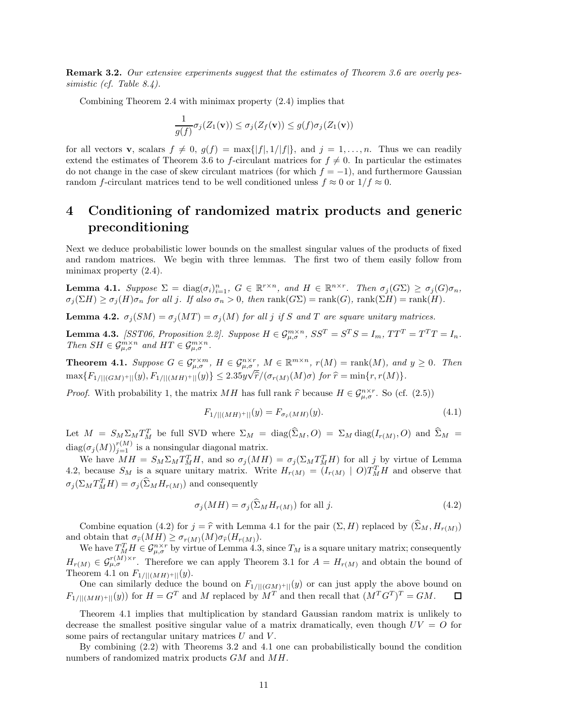**Remark 3.2.** *Our extensive experiments suggest that the estimates of Theorem 3.6 are overly pessimistic (cf. Table 8.4).*

Combining Theorem 2.4 with minimax property (2.4) implies that

$$
\frac{1}{g(f)}\sigma_j(Z_1(\mathbf{v})) \le \sigma_j(Z_f(\mathbf{v})) \le g(f)\sigma_j(Z_1(\mathbf{v}))
$$

for all vectors **v**, scalars  $f \neq 0$ ,  $g(f) = \max\{|f|, 1/|f|\}$ , and  $j = 1, \ldots, n$ . Thus we can readily extend the estimates of Theorem 3.6 to *f*-circulant matrices for  $f \neq 0$ . In particular the estimates do not change in the case of skew circulant matrices (for which  $f = -1$ ), and furthermore Gaussian random *f*-circulant matrices tend to be well conditioned unless  $f \approx 0$  or  $1/f \approx 0$ .

# **4 Conditioning of randomized matrix products and generic preconditioning**

Next we deduce probabilistic lower bounds on the smallest singular values of the products of fixed and random matrices. We begin with three lemmas. The first two of them easily follow from minimax property (2.4).

**Lemma 4.1.** Suppose  $\Sigma = \text{diag}(\sigma_i)_{i=1}^n$ ,  $G \in \mathbb{R}^{r \times n}$ , and  $H \in \mathbb{R}^{n \times r}$ . Then  $\sigma_j(G\Sigma) \geq \sigma_j(G)\sigma_n$ ,  $\sigma_i(\Sigma H) \geq \sigma_i(H)\sigma_n$  for all j. If also  $\sigma_n > 0$ , then rank $(G\Sigma) = \text{rank}(G)$ , rank $(\Sigma H) = \text{rank}(H)$ .

**Lemma 4.2.**  $\sigma_j(SM) = \sigma_j(MT) = \sigma_j(M)$  for all *j* if *S* and *T* are square unitary matrices.

**Lemma 4.3.** [SST06, Proposition 2.2]. Suppose  $H \in \mathcal{G}_{\mu,\sigma}^{m \times n}$ ,  $SS^T = S^T S = I_m$ ,  $TT^T = T^T T = I_n$ . *Then*  $SH \in \mathcal{G}_{\mu,\sigma}^{m \times n}$  *and*  $HT \in \mathcal{G}_{\mu,\sigma}^{m \times n}$ *.* 

**Theorem 4.1.** Suppose  $G \in \mathcal{G}_{\mu,\sigma}^{r\times m}$ ,  $H \in \mathcal{G}_{\mu,\sigma}^{n\times r}$ ,  $M \in \mathbb{R}^{m\times n}$ ,  $r(M) = \text{rank}(M)$ , and  $y \geq 0$ . Then  $\max\{F_{1/||(GM)^+||}(y), F_{1/||(MH)^+||}(y)\} \le 2.35y$  $\sigma$  $\hat{r}/(\sigma_{r(M)}(M)\sigma)$  *for*  $\hat{r} = \min\{r, r(M)\}.$ 

*Proof.* With probability 1, the matrix *MH* has full rank  $\hat{r}$  because  $H \in \mathcal{G}_{\mu,\sigma}^{n \times r}$ . So (cf. (2.5))

$$
F_{1/||(MH)^{+}||}(y) = F_{\sigma_{\hat{r}}(MH)}(y). \tag{4.1}
$$

Let  $M = S_M \Sigma_M T_M^T$  be full SVD where  $\Sigma_M = \text{diag}(\Sigma_M, O) = \Sigma_M \text{diag}(I_{r(M)}, O)$  and  $\widehat{\Sigma}_M =$  $\text{diag}(\sigma_j(M))_{j=1}^{r(M)}$  is a nonsingular diagonal matrix.

We have  $MH = S_M \Sigma_M T_M^T H$ , and so  $\sigma_j(MH) = \sigma_j(\Sigma_M T_M^T H)$  for all  $j$  by virtue of Lemma 4.2, because  $S_M$  is a square unitary matrix. Write  $H_{r(M)} = (I_{r(M)} \mid O)T_M^T H$  and observe that  $\sigma_j(\Sigma_M T_M^T H) = \sigma_j(\Sigma_M H_{r(M)})$  and consequently

$$
\sigma_j(MH) = \sigma_j(\widehat{\Sigma}_M H_{r(M)}) \text{ for all } j.
$$
\n(4.2)

Combine equation (4.2) for  $j = \hat{r}$  with Lemma 4.1 for the pair  $(\Sigma, H)$  replaced by  $(\widehat{\Sigma}_M, H_{r(M)})$ and obtain that  $\sigma_{\hat{r}}(MH) \geq \sigma_{r(M)}(M) \sigma_{\hat{r}}(H_{r(M)})$ .

We have  $T_M^T H \in \mathcal{G}_{\mu,\sigma}^{n \times r}$  by virtue of Lemma 4.3, since  $T_M$  is a square unitary matrix; consequently  $H_r(M) \in \mathcal{G}_{\mu,\sigma}^{r(M)\times r}$ . Therefore we can apply Theorem 3.1 for  $A = H_r(M)$  and obtain the bound of Theorem 4.1 on  $F_{1/||(MH)^+||}(y)$ .

One can similarly deduce the bound on  $F_{1/||(GM)^+||}(y)$  or can just apply the above bound on  $F_{1/||(GM)^+||}(y)$  for  $H = G^T$  and M replaced by  $M^T$  and then recall that  $(M^T G^T)^T = GM$ .  $F_{1/||(MH)+||(}(y))$  for  $H = G^T$  and *M* replaced by  $M^T$  and then recall that  $(M^T G^T)^T = GM$ .

Theorem 4.1 implies that multiplication by standard Gaussian random matrix is unlikely to decrease the smallest positive singular value of a matrix dramatically, even though  $UV = O$  for some pairs of rectangular unitary matrices *U* and *V* .

By combining (2.2) with Theorems 3.2 and 4.1 one can probabilistically bound the condition numbers of randomized matrix products *GM* and *MH*.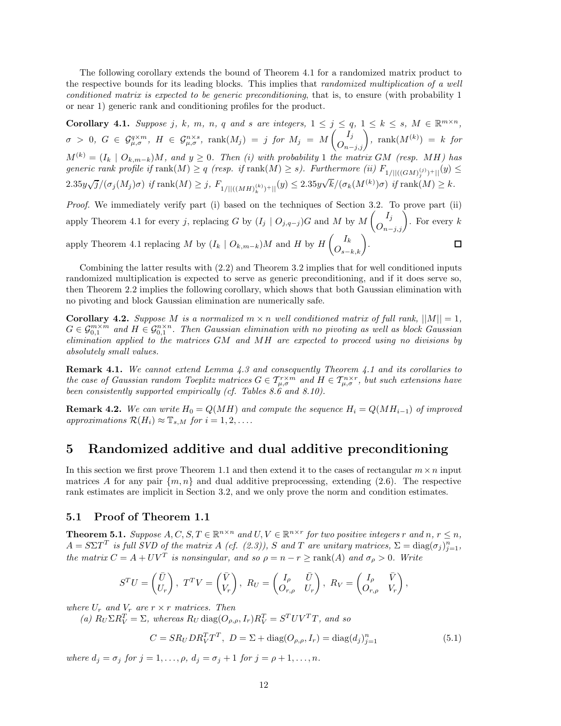The following corollary extends the bound of Theorem 4.1 for a randomized matrix product to the respective bounds for its leading blocks. This implies that *randomized multiplication of a well conditioned matrix is expected to be generic preconditioning*, that is, to ensure (with probability 1 or near 1) generic rank and conditioning profiles for the product.

**Corollary 4.1.** Suppose j, k, m, n, q and s are integers,  $1 \le j \le q$ ,  $1 \le k \le s$ ,  $M \in \mathbb{R}^{m \times n}$ ,  $\sigma\ >\ 0,\ \ G\ \in\ \mathcal G^{q\times m}_{\mu,\sigma},\ \ H\ \in\ \mathcal G^{n\times s}_{\mu,\sigma},\ \ \mathrm{rank}(M_j)\ =\ j\ \ for\ \ M_j\ =\ M\begin{pmatrix} I_j\ O_{n-j,j} \end{pmatrix},\ \ \mathrm{rank}(M^{(k)})\ =\ k\ \ for\$  $M^{(k)} = (I_k \mid O_{k,m-k})M$ , and  $y \geq 0$ . Then (i) with probability 1 the matrix *GM* (resp. MH) has  $generic$  rank profile if  $\text{rank}(M) \ge q$  (resp. if  $\text{rank}(M) \ge s$ ). Furthermore (ii)  $F_{1/||((GM)_j^{(j)})+||}(y) \le$  $2.35y\sqrt{j}/(\sigma_j(M_j)\sigma)$  *if* rank $(M) \geq j$ ,  $F_{1/||((MH)_k^{(k)})+||}(y) \leq 2.35y$  $\sqrt{k}/(\sigma_k(M^{(k)})\sigma)$  *if* rank $(M) \geq k$ .

*Proof.* We immediately verify part (i) based on the techniques of Section 3.2. To prove part (ii) apply Theorem 4.1 for every *j*, replacing *G* by  $(I_j \mid O_{j,q-j})$ *G* and *M* by  $M\begin{pmatrix}I_j \ O_{n-j,j}\end{pmatrix}$ . For every *k* apply Theorem 4.1 replacing *M* by  $(I_k \mid O_{k,m-k})M$  and *H* by  $H\left(O_{s-k,k}\right)$ . ◻

Combining the latter results with (2.2) and Theorem 3.2 implies that for well conditioned inputs randomized multiplication is expected to serve as generic preconditioning, and if it does serve so, then Theorem 2.2 implies the following corollary, which shows that both Gaussian elimination with no pivoting and block Gaussian elimination are numerically safe.

**Corollary 4.2.** *Suppose M is a normalized*  $m \times n$  *well conditioned matrix of full rank,*  $||M|| = 1$ *,*  $G \in \mathcal{G}_{0,1}^{m \times m}$  and  $H \in \mathcal{G}_{0,1}^{n \times n}$ . Then Gaussian elimination with no pivoting as well as block Gaussian *elimination applied to the matrices GM and MH are expected to proceed using no divisions by absolutely small values.*

**Remark 4.1.** *We cannot extend Lemma 4.3 and consequently Theorem 4.1 and its corollaries to the case of Gaussian random Toeplitz matrices*  $G \in T^{\tau \times m}_{\mu,\sigma}$  and  $H \in T^{\eta \times r}_{\mu,\sigma}$ , but such extensions have *been consistently supported empirically (cf. Tables 8.6 and 8.10).*

**Remark 4.2.** We can write  $H_0 = Q(MH)$  and compute the sequence  $H_i = Q(MH_{i-1})$  of improved  $approximations \mathcal{R}(H_i) \approx \mathbb{T}_{s,M}$  *for*  $i = 1, 2, \ldots$ *.* 

## **5 Randomized additive and dual additive preconditioning**

In this section we first prove Theorem 1.1 and then extend it to the cases of rectangular  $m \times n$  input matrices A for any pair  $\{m, n\}$  and dual additive preprocessing, extending (2.6). The respective rank estimates are implicit in Section 3.2, and we only prove the norm and condition estimates.

### **5.1 Proof of Theorem 1.1**

**Theorem 5.1.** Suppose  $A, C, S, T \in \mathbb{R}^{n \times n}$  and  $U, V \in \mathbb{R}^{n \times r}$  for two positive integers  $r$  and  $n, r \leq n$ ,  $A = S\Sigma T^T$  *is full SVD of the matrix A (cf. (2.3)), S* and *T* are unitary matrices,  $\Sigma = \text{diag}(\sigma_j)_{j=1}^n$ , *the matrix*  $C = A + UV^T$  *is nonsingular, and so*  $\rho = n - r \geq \text{rank}(A)$  *<i>and*  $\sigma_\rho > 0$ *. Write* 

$$
S^{T}U = \begin{pmatrix} \bar{U} \\ U_{r} \end{pmatrix}, T^{T}V = \begin{pmatrix} \bar{V} \\ V_{r} \end{pmatrix}, R_{U} = \begin{pmatrix} I_{\rho} & \bar{U} \\ O_{r,\rho} & U_{r} \end{pmatrix}, R_{V} = \begin{pmatrix} I_{\rho} & \bar{V} \\ O_{r,\rho} & V_{r} \end{pmatrix},
$$

*where*  $U_r$  *and*  $V_r$  *are*  $r \times r$  *matrices. Then* 

 $P(V \cap R_V^T) = \sum$ , whereas  $R_U \text{diag}(O_{\rho,\rho}, I_r) R_V^T = S^T U V^T T$ , and so

$$
C = SR_U DR_V^TT^T, \ D = \Sigma + \text{diag}(O_{\rho,\rho}, I_r) = \text{diag}(d_j)_{j=1}^n
$$
\n(5.1)

*where*  $d_j = \sigma_j$  *for*  $j = 1, ..., \rho$ *,*  $d_j = \sigma_j + 1$  *for*  $j = \rho + 1, ..., n$ *.*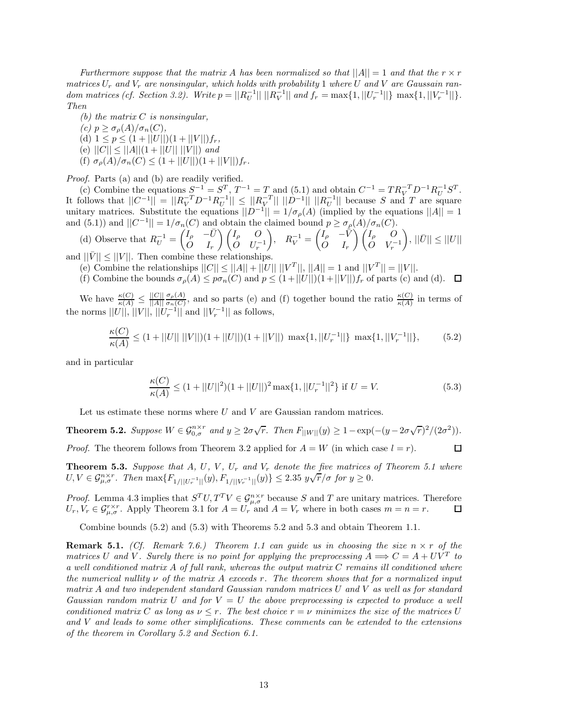*Furthermore suppose that the matrix A has been normalized so that*  $||A|| = 1$  *and that the*  $r \times r$ *matrices*  $U_r$  *and*  $V_r$  *are nonsingular, which holds with probability* 1 *where*  $U$  *and*  $V$  *are Gaussain ran*dom matrices (cf. Section 3.2). Write  $p = ||R_U^{-1}|| \, ||R_V^{-1}||$  and  $f_r = \max\{1, ||U_r^{-1}||\} \, \max\{1, ||V_r^{-1}||\}.$ *Then*

- *(b) the matrix C is nonsingular,*
- $(c)$   $p \geq \sigma_p(A)/\sigma_n(C)$ ,
- (d)  $1 \leq p \leq (1 + ||U||)(1 + ||V||)f_r$ ,
- $(e)$   $||C|| \leq ||A||(1 + ||U|| ||V||)$  *and*
- (f)  $\sigma_{\rho}(A)/\sigma_n(C) \leq (1 + ||U||)(1 + ||V||)f_r$ .

*Proof.* Parts (a) and (b) are readily verified.

(c) Combine the equations  $S^{-1} = S^T$ ,  $T^{-1} = T$  and (5.1) and obtain  $C^{-1} = TR_V^{-T}D^{-1}R_U^{-1}S^T$ . It follows that  $||C^{-1}|| = ||R_V^{-T}D^{-1}R_U^{-1}|| \leq ||R_V^{-T}|| ||D^{-1}|| ||R_U^{-1}||$  because *S* and *T* are square unitary matrices. Substitute the equations  $||D^{-1}|| = 1/\sigma_{\rho}(A)$  (implied by the equations  $||A|| = 1$ and (5.1)) and  $||C^{-1}|| = 1/\sigma_n(C)$  and obtain the claimed bound  $p \geq \sigma_p(A)/\sigma_n(C)$ .

(d) Observe that 
$$
R_U^{-1} = \begin{pmatrix} I_\rho & -\bar{U} \\ O & I_r \end{pmatrix} \begin{pmatrix} I_\rho & O \\ O & U_r^{-1} \end{pmatrix}
$$
,  $R_V^{-1} = \begin{pmatrix} I_\rho & -\bar{V} \\ O & I_r \end{pmatrix} \begin{pmatrix} I_\rho & O \\ O & V_r^{-1} \end{pmatrix}$ ,  $||\bar{U}|| \le ||U||$   
and  $||\bar{V}|| \le ||V||$ . Then combine these relationships.

(e) Combine the relationships  $||C|| \le ||A|| + ||U|| ||V^T||$ ,  $||A|| = 1$  and  $||V^T|| = ||V||$ .

(f) Combine the bounds  $\sigma_{\rho}(A) \leq p\sigma_n(C)$  and  $p \leq (1+||U||)(1+||V||)f_r$  of parts (c) and (d).  $\Box$ 

We have  $\frac{\kappa(C)}{\kappa(A)} \leq \frac{||C||}{||A||}$ *σ*<sub>ρ</sub>(*A*), and so parts (e) and (f) together bound the ratio  $\frac{\kappa(C)}{\kappa(A)}$  in terms of the norms  $||U||, ||V||, ||U_r^{-1}||$  and  $||V_r^{-1}||$  as follows,

$$
\frac{\kappa(C)}{\kappa(A)} \le (1 + ||U|| \, ||V||)(1 + ||U||)(1 + ||V||) \, \max\{1, ||U_r^{-1}||\} \, \max\{1, ||V_r^{-1}||\},\tag{5.2}
$$

and in particular

$$
\frac{\kappa(C)}{\kappa(A)} \le (1 + ||U||^2)(1 + ||U||)^2 \max\{1, ||U_r^{-1}||^2\} \text{ if } U = V. \tag{5.3}
$$

Let us estimate these norms where  $U$  and  $V$  are Gaussian random matrices.

**Theorem 5.2.** Suppose  $W \in \mathcal{G}_{0,\sigma}^{n \times r}$  and  $y \geq 2\sigma\sqrt{r}$ . Then  $F_{||W||}(y) \geq 1 - \exp(-(y - 2\sigma\sqrt{r})^2/(2\sigma^2))$ . *Proof.* The theorem follows from Theorem 3.2 applied for  $A = W$  (in which case  $l = r$ ). 口

**Theorem 5.3.** Suppose that A, U, V,  $U_r$  and  $V_r$  denote the five matrices of Theorem 5.1 where *U, V*  $\in$   $\mathcal{G}_{\mu,\sigma}^{n\times r}$ . Then max $\{F_{1/||U_r^{-1}||}(y), F_{1/||V_r^{-1}||}(y)\}$   $\leq$  2.35  $y\sqrt{r}/\sigma$  for  $y \geq 0$ .

*Proof.* Lemma 4.3 implies that  $S^T U, T^T V \in \mathcal{G}_{\mu,\sigma}^{n \times r}$  because *S* and *T* are unitary matrices. Therefore  $U_r, V_r \in \mathcal{G}_{\mu,\sigma}^{r \times r}$ . Apply Theorem 3.1 for  $A = U_r$  and  $A = V_r$  where in both cases  $m = n = r$ . □

Combine bounds (5.2) and (5.3) with Theorems 5.2 and 5.3 and obtain Theorem 1.1.

**Remark 5.1.** *(Cf. Remark 7.6.)* Theorem 1.1 can guide us in choosing the size  $n \times r$  of the *matrices U* and *V*. Surely there is no point for applying the preprocessing  $A \Longrightarrow C = A + UV^T$  *to a well conditioned matrix A of full rank, whereas the output matrix C remains ill conditioned where the numerical nullity ν of the matrix A exceeds r. The theorem shows that for a normalized input matrix A and two independent standard Gaussian random matrices U and V as well as for standard Gaussian random matrix U and for V* = *U the above preprocessing is expected to produce a well conditioned matrix C as long as*  $\nu \leq r$ *. The best choice*  $r = \nu$  *minimizes the size of the matrices U and V and leads to some other simplifications. These comments can be extended to the extensions of the theorem in Corollary 5.2 and Section 6.1.*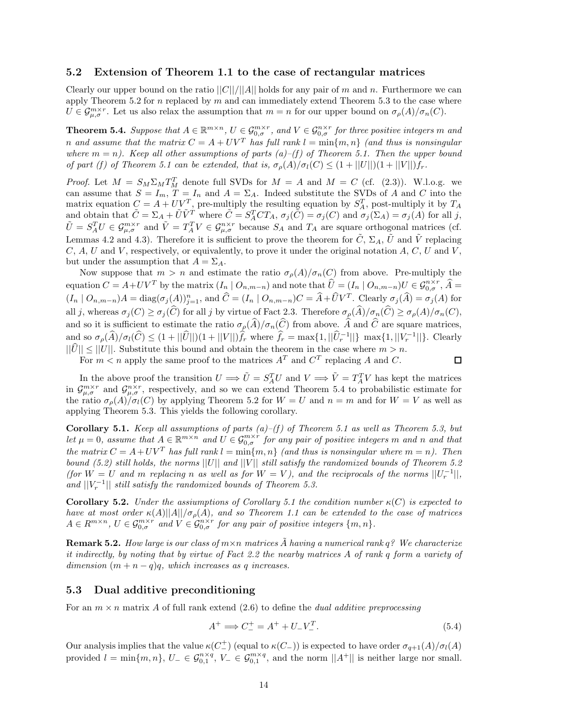#### **5.2 Extension of Theorem 1.1 to the case of rectangular matrices**

Clearly our upper bound on the ratio  $||C||/||A||$  holds for any pair of *m* and *n*. Furthermore we can apply Theorem 5.2 for *n* replaced by *m* and can immediately extend Theorem 5.3 to the case where  $U \in \mathcal{G}_{\mu,\sigma}^{m\times r}$ . Let us also relax the assumption that  $m = n$  for our upper bound on  $\sigma_{\rho}(A)/\sigma_n(C)$ .

**Theorem 5.4.** Suppose that  $A \in \mathbb{R}^{m \times n}$ ,  $U \in \mathcal{G}_{0,\sigma}^{m \times r}$ , and  $V \in \mathcal{G}_{0,\sigma}^{n \times r}$  for three positive integers m and *n* and assume that the matrix  $C = A + UV^T$  has full rank  $l = \min\{m, n\}$  (and thus is nonsingular where  $m = n$ ). Keep all other assumptions of parts (a)–(f) of Theorem 5.1. Then the upper bound *of part (f) of Theorem 5.1 can be extended, that is,*  $\sigma_p(A)/\sigma_l(C) \leq (1+||U||)(1+||V||)f_r$ .

*Proof.* Let  $M = S_M \Sigma_M T_M^T$  denote full SVDs for  $M = A$  and  $M = C$  (cf. (2.3)). W.l.o.g. we can assume that  $S = I_m$ ,  $T = I_n$  and  $A = \Sigma_A$ . Indeed substitute the SVDs of A and C into the matrix equation  $C = A + U V^T$ , pre-multiply the resulting equation by  $S_A^T$ , post-multiply it by  $T_A$ and obtain that  $\tilde{C} = \Sigma_A + \tilde{U}\tilde{V}^T$  where  $\tilde{C} = S_A^T C T_A$ ,  $\sigma_j(\tilde{C}) = \sigma_j(C)$  and  $\sigma_j(\Sigma_A) = \sigma_j(A)$  for all j,  $\tilde{U} = S_A^T U \in \mathcal{G}_{\mu,\sigma}^{m \times r}$  and  $\tilde{V} = T_A^T V \in \mathcal{G}_{\mu,\sigma}^{n \times r}$  because  $S_A$  and  $T_A$  are square orthogonal matrices (cf. Lemmas 4.2 and 4.3). Therefore it is sufficient to prove the theorem for  $\tilde{C}$ ,  $\Sigma_A$ ,  $\tilde{U}$  and  $\tilde{V}$  replacing *C*, *A*, *U* and *V* , respectively, or equivalently, to prove it under the original notation *A*, *C*, *U* and *V* , but under the assumption that  $A = \Sigma_A$ .

Now suppose that  $m > n$  and estimate the ratio  $\sigma_{\rho}(A)/\sigma_n(C)$  from above. Pre-multiply the equation  $C = A + UV^T$  by the matrix  $(I_n | O_{n,m-n})$  and note that  $\hat{U} = (I_n | O_{n,m-n})U \in \mathcal{G}_{0,\sigma}^{n \times r}$ ,  $\hat{A} =$  $(I_n \mid O_{n,m-n})A = \text{diag}(\sigma_j(A))_{j=1}^n$ , and  $\hat{C} = (I_n \mid O_{n,m-n})C = \hat{A} + \hat{U}V^T$ . Clearly  $\sigma_j(\hat{A}) = \sigma_j(A)$  for all j, whereas  $\sigma_j(C) \geq \sigma_j(\widehat{C})$  for all j by virtue of Fact 2.3. Therefore  $\sigma_p(\widehat{A})/\sigma_n(\widehat{C}) \geq \sigma_p(A)/\sigma_n(C)$ , and so it is sufficient to estimate the ratio  $\sigma_{\rho}(\widehat{A})/\sigma_n(\widehat{C})$  from above.  $\widehat{A}$  and  $\widehat{C}$  are square matrices, and so  $\sigma_{\rho}(\widehat{A})/\sigma_l(\widehat{C}) \leq (1+||\widehat{U}||)(1+||V||)\widehat{f}_r$  where  $\widehat{f}_r = \max\{1, ||\widehat{U}_r^{-1}||\}$  max $\{1, ||V_r^{-1}||\}$ . Clearly  $||\hat{U}|| \leq ||U||$ . Substitute this bound and obtain the theorem in the case where  $m > n$ .

For  $m < n$  apply the same proof to the matrices  $A<sup>T</sup>$  and  $C<sup>T</sup>$  replacing *A* and *C*.

$$
\Box
$$

In the above proof the transition  $U \implies \tilde{U} = S_A^T U$  and  $V \implies \tilde{V} = T_A^T V$  has kept the matrices in  $\mathcal{G}_{\mu,\sigma}^{m\times r}$  and  $\mathcal{G}_{\mu,\sigma}^{n\times r}$ , respectively, and so we can extend Theorem 5.4 to probabilistic estimate for the ratio  $\sigma_p(A)/\sigma_l(C)$  by applying Theorem 5.2 for  $W = U$  and  $n = m$  and for  $W = V$  as well as applying Theorem 5.3. This yields the following corollary.

**Corollary 5.1.** *Keep all assumptions of parts (a)–(f) of Theorem 5.1 as well as Theorem 5.3, but let*  $\mu = 0$ , assume that  $A \in \mathbb{R}^{m \times n}$  and  $U \in \mathcal{G}_{0,\sigma}^{m \times r}$  for any pair of positive integers m and n and that *the matrix*  $C = A + UV^T$  *has full rank*  $l = \min\{m, n\}$  *(and thus is nonsingular where*  $m = n$ *). Then bound (5.2) still holds, the norms* ||*U*|| *and* ||*V* || *still satisfy the randomized bounds of Theorem 5.2 (for*  $W = U$  *and*  $m$  *replacing*  $n$  *as well as for*  $W = V$ *), and the reciprocals of the norms*  $||U_r^{-1}||$ *, and*  $||V_r^{-1}||$  *still satisfy the randomized bounds of Theorem 5.3.* 

**Corollary 5.2.** *Under the assiumptions of Corollary 5.1 the condition number κ*(*C*) *is expected to have at most order*  $\kappa(A)||A||/\sigma_{\rho}(A)$ *, and so Theorem 1.1 can be extended to the case of matrices*  $A \in R^{m \times n}$ ,  $U \in \mathcal{G}_{0,\sigma}^{m \times r}$  and  $V \in \mathcal{G}_{0,\sigma}^{n \times r}$  for any pair of positive integers  $\{m,n\}$ *.* 

**Remark 5.2.** *How large is our class of*  $m \times n$  *matrices*  $\tilde{A}$  *having a numerical rank*  $q$ *?* We characterize *it indirectly, by noting that by virtue of Fact 2.2 the nearby matrices A of rank q form a variety of dimension*  $(m + n - q)q$ *, which increases as q increases.* 

#### **5.3 Dual additive preconditioning**

For an  $m \times n$  matrix A of full rank extend  $(2.6)$  to define the *dual additive preprocessing* 

$$
A^{+} \implies C_{-}^{+} = A^{+} + U_{-}V_{-}^{T}.
$$
\n(5.4)

Our analysis implies that the value  $κ(C_$ <sup>+</sup> $)$  (equal to  $κ(C_$ )) is expected to have order  $σ_{q+1}(A)/σ_l(A)$ provided  $l = \min\{m, n\}$ ,  $U - \in \mathcal{G}_{0,1}^{n \times q}$ ,  $V - \in \mathcal{G}_{0,1}^{m \times q}$ , and the norm  $||A^+||$  is neither large nor small.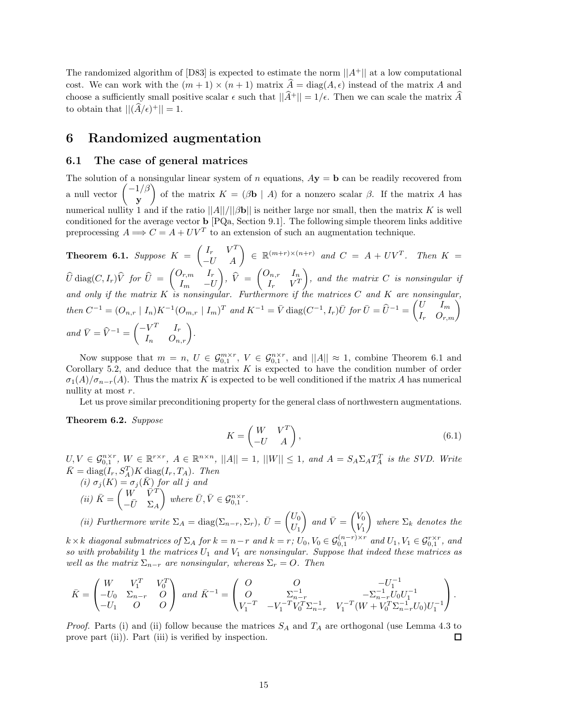The randomized algorithm of [D83] is expected to estimate the norm  $||A^+||$  at a low computational cost. We can work with the  $(m+1) \times (n+1)$  matrix  $\hat{A} = \text{diag}(A, \epsilon)$  instead of the matrix A and choose a sufficiently small positive scalar  $\epsilon$  such that  $||\hat{A}^+|| = 1/\epsilon$ . Then we can scale the matrix  $\hat{A}$ to obtain that  $||(\widehat{A}/\epsilon)^+|| = 1$ .

## **6 Randomized augmentation**

#### **6.1 The case of general matrices**

The solution of a nonsingular linear system of *n* equations,  $A\mathbf{y} = \mathbf{b}$  can be readily recovered from a null vector  $\begin{pmatrix} -1/\beta \\ -1 \end{pmatrix}$ **y** of the matrix  $K = (\beta \mathbf{b} \mid A)$  for a nonzero scalar  $\beta$ . If the matrix *A* has numerical nullity 1 and if the ratio  $||A||/||Bb||$  is neither large nor small, then the matrix *K* is well conditioned for the average vector **b** [PQa, Section 9.1]. The following simple theorem links additive preprocessing  $A \Longrightarrow C = A + UV^T$  to an extension of such an augmentation technique.

**Theorem 6.1.** Suppose  $K = \begin{pmatrix} I_r & V^T \ -U & A \end{pmatrix} \in \mathbb{R}^{(m+r)\times(n+r)}$  and  $C = A + UV^T$ . Then  $K =$  $\widehat{U}$  diag $(C, I_r)\widehat{V}$  *for*  $\widehat{U}$  =  $\begin{pmatrix} O_{r,m} & I_r \ I_m & -U_r \end{pmatrix}$ *I<sup>m</sup>* −*U*  $\left( \begin{matrix} \hat{V} \ \hat{V} \ \end{matrix} \right) = \left( \begin{matrix} O_{n,r} & I_n \ I_r & V^T \ \end{matrix} \right)$  $I_r$   $V^T$ - *, and the matrix C is nonsingular if and only if the matrix K is nonsingular. Furthermore if the matrices C and K are nonsingular,*  $then C^{-1} = (O_{n,r} | I_n) K^{-1} (O_{m,r} | I_m)^T$  and  $K^{-1} = \bar{V}$  diag $(C^{-1}, I_r) \bar{U}$  for  $\bar{U} = \hat{U}^{-1} = \begin{pmatrix} U & I_m \\ I_r & O_{r,m} \end{pmatrix}$  $and \ \bar{V} = \hat{V}^{-1} = \begin{pmatrix} -V^T & I_r \\ I_n & O_{n,r} \end{pmatrix}.$ 

Now suppose that  $m = n$ ,  $U \in \mathcal{G}_{0,1}^{m \times r}$ ,  $V \in \mathcal{G}_{0,1}^{n \times r}$ , and  $||A|| \approx 1$ , combine Theorem 6.1 and Corollary 5.2, and deduce that the matrix *K* is expected to have the condition number of order  $\sigma_1(A)/\sigma_{n-r}(A)$ . Thus the matrix *K* is expected to be well conditioned if the matrix *A* has numerical nullity at most *r*.

Let us prove similar preconditioning property for the general class of northwestern augmentations.

**Theorem 6.2.** *Suppose*

$$
K = \begin{pmatrix} W & V^T \\ -U & A \end{pmatrix},\tag{6.1}
$$

 $U, V \in \mathcal{G}_{0,1}^{n \times r}$ ,  $W \in \mathbb{R}^{r \times r}$ ,  $A \in \mathbb{R}^{n \times n}$ ,  $||A|| = 1$ ,  $||W|| \leq 1$ , and  $A = S_A \Sigma_A T_A^T$  is the SVD. Write  $\bar{K} = \text{diag}(I_r, S_A^T)K \underbrace{\text{diag}}(I_r, T_A)$ *. Then* 

 $(i) \sigma_j(K) = \sigma_j(\bar{K})$  *for all j and*  $(iii)$   $\bar{K} = \begin{pmatrix} W & \bar{V}^T \\ \bar{U} & \Sigma \end{pmatrix}$  $-\bar{U}$   $\Sigma_A$  $\left\{ \text{where } \overline{U}, \overline{V} \in \mathcal{G}_{0,1}^{n \times r}. \right\}$ 

*(ii)* Furthermore write  $\Sigma_A = \text{diag}(\Sigma_{n-r}, \Sigma_r)$ ,  $\bar{U} = \begin{pmatrix} U_0 \\ U_1 \end{pmatrix}$  $U_1$  $\int$  and  $\bar{V} = \begin{pmatrix} V_0 \\ V \end{pmatrix}$ *V*1  $\bigg)$  where  $\Sigma_k$  denotes the  $k \times k$  diagonal submatrices of  $\Sigma_A$  for  $k = n - r$  and  $k = r$ ;  $U_0, V_0 \in \mathcal{G}_{0,1}^{(n-r)\times r}$  and  $U_1, V_1 \in \mathcal{G}_{0,1}^{r \times r}$ , and

*so with probability* 1 *the matrices U*<sup>1</sup> *and V*<sup>1</sup> *are nonsingular. Suppose that indeed these matrices as well as the matrix*  $\Sigma_{n-r}$  *are nonsingular, whereas*  $\Sigma_r = O$ *. Then* 

$$
\bar{K} = \begin{pmatrix} W & V_1^T & V_0^T \\ -U_0 & \Sigma_{n-r} & O \\ -U_1 & O & O \end{pmatrix} \text{ and } \bar{K}^{-1} = \begin{pmatrix} O & O & -U_1^{-1} \\ O & \Sigma_{n-r}^{-1} & -\Sigma_{n-r}^{-1}U_0U_1^{-1} \\ V_1^{-T} & -V_1^{-T}V_0^T\Sigma_{n-r}^{-1} & V_1^{-T}(W + V_0^T\Sigma_{n-r}^{-1}U_0)U_1^{-1} \end{pmatrix}.
$$

*Proof.* Parts (i) and (ii) follow because the matrices *S<sup>A</sup>* and *T<sup>A</sup>* are orthogonal (use Lemma 4.3 to prove part (ii)). Part (iii) is verified by inspection. □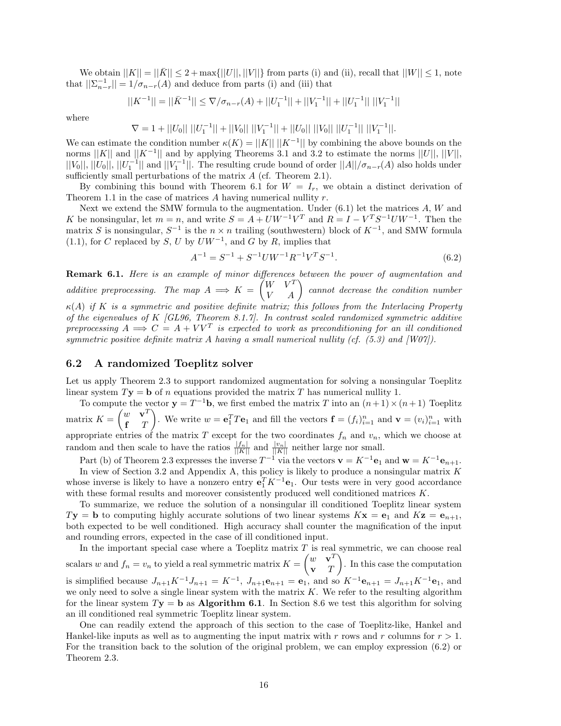We obtain  $||K|| = ||\overline{K}|| \leq 2 + \max\{||U||, ||V||\}$  from parts (i) and (ii), recall that  $||W|| \leq 1$ , note that  $||\sum_{n-r}^{-1}|| = 1/\sigma_{n-r}(A)$  and deduce from parts (i) and (iii) that

$$
||K^{-1}|| = ||\bar{K}^{-1}|| \leq \nabla/\sigma_{n-r}(A) + ||U_1^{-1}|| + ||V_1^{-1}|| + ||U_1^{-1}|| ||V_1^{-1}||
$$

where

 $\nabla = 1 + ||U_0|| \, ||U_1^{-1}|| + ||V_0|| \, ||V_1^{-1}|| + ||U_0|| \, ||V_0|| \, ||U_1^{-1}|| \, ||V_1^{-1}||.$ 

We can estimate the condition number  $\kappa(K) = ||K|| \, ||K^{-1}||$  by combining the above bounds on the norms  $||K||$  and  $||K^{-1}||$  and by applying Theorems 3.1 and 3.2 to estimate the norms  $||U||$ ,  $||V||$ ,  $||V_0||$ ,  $||U_0||$ ,  $||U_1^{-1}||$  and  $||V_1^{-1}||$ . The resulting crude bound of order  $||A||/\sigma_{n-r}(A)$  also holds under sufficiently small perturbations of the matrix *A* (cf. Theorem 2.1).

By combining this bound with Theorem 6.1 for  $W = I_r$ , we obtain a distinct derivation of Theorem 1.1 in the case of matrices *A* having numerical nullity *r*.

Next we extend the SMW formula to the augmentation. Under (6.1) let the matrices *A*, *W* and *K* be nonsingular, let  $m = n$ , and write  $S = A + UW^{-1}V^{T}$  and  $R = I - V^{T}S^{-1}UW^{-1}$ . Then the matrix *S* is nonsingular,  $S^{-1}$  is the  $n \times n$  trailing (southwestern) block of  $K^{-1}$ , and SMW formula (1.1), for *C* replaced by *S*, *U* by  $U W^{-1}$ , and *G* by *R*, implies that

$$
A^{-1} = S^{-1} + S^{-1}UW^{-1}R^{-1}V^{T}S^{-1}.
$$
\n(6.2)

**Remark 6.1.** *Here is an example of minor differences between the power of augmentation and*  $additive \text{ }preprocessing.$  The map  $A \implies K = \begin{pmatrix} W & V^T \ V & A \end{pmatrix}$  cannot decrease the condition number *κ*(*A*) *if K is a symmetric and positive definite matrix; this follows from the Interlacing Property of the eigenvalues of K [GL96, Theorem 8.1.7]. In contrast scaled randomized symmetric additive preprocessing*  $A \implies C = A + V V^T$  *is expected to work as preconditioning for an ill conditioned symmetric positive definite matrix A having a small numerical nullity (cf. (5.3) and [W07]).*

## **6.2 A randomized Toeplitz solver**

Let us apply Theorem 2.3 to support randomized augmentation for solving a nonsingular Toeplitz linear system  $T$ **y** = **b** of *n* equations provided the matrix *T* has numerical nullity 1.

To compute the vector  $\mathbf{y} = T^{-1}\mathbf{b}$ , we first embed the matrix *T* into an  $(n+1) \times (n+1)$  Toeplitz matrix  $K = \begin{pmatrix} w & \mathbf{v}^T \\ \mathbf{r} & T \end{pmatrix}$ **f** *T* ). We write  $w = \mathbf{e}_1^T T \mathbf{e}_1$  and fill the vectors  $\mathbf{f} = (f_i)_{i=1}^n$  and  $\mathbf{v} = (v_i)_{i=1}^n$  with appropriate entries of the matrix  $T$  except for the two coordinates  $f_n$  and  $v_n$ , which we choose at random and then scale to have the ratios  $\frac{|f_n|}{||K||}$  and  $\frac{|v_n|}{||K||}$  neither large nor small.

Part (b) of Theorem 2.3 expresses the inverse  $T^{-1}$  via the vectors  $\mathbf{v} = K^{-1} \mathbf{e}_1$  and  $\mathbf{w} = K^{-1} \mathbf{e}_{n+1}$ .

In view of Section 3.2 and Appendix A, this policy is likely to produce a nonsingular matrix *K* whose inverse is likely to have a nonzero entry  $\mathbf{e}_1^T K^{-1} \mathbf{e}_1$ . Our tests were in very good accordance with these formal results and moreover consistently produced well conditioned matrices *K*.

To summarize, we reduce the solution of a nonsingular ill conditioned Toeplitz linear system  $T$ **y** = **b** to computing highly accurate solutions of two linear systems  $K$ **x** = **e**<sub>1</sub> and  $K$ **z** = **e**<sub>*n*+1</sub>, both expected to be well conditioned. High accuracy shall counter the magnification of the input and rounding errors, expected in the case of ill conditioned input.

In the important special case where a Toeplitz matrix *T* is real symmetric, we can choose real scalars *w* and  $f_n = v_n$  to yield a real symmetric matrix  $K = \begin{pmatrix} w & \mathbf{v}^T \\ \mathbf{v} & T \end{pmatrix}$ **v** *T* - . In this case the computation is simplified because  $J_{n+1}K^{-1}J_{n+1} = K^{-1}$ ,  $J_{n+1}\mathbf{e}_{n+1} = \mathbf{e}_1$ , and so  $K^{-1}\mathbf{e}_{n+1} = J_{n+1}K^{-1}\mathbf{e}_1$ , and we only need to solve a single linear system with the matrix *K*. We refer to the resulting algorithm for the linear system  $T$ **y** = **b** as **Algorithm 6.1**. In Section 8.6 we test this algorithm for solving an ill conditioned real symmetric Toeplitz linear system.

One can readily extend the approach of this section to the case of Toeplitz-like, Hankel and Hankel-like inputs as well as to augmenting the input matrix with *r* rows and *r* columns for *r >* 1. For the transition back to the solution of the original problem, we can employ expression (6.2) or Theorem 2.3.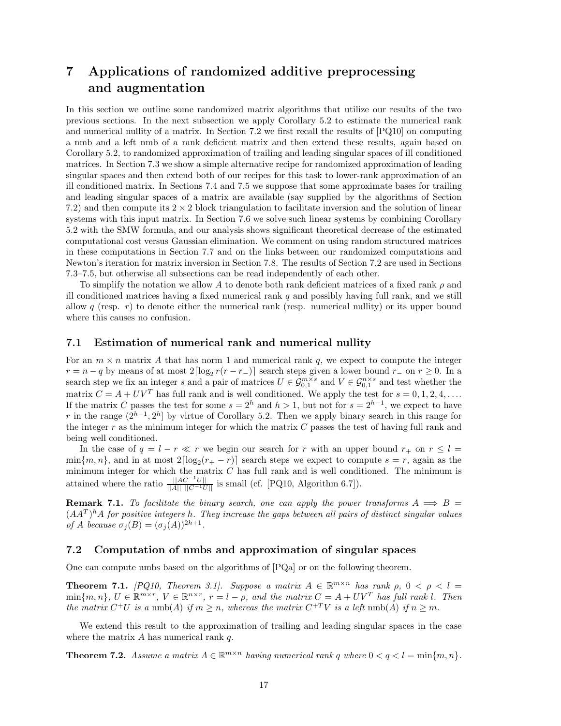# **7 Applications of randomized additive preprocessing and augmentation**

In this section we outline some randomized matrix algorithms that utilize our results of the two previous sections. In the next subsection we apply Corollary 5.2 to estimate the numerical rank and numerical nullity of a matrix. In Section 7.2 we first recall the results of [PQ10] on computing a nmb and a left nmb of a rank deficient matrix and then extend these results, again based on Corollary 5.2, to randomized approximation of trailing and leading singular spaces of ill conditioned matrices. In Section 7.3 we show a simple alternative recipe for randomized approximation of leading singular spaces and then extend both of our recipes for this task to lower-rank approximation of an ill conditioned matrix. In Sections 7.4 and 7.5 we suppose that some approximate bases for trailing and leading singular spaces of a matrix are available (say supplied by the algorithms of Section 7.2) and then compute its  $2 \times 2$  block triangulation to facilitate inversion and the solution of linear systems with this input matrix. In Section 7.6 we solve such linear systems by combining Corollary 5.2 with the SMW formula, and our analysis shows significant theoretical decrease of the estimated computational cost versus Gaussian elimination. We comment on using random structured matrices in these computations in Section 7.7 and on the links between our randomized computations and Newton's iteration for matrix inversion in Section 7.8. The results of Section 7.2 are used in Sections 7.3–7.5, but otherwise all subsections can be read independently of each other.

To simplify the notation we allow *A* to denote both rank deficient matrices of a fixed rank *ρ* and ill conditioned matrices having a fixed numerical rank *q* and possibly having full rank, and we still allow  $q$  (resp.  $r$ ) to denote either the numerical rank (resp. numerical nullity) or its upper bound where this causes no confusion.

### **7.1 Estimation of numerical rank and numerical nullity**

For an  $m \times n$  matrix A that has norm 1 and numerical rank q, we expect to compute the integer  $r = n - q$  by means of at most  $2\lceil \log_2 r(r - r_-\rceil) \rceil$  search steps given a lower bound  $r_-\,$  on  $r \geq 0$ . In a search step we fix an integer *s* and a pair of matrices  $U \in \mathcal{G}_{0,1}^{m \times s}$  and  $V \in \mathcal{G}_{0,1}^{n \times s}$  and test whether the matrix  $C = A + UV^T$  has full rank and is well conditioned. We apply the test for  $s = 0, 1, 2, 4, \ldots$ If the matrix *C* passes the test for some  $s = 2^h$  and  $h > 1$ , but not for  $s = 2^{h-1}$ , we expect to have *r* in the range  $(2^{h-1}, 2^h]$  by virtue of Corollary 5.2. Then we apply binary search in this range for the integer *r* as the minimum integer for which the matrix *C* passes the test of having full rank and being well conditioned.

In the case of  $q = l - r \ll r$  we begin our search for *r* with an upper bound  $r_+$  on  $r \leq l =$  $\min\{m, n\}$ , and in at most  $2\lceil \log_2(r_+ - r) \rceil$  search steps we expect to compute  $s = r$ , again as the minimum integer for which the matrix *C* has full rank and is well conditioned. The minimum is attained where the ratio  $\frac{||AC^{-1}U||}{||A|| ||C^{-1}U||}$  is small (cf. [PQ10, Algorithm 6.7]).

**Remark 7.1.** *To facilitate the binary search, one can apply the power transforms*  $A \implies B =$  $(AA<sup>T</sup>)<sup>h</sup>A$  *for positive integers h*. They increase the gaps between all pairs of distinct singular values *of A because*  $\sigma_j(B) = (\sigma_j(A))^{2h+1}$ .

## **7.2 Computation of nmbs and approximation of singular spaces**

One can compute nmbs based on the algorithms of [PQa] or on the following theorem.

**Theorem 7.1.** *[PQ10, Theorem 3.1]. Suppose a matrix*  $A \in \mathbb{R}^{m \times n}$  *has rank*  $\rho$ ,  $0 < \rho < l$  $\min\{m,n\},\ U\in\mathbb{R}^{m\times r},\ V\in\mathbb{R}^{n\times r},\ r=l-\rho,\ and\ the\ matrix\ C=A+UV^T\ has\ full\ rank\ l.$  Then *the matrix*  $C^+U$  *is a* nmb(*A*) *if*  $m \geq n$ *, whereas the matrix*  $C^{+T}V$  *is a left* nmb(*A*) *if*  $n > m$ *.* 

We extend this result to the approximation of trailing and leading singular spaces in the case where the matrix *A* has numerical rank *q*.

**Theorem 7.2.** *Assume a matrix*  $A \in \mathbb{R}^{m \times n}$  *having numerical rank q where*  $0 < q < l = \min\{m, n\}$ *.*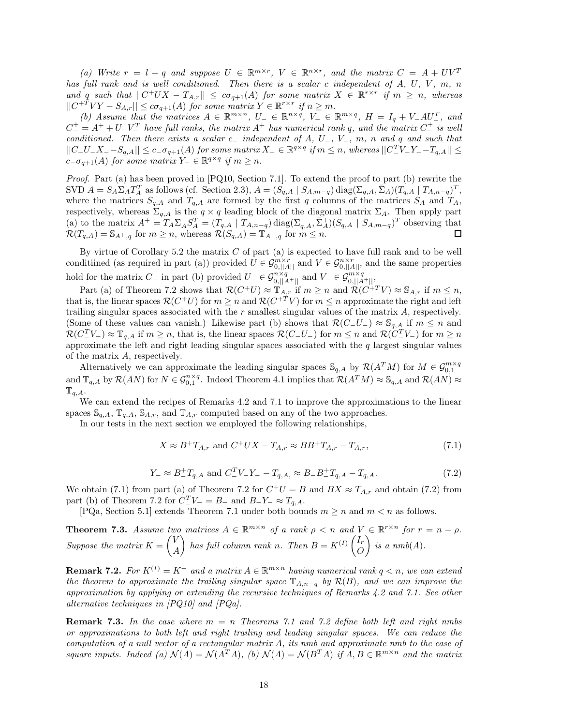*(a)* Write  $r = l - q$  and suppose  $U \in \mathbb{R}^{m \times r}$ ,  $V \in \mathbb{R}^{n \times r}$ , and the matrix  $C = A + UV^T$ *has full rank and is well conditioned. Then there is a scalar c independent of A, U, V , m, n and q such that*  $||C^+UX - T_{A,r}|| \leq c\sigma_{q+1}(A)$  *for some matrix*  $X \in \mathbb{R}^{r \times r}$  *if*  $m \geq n$ *, whereas*  $||C^{+T}VY - S_{A,r}|| \leq c\sigma_{q+1}(A)$  *for some matrix*  $Y \in \mathbb{R}^{r \times r}$  *if*  $n \geq m$ *.* 

*(b)* Assume that the matrices  $A \in \mathbb{R}^{m \times n}$ ,  $U_{-} \in \mathbb{R}^{n \times q}$ ,  $V_{-} \in \mathbb{R}^{m \times q}$ ,  $H = I_q + V_-AU_-^T$ , and  $C_{-}^{+} = A^{+} + U_{-}V_{-}^{T}$  *have full ranks, the matrix*  $A^{+}$  *has numerical rank q, and the matrix*  $C_{-}^{+}$  *is well conditioned. Then there exists a scalar c*<sup>−</sup> *independent of A, U*−*, V*−*, m, n and q and such that*  $||C_{-}U_{-}X_{-}-S_{q,A}|| \leq c_{-}\sigma_{q+1}(A)$  for some matrix  $X_{-} \in \mathbb{R}^{q \times q}$  if  $m \leq n$ , whereas  $||C_{-}^{T}V_{-}Y_{-}-T_{q,A}|| \leq$  $c_-\sigma_{q+1}(A)$  *for some matrix*  $Y_-\in\mathbb{R}^{q\times q}$  *if*  $m\geq n$ *.* 

*Proof.* Part (a) has been proved in [PQ10, Section 7.1]. To extend the proof to part (b) rewrite the SVD  $A = S_A \Sigma_A T_A^T$  as follows (cf. Section 2.3),  $A = (S_{q,A} \mid S_{A,m-q}) \text{diag}(\Sigma_{q,A}, \overline{\Sigma}_A) (T_{q,A} \mid T_{A,n-q})^T$ , where the matrices  $S_{q,A}$  and  $T_{q,A}$  are formed by the first *q* columns of the matrices  $S_A$  and  $T_A$ , respectively, whereas  $\Sigma_{q,A}$  is the  $q \times q$  leading block of the diagonal matrix  $\Sigma_A$ . Then apply part (a) to the matrix  $A^+ = T_A \Sigma_A^+ S_A^T = (T_{q,A} \mid T_{A,n-q}) \text{diag}(\Sigma_{q,A}^+, \Sigma_A^+)(S_{q,A} \mid S_{A,m-q})^T$  observing that  $\mathcal{R}(T_{q,A}) = \mathbb{S}_{A^+,q}$  for  $m \geq n$ , whereas  $\mathcal{R}(S_{q,A}) = \mathbb{T}_{A^+,q}$  for  $m \leq n$ .

By virtue of Corollary 5.2 the matrix *C* of part (a) is expected to have full rank and to be well conditiined (as required in part (a)) provided  $U \in \mathcal{G}_{0,||A||}^{m \times r}$  and  $V \in \mathcal{G}_{0,||A||}^{n \times r}$ , and the same properties hold for the matrix *C*− in part (b) provided  $U$ − ∈  $\mathcal{G}_{0,||A^+||}^{n \times q}$  and  $V$ − ∈  $\mathcal{G}_{0,||A^+||}^{m \times q}$ ,

Part (a) of Theorem 7.2 shows that  $\mathcal{R}(C^+U) \approx \mathbb{T}_{A,r}$  if  $m \geq n$  and  $\mathcal{R}(C^{+T}V) \approx \mathbb{S}_{A,r}$  if  $m \leq n$ , that is, the linear spaces  $\mathcal{R}(C^+U)$  for  $m \geq n$  and  $\mathcal{R}(C^{+T}V)$  for  $m \leq n$  approximate the right and left trailing singular spaces associated with the *r* smallest singular values of the matrix *A*, respectively. (Some of these values can vanish.) Likewise part (b) shows that  $\mathcal{R}(C-U_-) \approx \mathcal{S}_{q,A}$  if  $m \leq n$  and  $\mathcal{R}(C^T_\mathcal{I} V_{\mathcal{I}}) \approx \mathbb{T}_{q,A}$  if  $m \geq n$ , that is, the linear spaces  $\mathcal{R}(C_\mathcal{I} U_{\mathcal{I}})$  for  $m \leq n$  and  $\mathcal{R}(C^T_\mathcal{I} V_{\mathcal{I}})$  for  $m \geq n$ approximate the left and right leading singular spaces associated with the *q* largest singular values of the matrix *A*, respectively.

Alternatively we can approximate the leading singular spaces  $\mathcal{S}_{q,A}$  by  $\mathcal{R}(A^TM)$  for  $M \in \mathcal{G}_{0,1}^{m \times q}$ and  $\mathbb{T}_{q,A}$  by  $\mathcal{R}(AN)$  for  $N \in \mathcal{G}_{0,1}^{n \times q}$ . Indeed Theorem 4.1 implies that  $\mathcal{R}(A^T M) \approx \mathbb{S}_{q,A}$  and  $\mathcal{R}(AN) \approx$  $T_{q,A}.$ 

We can extend the recipes of Remarks 4.2 and 7.1 to improve the approximations to the linear spaces  $\mathbb{S}_{q,A}$ ,  $\mathbb{T}_{q,A}$ ,  $\mathbb{S}_{A,r}$ , and  $\mathbb{T}_{A,r}$  computed based on any of the two approaches.

In our tests in the next section we employed the following relationships,

$$
X \approx B^{+}T_{A,r}
$$
 and  $C^{+}UX - T_{A,r} \approx BB^{+}T_{A,r} - T_{A,r},$  (7.1)

$$
Y_{-} \approx B_{-}^{+}T_{q,A} \text{ and } C_{-}^{T}V_{-}Y_{-} - T_{q,A} \approx B_{-}B_{-}^{+}T_{q,A} - T_{q,A}.
$$
 (7.2)

We obtain (7.1) from part (a) of Theorem 7.2 for  $C^+U = B$  and  $BX \approx T_{A,r}$  and obtain (7.2) from part (b) of Theorem 7.2 for  $C^T T$  =  $B$ <sub>−</sub> and  $B$ <sub>−</sub>*Y*<sub>−</sub> ≈  $T$ <sub>*q,A*</sub>.

[PQa, Section 5.1] extends Theorem 7.1 under both bounds  $m \ge n$  and  $m < n$  as follows.

**Theorem 7.3.** *Assume two matrices*  $A \in \mathbb{R}^{m \times n}$  *of a rank*  $\rho < n$  *and*  $V \in \mathbb{R}^{r \times n}$  *for*  $r = n - \rho$ *. Suppose the matrix*  $K = \begin{pmatrix} V & V \\ V & V \end{pmatrix}$ *A has full column rank n. Then*  $B = K^{(I)} \begin{pmatrix} I_r \\ O \end{pmatrix}$ *O*  $\bigg\}$  is a nmb(A).

**Remark 7.2.** *For*  $K^{(I)} = K^+$  *and a matrix*  $A \in \mathbb{R}^{m \times n}$  *having numerical rank*  $q < n$ *, we can extend the theorem to approximate the trailing singular space*  $\mathbb{T}_{A,n-q}$  *by*  $\mathcal{R}(B)$ *, and we can improve the approximation by applying or extending the recursive techniques of Remarks 4.2 and 7.1. See other alternative techniques in [PQ10] and [PQa].*

**Remark 7.3.** *In the case where m* = *n Theorems 7.1 and 7.2 define both left and right nmbs or approximations to both left and right trailing and leading singular spaces. We can reduce the computation of a null vector of a rectangular matrix A, its nmb and approximate nmb to the case of square inputs. Indeed (a)*  $\mathcal{N}(A) = \mathcal{N}(A^T A)$ , *(b)*  $\mathcal{N}(A) = \mathcal{N}(B^T A)$  *if*  $A, B \in \mathbb{R}^{m \times n}$  *and the matrix*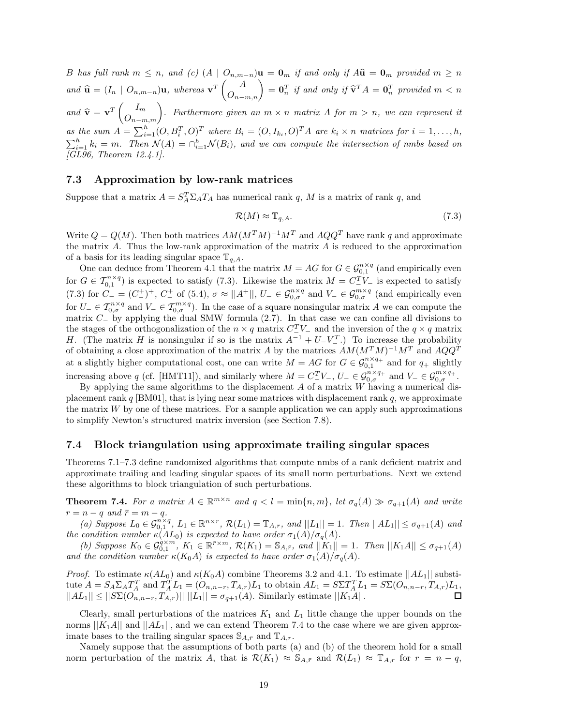B has full rank  $m \leq n$ , and (c)  $(A | O_{n,m-n})\mathbf{u} = \mathbf{0}_m$  if and only if  $A\hat{\mathbf{u}} = \mathbf{0}_m$  provided  $m \geq n$ and  $\widehat{\mathbf{u}} = (I_n \mid O_{n,m-n})\mathbf{u}$ , whereas  $\mathbf{v}^T \begin{pmatrix} A \\ O_{n-m,n} \end{pmatrix} = \mathbf{0}_n^T$  if and only if  $\widehat{\mathbf{v}}^T A = \mathbf{0}_n^T$  provided  $m < n$ *and*  $\hat{\mathbf{v}} = \mathbf{v}^T \begin{pmatrix} I_m \\ O_{n-m,m} \end{pmatrix}$ . Furthermore given an  $m \times n$  matrix A for  $m > n$ , we can represent it as the sum  $A = \sum_{i=1}^{h} (O, B_i^T, O)^T$  where  $B_i = (O, I_{k_i}, O)^T A$  are  $k_i \times n$  matrices for  $i = 1, ..., h$ ,  $\sum_{i=1}^{h} k_i = m$ . Then  $\mathcal{N}(A) = \bigcap_{i=1}^{h} \mathcal{N}(B_i)$ , and we can compute the intersection of nmbs based on *[GL96, Theorem 12.4.1].*

### **7.3 Approximation by low-rank matrices**

Suppose that a matrix  $A = S_A^T \Sigma_A T_A$  has numerical rank *q*, *M* is a matrix of rank *q*, and

$$
\mathcal{R}(M) \approx \mathbb{T}_{q,A}.\tag{7.3}
$$

Write  $Q = Q(M)$ . Then both matrices  $AM(M^TM)^{-1}M^T$  and  $AQQ^T$  have rank q and approximate the matrix *A*. Thus the low-rank approximation of the matrix *A* is reduced to the approximation of a basis for its leading singular space  $\mathbb{T}_{q,A}$ .

One can deduce from Theorem 4.1 that the matrix  $M = AG$  for  $G \in \mathcal{G}_{0,1}^{n \times q}$  (and empirically even for  $G \in \mathcal{T}_{0,1}^{n \times q}$  is expected to satisfy (7.3). Likewise the matrix  $M = C_{-N-1}^{T}$  is expected to satisfy  $(7.3)$  for  $C_{-} = (C_{-}^{+})^{+}$ ,  $C_{-}^{+}$  of (5.4),  $\sigma \approx ||A^{+}||$ ,  $U_{-} \in \mathcal{G}_{0,\sigma}^{n \times q}$  and  $V_{-} \in \mathcal{G}_{0,\sigma}^{m \times q}$  (and empirically even for  $U_-\in \mathcal{T}_{0,\sigma}^{n\times q}$  and  $V_-\in \mathcal{T}_{0,\sigma}^{m\times q}$ . In the case of a square nonsingular matrix *A* we can compute the matrix *C*<sup>−</sup> by applying the dual SMW formula (2.7). In that case we can confine all divisions to the stages of the orthogonalization of the *n* × *q* matrix  $C^T$ V<sub>−</sub> and the inversion of the *q* × *q* matrix *H*. (The matrix *H* is nonsingular if so is the matrix  $A^{-1} + U^{-}V^{-1}$ .) To increase the probability of obtaining a close approximation of the matrix *A* by the matrices *AM*(*M<sup>T</sup>M*)−<sup>1</sup>*M<sup>T</sup>* and *AQQ<sup>T</sup>* at a slightly higher computational cost, one can write  $M = AG$  for  $G \in \mathcal{G}_{0,1}^{n \times q_+}$  and for  $q_+$  slightly increasing above *q* (cf. [HMT11]), and similarly where  $M = C^T$  *V*−,  $U = \mathcal{C}^{n \times q_+}_{0,\sigma}$  and  $V = \mathcal{C}^{m \times q_+}_{0,\sigma}$ .

By applying the same algorithms to the displacement *A* of a matrix *W* having a numerical displacement rank *q* [BM01], that is lying near some matrices with displacement rank *q*, we approximate the matrix  $W$  by one of these matrices. For a sample application we can apply such approximations to simplify Newton's structured matrix inversion (see Section 7.8).

#### **7.4 Block triangulation using approximate trailing singular spaces**

Theorems 7.1–7.3 define randomized algorithms that compute nmbs of a rank deficient matrix and approximate trailing and leading singular spaces of its small norm perturbations. Next we extend these algorithms to block triangulation of such perturbations.

**Theorem 7.4.** For a matrix  $A \in \mathbb{R}^{m \times n}$  and  $q < l = \min\{n, m\}$ , let  $\sigma_q(A) \gg \sigma_{q+1}(A)$  and write  $r = n - q$  *and*  $\bar{r} = m - q$ *.* 

(a) Suppose  $L_0 \in \mathcal{G}_{0,1}^{n \times q}$ ,  $L_1 \in \mathbb{R}^{n \times r}$ ,  $\mathcal{R}(L_1) = \mathbb{T}_{A,r}$ , and  $||L_1|| = 1$ . Then  $||AL_1|| \leq \sigma_{q+1}(A)$  and *the condition number*  $\kappa(AL_0)$  *is expected to have order*  $\sigma_1(A)/\sigma_q(A)$ *.* 

(b) Suppose  $K_0 \in \mathcal{G}_{0,1}^{\alpha \times m}$ ,  $K_1 \in \mathbb{R}^{\bar{r} \times m}$ ,  $\mathcal{R}(K_1) = \mathbb{S}_{A,\bar{r}}$ , and  $||K_1|| = 1$ . Then  $||K_1A|| \leq \sigma_{q+1}(A)$ *and the condition number*  $\kappa(K_0A)$  *is expected to have order*  $\sigma_1(A)/\sigma_q(A)$ *.* 

*Proof.* To estimate  $\kappa(AL_0)$  and  $\kappa(K_0A)$  combine Theorems 3.2 and 4.1. To estimate  $||AL_1||$  substitute  $A = S_A \Sigma_A T_A^T$  and  $T_A^T L_1 = (O_{n,n-r}, T_{A,r})L_1$  to obtain  $AL_1 = S \Sigma T_A^T L_1 = S \Sigma (O_{n,n-r}, T_{A,r})L_1$ ,  $||AL_1|| \leq ||S\Sigma(O_{n,n-r}, T_{A,r})|| \, ||L_1|| = \sigma_{q+1}(A)$ . Similarly estimate  $||K_1A||$ .

Clearly, small perturbations of the matrices  $K_1$  and  $L_1$  little change the upper bounds on the norms  $||K_1A||$  and  $||AL_1||$ , and we can extend Theorem 7.4 to the case where we are given approximate bases to the trailing singular spaces  $\mathcal{S}_{A,\bar{r}}$  and  $\mathbb{T}_{A,r}$ .

Namely suppose that the assumptions of both parts (a) and (b) of the theorem hold for a small norm perturbation of the matrix *A*, that is  $\mathcal{R}(K_1) \approx \mathbb{S}_{A,\bar{r}}$  and  $\mathcal{R}(L_1) \approx \mathbb{T}_{A,r}$  for  $r = n - q$ ,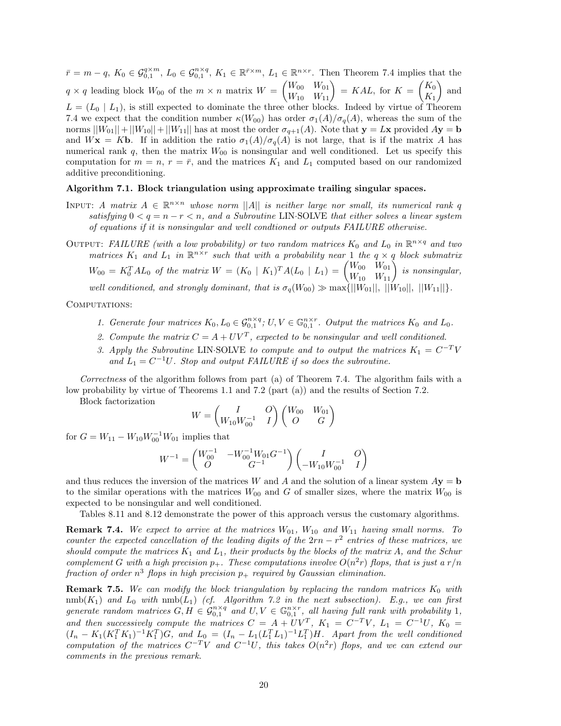$\bar{r} = m - q$ ,  $K_0 \in \mathcal{G}_{0,1}^{q \times m}$ ,  $L_0 \in \mathcal{G}_{0,1}^{n \times q}$ ,  $K_1 \in \mathbb{R}^{\bar{r} \times m}$ ,  $L_1 \in \mathbb{R}^{n \times r}$ . Then Theorem 7.4 implies that the  $q \times q$  leading block  $W_{00}$  of the  $m \times n$  matrix  $W = \begin{pmatrix} W_{00} & W_{01} \\ W_{10} & W_{11} \end{pmatrix} = KAL$ , for  $K = \begin{pmatrix} K_0 \\ K_1 \end{pmatrix}$ *K*1 - and  $L = (L_0 \mid L_1)$ , is still expected to dominate the three other blocks. Indeed by virtue of Theorem 7.4 we expect that the condition number  $\kappa(W_{00})$  has order  $\sigma_1(A)/\sigma_q(A)$ , whereas the sum of the norms  $||W_{01}||+||W_{10}||+||W_{11}||$  has at most the order  $\sigma_{q+1}(A)$ . Note that  $\mathbf{y} = L\mathbf{x}$  provided  $A\mathbf{y} = \mathbf{b}$ and  $W$ **x** = K**b**. If in addition the ratio  $\sigma_1(A)/\sigma_q(A)$  is not large, that is if the matrix *A* has numerical rank  $q$ , then the matrix  $W_{00}$  is nonsingular and well conditioned. Let us specify this computation for  $m = n$ ,  $r = \bar{r}$ , and the matrices  $K_1$  and  $L_1$  computed based on our randomized additive preconditioning.

#### **Algorithm 7.1. Block triangulation using approximate trailing singular spaces.**

- INPUT: *A matrix*  $A \in \mathbb{R}^{n \times n}$  whose norm ||A|| *is neither large nor small, its numerical rank q satisfying*  $0 < q = n - r < n$ , and a Subroutine LIN·SOLVE that either solves a linear system *of equations if it is nonsingular and well condtioned or outputs FAILURE otherwise.*
- OUTPUT: *FAILURE* (with a low probability) or two random matrices  $K_0$  and  $L_0$  in  $\mathbb{R}^{n \times q}$  and two *matrices*  $K_1$  *and*  $L_1$  *in*  $\mathbb{R}^{n \times r}$  *such that with a probability near* 1 *the*  $q \times q$  *block submatrix*  $W_{00} = K_0^T A L_0$  *of the matrix*  $W = (K_0 \mid K_1)^T A (L_0 \mid L_1) = \begin{pmatrix} W_{00} & W_{01} \ W_{10} & W_{11} \end{pmatrix}$  *is nonsingular,*

*well conditioned, and strongly dominant, that is*  $\sigma_q(W_{00}) \gg \max{\{||W_{01}||, ||W_{10}||, ||W_{11}||\}}$ *.* 

COMPUTATIONS:

- *1. Generate four matrices*  $K_0, L_0 \in \mathcal{G}_{0,1}^{n \times q}$ ;  $U, V \in \mathbb{G}_{0,1}^{n \times r}$ . Output the matrices  $K_0$  and  $L_0$ .
- 2. Compute the matrix  $C = A + UV^T$ , expected to be nonsingular and well conditioned.
- *3. Apply the Subroutine* LIN·SOLVE *to compute and to output the matrices*  $K_1 = C^{-T}V$ and  $L_1 = C^{-1}U$ *. Stop and output FAILURE if so does the subroutine.*

*Correctness* of the algorithm follows from part (a) of Theorem 7.4. The algorithm fails with a low probability by virtue of Theorems 1.1 and 7.2 (part (a)) and the results of Section 7.2.

Block factorization

$$
W = \begin{pmatrix} I & O \\ W_{10} W_{00}^{-1} & I \end{pmatrix} \begin{pmatrix} W_{00} & W_{01} \\ O & G \end{pmatrix}
$$

for  $G = W_{11} - W_{10}W_{00}^{-1}W_{01}$  implies that

$$
W^{-1} = \begin{pmatrix} W_{00}^{-1} & -W_{00}^{-1}W_{01}G^{-1} \\ O & G^{-1} \end{pmatrix} \begin{pmatrix} I & O \\ -W_{10}W_{00}^{-1} & I \end{pmatrix}
$$

and thus reduces the inversion of the matrices *W* and *A* and the solution of a linear system  $A$ **y** = **b** to the similar operations with the matrices  $W_{00}$  and *G* of smaller sizes, where the matrix  $W_{00}$  is expected to be nonsingular and well conditioned.

Tables 8.11 and 8.12 demonstrate the power of this approach versus the customary algorithms.

**Remark 7.4.** We expect to arrive at the matrices  $W_{01}$ ,  $W_{10}$  and  $W_{11}$  having small norms. To *counter the expected cancellation of the leading digits of the*  $2rn - r^2$  *entries of these matrices, we should compute the matrices*  $K_1$  *and*  $L_1$ *, their products by the blocks of the matrix*  $A$ *, and the Schur complement G* with a high precision  $p_+$ . These computations involve  $O(n^2r)$  flops, that is just a  $r/n$ *fraction of order*  $n^3$  *flops in high precision*  $p_+$  *required by Gaussian elimination.* 

**Remark 7.5.** *We can modify the block triangulation by replacing the random matrices K*<sup>0</sup> *with*  $\text{mmb}(K_1)$  *and*  $L_0$  *with*  $\text{mmb}(L_1)$  *(cf. Algorithm 7.2 in the next subsection). E.g., we can first generate random matrices*  $G, H \in \mathcal{G}_{0,1}^{n \times q}$  *and*  $U, V \in \mathbb{G}_{0,1}^{n \times r}$ *, all having full rank with probability* 1*, and then successively compute the matrices*  $C = A + UV^T$ ,  $K_1 = C^{-T}V$ ,  $L_1 = C^{-1}U$ ,  $K_0 =$  $(I_n - K_1(K_1^T K_1)^{-1} K_1^T)G$ , and  $L_0 = (I_n - L_1(L_1^T L_1)^{-1} L_1^T)H$ . Apart from the well conditioned  $\frac{1}{\text{computation of the matrices } C^{-T}V \text{ and } C^{-1}U, \text{ this takes } O(n^2r) \text{ flops, and we can extend our conditions.}$ *comments in the previous remark.*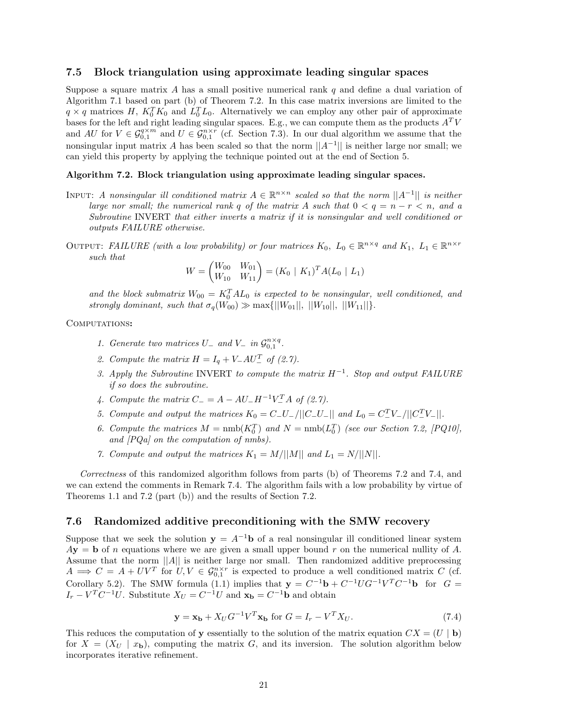#### **7.5 Block triangulation using approximate leading singular spaces**

Suppose a square matrix *A* has a small positive numerical rank *q* and define a dual variation of Algorithm 7.1 based on part (b) of Theorem 7.2. In this case matrix inversions are limited to the  $q \times q$  matrices *H*,  $K_0^T K_0$  and  $L_0^T L_0$ . Alternatively we can employ any other pair of approximate bases for the left and right leading singular spaces. E.g., we can compute them as the products *A<sup>T</sup> V* and  $AU$  for  $V \in \mathcal{G}_{0,1}^{q \times m}$  and  $U \in \mathcal{G}_{0,1}^{n \times r}$  (cf. Section 7.3). In our dual algorithm we assume that the nonsingular input matrix *A* has been scaled so that the norm  $||A^{-1}||$  is neither large nor small; we can yield this property by applying the technique pointed out at the end of Section 5.

#### **Algorithm 7.2. Block triangulation using approximate leading singular spaces.**

- INPUT: *A nonsingular ill conditioned matrix*  $A \in \mathbb{R}^{n \times n}$  *scaled so that the norm*  $||A^{-1}||$  *is neither large nor small; the numerical rank*  $q$  *of the matrix*  $A$  *such that*  $0 < q = n - r < n$ *, and a Subroutine* INVERT *that either inverts a matrix if it is nonsingular and well conditioned or outputs FAILURE otherwise.*
- OUTPUT: *FAILURE* (with a low probability) or four matrices  $K_0$ ,  $L_0 \in \mathbb{R}^{n \times q}$  and  $K_1$ ,  $L_1 \in \mathbb{R}^{n \times r}$ *such that*

$$
W = \begin{pmatrix} W_{00} & W_{01} \\ W_{10} & W_{11} \end{pmatrix} = (K_0 \mid K_1)^T A (L_0 \mid L_1)
$$

and the block submatrix  $W_{00} = K_0^T A L_0$  is expected to be nonsingular, well conditioned, and *strongly dominant, such that*  $\sigma_q(W_{00}) \gg \max\{||W_{01}||, ||W_{10}||, ||W_{11}||\}.$ 

#### Computations**:**

- *1. Generate two matrices*  $U_{-}$  *and*  $V_{-}$  *in*  $\mathcal{G}_{0,1}^{n \times q}$ .
- 2. Compute the matrix  $H = I_q + V_- A U_-^T$  of (2.7).
- *3. Apply the Subroutine* INVERT *to compute the matrix H*−<sup>1</sup>*. Stop and output FAILURE if so does the subroutine.*
- *4. Compute the matrix*  $C_{-} = A AU_{-}H^{-1}V_{-}^{T}A$  of (2.7).
- *5. Compute and output the matrices*  $K_0 = C_-U_- / ||C_-U_-||$  *and*  $L_0 = C_-^T V_- / ||C_-^T V_-||$ .
- 6. Compute the matrices  $M = \text{nmb}(K_0^T)$  and  $N = \text{nmb}(L_0^T)$  (see our Section 7.2, [PQ10], *and [PQa] on the computation of nmbs).*
- *7. Compute and output the matrices*  $K_1 = M/||M||$  *and*  $L_1 = N/||N||$ .

*Correctness* of this randomized algorithm follows from parts (b) of Theorems 7.2 and 7.4, and we can extend the comments in Remark 7.4. The algorithm fails with a low probability by virtue of Theorems 1.1 and 7.2 (part (b)) and the results of Section 7.2.

#### **7.6 Randomized additive preconditioning with the SMW recovery**

Suppose that we seek the solution  $y = A^{-1}b$  of a real nonsingular ill conditioned linear system  $A$ **y** = **b** of *n* equations where we are given a small upper bound *r* on the numerical nullity of *A*. Assume that the norm ||*A*|| is neither large nor small. Then randomized additive preprocessing  $A \implies C = A + UV^T$  for  $U, V \in \mathcal{G}_{0,1}^{n \times r}$  is expected to produce a well conditioned matrix *C* (cf. Corollary 5.2). The SMW formula (1.1) implies that  $\mathbf{y} = C^{-1}\mathbf{b} + C^{-1}UG^{-1}V^T C^{-1}\mathbf{b}$  for  $G =$  $I_r - V^T C^{-1} U$ . Substitute  $X_U = C^{-1} U$  and  $\mathbf{x_b} = C^{-1} \mathbf{b}$  and obtain

$$
\mathbf{y} = \mathbf{x_b} + X_U G^{-1} V^T \mathbf{x_b} \text{ for } G = I_r - V^T X_U. \tag{7.4}
$$

This reduces the computation of **y** essentially to the solution of the matrix equation  $CX = (U | \mathbf{b})$ for  $X = (X_U \mid x_b)$ , computing the matrix G, and its inversion. The solution algorithm below incorporates iterative refinement.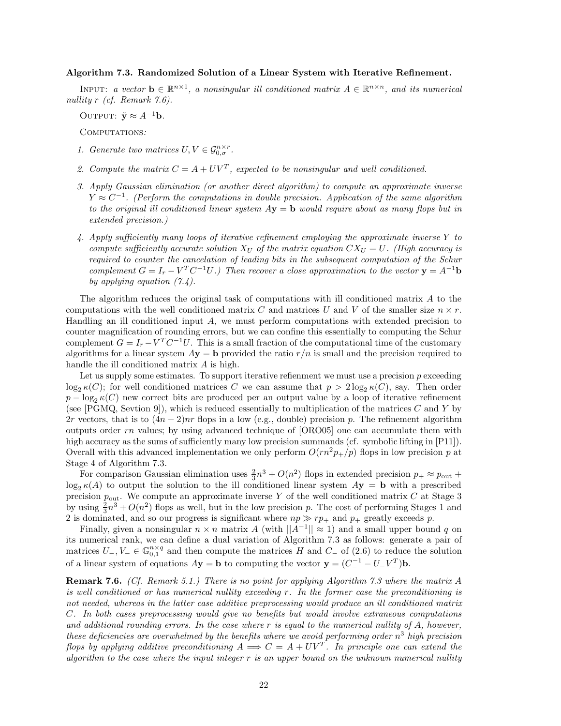#### **Algorithm 7.3. Randomized Solution of a Linear System with Iterative Refinement.**

INPUT: *a vector*  $\mathbf{b} \in \mathbb{R}^{n \times 1}$ , *a nonsingular ill conditioned matrix*  $A \in \mathbb{R}^{n \times n}$ , *and its numerical nullity r (cf. Remark 7.6).*

OUTPUT:  $\tilde{\mathbf{y}} \approx A^{-1}\mathbf{b}$ *.* 

Computations*:*

- *1. Generate two matrices*  $U, V \in \mathcal{G}_{0,\sigma}^{n \times r}$ .
- 2. Compute the matrix  $C = A + UV^T$ , expected to be nonsingular and well conditioned.
- *3. Apply Gaussian elimination (or another direct algorithm) to compute an approximate inverse*  $Y \approx C^{-1}$ . (Perform the computations in double precision. Application of the same algorithm *to the original ill conditioned linear system A***y** = **b** *would require about as many flops but in extended precision.)*
- *4. Apply sufficiently many loops of iterative refinement employing the approximate inverse Y to compute sufficiently accurate solution*  $X_U$  *of the matrix equation*  $CX_U = U$ *. (High accuracy is required to counter the cancelation of leading bits in the subsequent computation of the Schur complement*  $G = I_r - V^T C^{-1} U$ *.)* Then recover a close approximation to the vector  $\mathbf{y} = A^{-1} \mathbf{b}$ *by applying equation (7.4).*

The algorithm reduces the original task of computations with ill conditioned matrix *A* to the computations with the well conditioned matrix *C* and matrices *U* and *V* of the smaller size  $n \times r$ . Handling an ill conditioned input *A*, we must perform computations with extended precision to counter magnification of rounding errors, but we can confine this essentially to computing the Schur complement  $G = I_r - V^T C^{-1} U$ . This is a small fraction of the computational time of the customary algorithms for a linear system  $A$ **y** = **b** provided the ratio  $r/n$  is small and the precision required to handle the ill conditioned matrix *A* is high.

Let us supply some estimates. To support iterative refienment we must use a precision *p* exceeding  $\log_2 \kappa(C)$ ; for well conditioned matrices *C* we can assume that  $p > 2\log_2 \kappa(C)$ , say. Then order  $p - \log_2 \kappa(C)$  new correct bits are produced per an output value by a loop of iterative refinement (see [PGMQ, Sevtion 9]), which is reduced essentially to multiplication of the matrices *C* and *Y* by 2*r* vectors, that is to  $(4n-2)nr$  flops in a low (e.g., double) precision *p*. The refinement algorithm outputs order *rn* values; by using advanced technique of [ORO05] one can accumulate them with high accuracy as the sums of sufficiently many low precision summands (cf. symbolic lifting in [P11]). Overall with this advanced implementation we only perform  $O(rn^2p_+/p)$  flops in low precision  $p$  at Stage 4 of Algorithm 7.3.

For comparison Gaussian elimination uses  $\frac{2}{3}n^3 + O(n^2)$  flops in extended precision  $p_+ \approx p_{\text{out}} +$  $\log_2 \kappa(A)$  to output the solution to the ill conditioned linear system  $A$ **y** = **b** with a prescribed precision  $p_{\text{out}}$ . We compute an approximate inverse Y of the well conditioned matrix C at Stage 3 by using  $\frac{2}{3}n^3 + O(n^2)$  flops as well, but in the low precision *p*. The cost of performing Stages 1 and 2 is dominated, and so our progress is significant where  $np \gg rp_+$  and  $p_+$  greatly exceeds p.

Finally, given a nonsingular  $n \times n$  matrix *A* (with  $||A^{-1}|| \approx 1$ ) and a small upper bound *q* on its numerical rank, we can define a dual variation of Algorithm 7.3 as follows: generate a pair of matrices  $U_-, V_-\in\mathbb{G}_{0,1}^{n\times q}$  and then compute the matrices *H* and  $C_-\$  of (2.6) to reduce the solution of a linear system of equations  $A$ **y** = **b** to computing the vector **y** =  $(C_{-}^{-1} - U_{-}V_{-}^{T})$ **b**.

**Remark 7.6.** *(Cf. Remark 5.1.) There is no point for applying Algorithm 7.3 where the matrix A is well conditioned or has numerical nullity exceeding r. In the former case the preconditioning is not needed, whereas in the latter case additive preprocessing would produce an ill conditioned matrix C. In both cases preprocessing would give no benefits but would involve extraneous computations and additional rounding errors. In the case where r is equal to the numerical nullity of A, however, these deficiencies are overwhelmed by the benefits where we avoid performing order n*<sup>3</sup> *high precision flops by applying additive preconditioning*  $A \implies C = A + UV^T$ . In principle one can extend the *algorithm to the case where the input integer r is an upper bound on the unknown numerical nullity*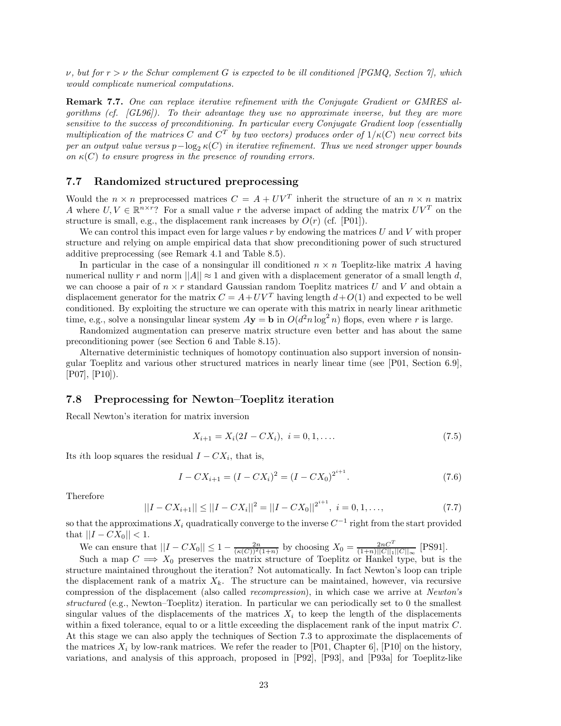*ν, but for r>ν the Schur complement G is expected to be ill conditioned [PGMQ, Section 7], which would complicate numerical computations.*

**Remark 7.7.** *One can replace iterative refinement with the Conjugate Gradient or GMRES algorithms (cf. [GL96]). To their advantage they use no approximate inverse, but they are more sensitive to the success of preconditioning. In particular every Conjugate Gradient loop (essentially multiplication of the matrices C* and  $C^T$  by two vectors) produces order of  $1/\kappa(C)$  new correct bits *per an output value versus*  $p-\log_2 \kappa(C)$  *in iterative refinement. Thus we need stronger upper bounds on*  $\kappa(C)$  *to ensure progress in the presence of rounding errors.* 

## **7.7 Randomized structured preprocessing**

Would the  $n \times n$  preprocessed matrices  $C = A + UV^T$  inherit the structure of an  $n \times n$  matrix *A* where  $U, V \in \mathbb{R}^{n \times r}$ ? For a small value *r* the adverse impact of adding the matrix  $UV^T$  on the structure is small, e.g., the displacement rank increases by  $O(r)$  (cf. [P01]).

We can control this impact even for large values *r* by endowing the matrices *U* and *V* with proper structure and relying on ample empirical data that show preconditioning power of such structured additive preprocessing (see Remark 4.1 and Table 8.5).

In particular in the case of a nonsingular ill conditioned  $n \times n$  Toeplitz-like matrix A having numerical nullity *r* and norm  $||A|| \approx 1$  and given with a displacement generator of a small length *d*, we can choose a pair of  $n \times r$  standard Gaussian random Toeplitz matrices U and V and obtain a displacement generator for the matrix  $C = A + UV^T$  having length  $d + O(1)$  and expected to be well conditioned. By exploiting the structure we can operate with this matrix in nearly linear arithmetic time, e.g., solve a nonsingular linear system  $A$ **y** = **b** in  $O(d^2n \log^2 n)$  flops, even where *r* is large.

Randomized augmentation can preserve matrix structure even better and has about the same preconditioning power (see Section 6 and Table 8.15).

Alternative deterministic techniques of homotopy continuation also support inversion of nonsingular Toeplitz and various other structured matrices in nearly linear time (see [P01, Section 6.9], [P07], [P10]).

### **7.8 Preprocessing for Newton–Toeplitz iteration**

Recall Newton's iteration for matrix inversion

$$
X_{i+1} = X_i(2I - CX_i), \quad i = 0, 1, \dots
$$
\n<sup>(7.5)</sup>

Its *i*th loop squares the residual  $I - CX_i$ , that is,

$$
I - CX_{i+1} = (I - CX_i)^2 = (I - CX_0)^{2^{i+1}}.
$$
\n(7.6)

Therefore

$$
||I - CX_{i+1}|| \le ||I - CX_i||^2 = ||I - CX_0||^{2^{i+1}}, \quad i = 0, 1, ..., \tag{7.7}
$$

so that the approximations  $X_i$  quadratically converge to the inverse  $C^{-1}$  right from the start provided  $|\text{that } ||I - CX_0|| < 1.$ 

We can ensure that  $||I - CX_0|| \le 1 - \frac{2n}{(\kappa(C))^2(1+n)}$  by choosing  $X_0 = \frac{2nC^T}{(1+n)||C||_1||C||_{\infty}}$  [PS91].

Such a map  $C \implies X_0$  preserves the matrix structure of Toeplitz or Hankel type, but is the structure maintained throughout the iteration? Not automatically. In fact Newton's loop can triple the displacement rank of a matrix  $X_k$ . The structure can be maintained, however, via recursive compression of the displacement (also called *recompression*), in which case we arrive at *Newton's structured* (e.g., Newton–Toeplitz) iteration. In particular we can periodically set to 0 the smallest singular values of the displacements of the matrices  $X_i$  to keep the length of the displacements within a fixed tolerance, equal to or a little exceeding the displacement rank of the input matrix *C*. At this stage we can also apply the techniques of Section 7.3 to approximate the displacements of the matrices  $X_i$  by low-rank matrices. We refer the reader to [P01, Chapter 6], [P10] on the history, variations, and analysis of this approach, proposed in [P92], [P93], and [P93a] for Toeplitz-like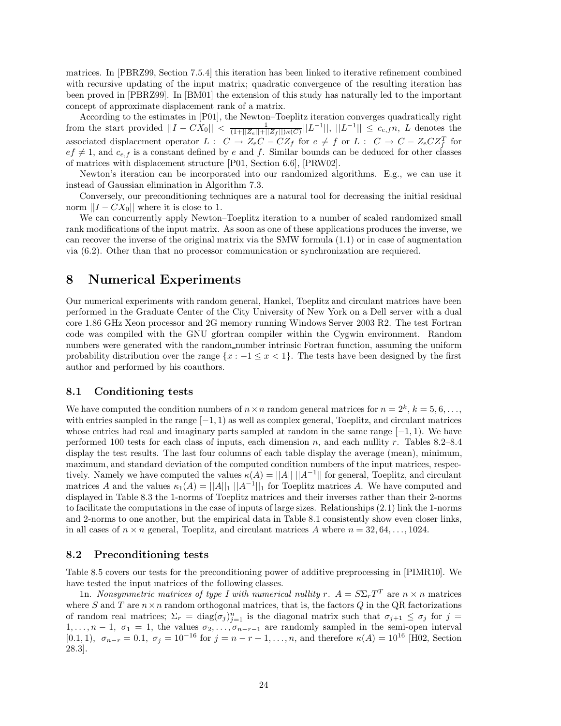matrices. In [PBRZ99, Section 7.5.4] this iteration has been linked to iterative refinement combined with recursive updating of the input matrix; quadratic convergence of the resulting iteration has been proved in [PBRZ99]. In [BM01] the extension of this study has naturally led to the important concept of approximate displacement rank of a matrix.

According to the estimates in [P01], the Newton–Toeplitz iteration converges quadratically right from the start provided  $||I - CX_0|| < \frac{1}{(1+||Z_e||+||Z_f||)\kappa(C)}||L^{-1}||, ||L^{-1}|| \leq c_{e,f}n, L$  denotes the associated displacement operator  $L: C \to Z_eC - CZ_f$  for  $e \neq f$  or  $L: C \to C - Z_eCZ_f^T$  for  $ef \neq 1$ , and  $c_{e,f}$  is a constant defined by *e* and *f*. Similar bounds can be deduced for other classes of matrices with displacement structure [P01, Section 6.6], [PRW02].

Newton's iteration can be incorporated into our randomized algorithms. E.g., we can use it instead of Gaussian elimination in Algorithm 7.3.

Conversely, our preconditioning techniques are a natural tool for decreasing the initial residual norm  $||I - CX_0||$  where it is close to 1.

We can concurrently apply Newton–Toeplitz iteration to a number of scaled randomized small rank modifications of the input matrix. As soon as one of these applications produces the inverse, we can recover the inverse of the original matrix via the SMW formula (1.1) or in case of augmentation via (6.2). Other than that no processor communication or synchronization are requiered.

## **8 Numerical Experiments**

Our numerical experiments with random general, Hankel, Toeplitz and circulant matrices have been performed in the Graduate Center of the City University of New York on a Dell server with a dual core 1.86 GHz Xeon processor and 2G memory running Windows Server 2003 R2. The test Fortran code was compiled with the GNU gfortran compiler within the Cygwin environment. Random numbers were generated with the random number intrinsic Fortran function, assuming the uniform probability distribution over the range  $\{x : -1 \leq x < 1\}$ . The tests have been designed by the first author and performed by his coauthors.

## **8.1 Conditioning tests**

We have computed the condition numbers of  $n \times n$  random general matrices for  $n = 2^k$ ,  $k = 5, 6, \ldots$ , with entries sampled in the range [−1*,* 1) as well as complex general, Toeplitz, and circulant matrices whose entries had real and imaginary parts sampled at random in the same range [−1*,* 1). We have performed 100 tests for each class of inputs, each dimension *n*, and each nullity *r*. Tables 8.2–8.4 display the test results. The last four columns of each table display the average (mean), minimum, maximum, and standard deviation of the computed condition numbers of the input matrices, respectively. Namely we have computed the values  $\kappa(A) = ||A|| ||A^{-1}||$  for general, Toeplitz, and circulant matrices *A* and the values  $\kappa_1(A) = ||A||_1 ||A^{-1}||_1$  for Toeplitz matrices *A*. We have computed and displayed in Table 8.3 the 1-norms of Toeplitz matrices and their inverses rather than their 2-norms to facilitate the computations in the case of inputs of large sizes. Relationships (2.1) link the 1-norms and 2-norms to one another, but the empirical data in Table 8.1 consistently show even closer links, in all cases of  $n \times n$  general, Toeplitz, and circulant matrices A where  $n = 32, 64, \ldots, 1024$ .

### **8.2 Preconditioning tests**

Table 8.5 covers our tests for the preconditioning power of additive preprocessing in [PIMR10]. We have tested the input matrices of the following classes.

1n. *Nonsymmetric matrices of type I with numerical nullity*  $r$ *.*  $A = S \Sigma_r T^T$  are  $n \times n$  matrices where *S* and *T* are  $n \times n$  random orthogonal matrices, that is, the factors *Q* in the QR factorizations of random real matrices;  $\Sigma_r = \text{diag}(\sigma_j)_{j=1}^n$  is the diagonal matrix such that  $\sigma_{j+1} \leq \sigma_j$  for  $j =$ 1,..., $n-1$ ,  $\sigma_1 = 1$ , the values  $\sigma_2, \ldots, \sigma_{n-r-1}$  are randomly sampled in the semi-open interval  $(0.1, 1)$ ,  $\sigma_{n-r} = 0.1$ ,  $\sigma_j = 10^{-16}$  for  $j = n-r+1, \ldots, n$ , and therefore  $\kappa(A) = 10^{16}$  [H02, Section 28.3].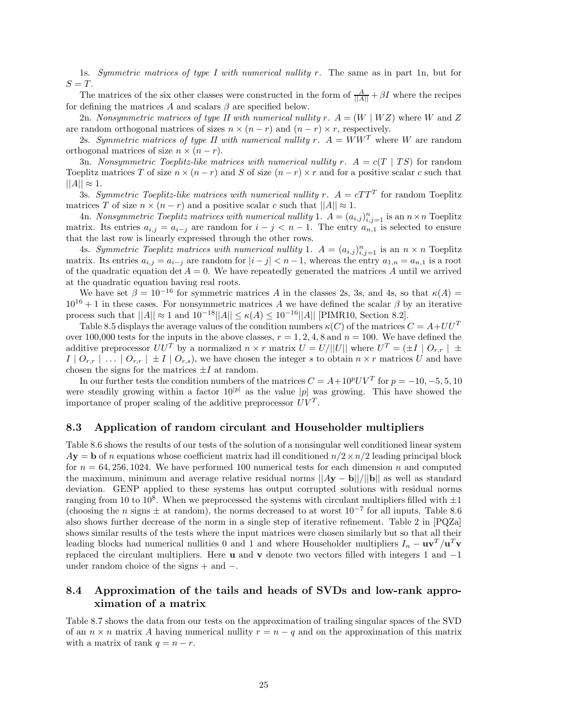1s. *Symmetric matrices of type I with numerical nullity r.* The same as in part 1n, but for  $S = T$ .

The matrices of the six other classes were constructed in the form of  $\frac{A}{||A||} + \beta I$  where the recipes for defining the matrices  $A$  and scalars  $\beta$  are specified below.

2n. *Nonsymmetric matrices of type II with numerical nullity*  $r \cdot A = (W \mid WZ)$  where *W* and *Z* are random orthogonal matrices of sizes  $n \times (n - r)$  and  $(n - r) \times r$ , respectively.

2s. *Symmetric matrices of type II with numerical nullity*  $r$ *.*  $A = WW^T$  where W are random orthogonal matrices of size  $n \times (n - r)$ .

3n. *Nonsymmetric Toeplitz-like matrices with numerical nullity*  $r$ *.*  $A = c(T | TS)$  for random Toeplitz matrices *T* of size  $n \times (n - r)$  and *S* of size  $(n - r) \times r$  and for a positive scalar *c* such that  $||A|| \approx 1.$ 

3s. *Symmetric Toeplitz-like matrices with numerical nullity*  $r$ *.*  $A = cTT^{T}$  for random Toeplitz matrices *T* of size  $n \times (n - r)$  and a positive scalar *c* such that  $||A|| \approx 1$ .

4n. *Nonsymmetric Toeplitz matrices with numerical nullity* 1.  $A = (a_{i,j})_{i,j=1}^n$  is an  $n \times n$  Toeplitz matrix. Its entries  $a_{i,j} = a_{i-j}$  are random for  $i - j < n - 1$ . The entry  $a_{n,1}$  is selected to ensure that the last row is linearly expressed through the other rows.

4s. *Symmetric Toeplitz matrices with numerical nullity* 1.  $A = (a_{i,j})_{i,j=1}^n$  is an  $n \times n$  Toeplitz matrix. Its entries  $a_{i,j} = a_{i-j}$  are random for  $|i - j| < n - 1$ , whereas the entry  $a_{1,n} = a_{n,1}$  is a root of the quadratic equation det  $A = 0$ . We have repeatedly generated the matrices A until we arrived at the quadratic equation having real roots.

We have set  $\beta = 10^{-16}$  for symmetric matrices *A* in the classes 2s, 3s, and 4s, so that  $\kappa(A) =$  $10^{16} + 1$  in these cases. For nonsymmetric matrices *A* we have defined the scalar  $\beta$  by an iterative process such that  $||A|| \approx 1$  and  $10^{-18}||A|| ≤ \kappa(A) ≤ 10^{-16}||A||$  [PIMR10, Section 8.2].

Table 8.5 displays the average values of the condition numbers  $\kappa(C)$  of the matrices  $C = A + U U^T$ over 100,000 tests for the inputs in the above classes,  $r = 1, 2, 4, 8$  and  $n = 100$ . We have defined the additive preprocessor  $UU^T$  by a normalized  $n \times r$  matrix  $U = U/||U||$  where  $U^T = (\pm I \mid O_{r,r}) \pm \sqrt{O_{r,r}}$  $I \mid O_{r,r} \mid ... \mid O_{r,r} \mid \pm I \mid O_{r,s}$ , we have chosen the integer *s* to obtain  $n \times r$  matrices *U* and have chosen the signs for the matrices  $\pm I$  at random.

In our further tests the condition numbers of the matrices  $C = A + 10^p UV^T$  for  $p = -10, -5, 5, 10$ were steadily growing within a factor  $10^{|p|}$  as the value |p| was growing. This have showed the importance of proper scaling of the additive preprocessor  $UV<sup>T</sup>$ .

### **8.3 Application of random circulant and Householder multipliers**

Table 8.6 shows the results of our tests of the solution of a nonsingular well conditioned linear system  $A$ **y** = **b** of *n* equations whose coefficient matrix had ill conditioned  $n/2 \times n/2$  leading principal block for  $n = 64,256,1024$ . We have performed 100 numerical tests for each dimension *n* and computed the maximum, minimum and average relative residual norms ||*A***y** − **b**||*/*||**b**|| as well as standard deviation. GENP applied to these systems has output corrupted solutions with residual norms ranging from 10 to 10<sup>8</sup>. When we preprocessed the systems with circulant multipliers filled with  $\pm 1$ (choosing the *n* signs  $\pm$  at random), the norms decreased to at worst  $10^{-7}$  for all inputs. Table 8.6 also shows further decrease of the norm in a single step of iterative refinement. Table 2 in [PQZa] shows similar results of the tests where the input matrices were chosen similarly but so that all their leading blocks had numerical nullities 0 and 1 and where Householder multipliers  $I_n - \mathbf{u}\mathbf{v}^T/\mathbf{u}^T\mathbf{v}$ replaced the circulant multipliers. Here **u** and **v** denote two vectors filled with integers 1 and −1 under random choice of the signs  $+$  and  $-$ .

## **8.4 Approximation of the tails and heads of SVDs and low-rank approximation of a matrix**

Table 8.7 shows the data from our tests on the approximation of trailing singular spaces of the SVD of an  $n \times n$  matrix *A* having numerical nullity  $r = n - q$  and on the approximation of this matrix with a matrix of rank  $q = n - r$ .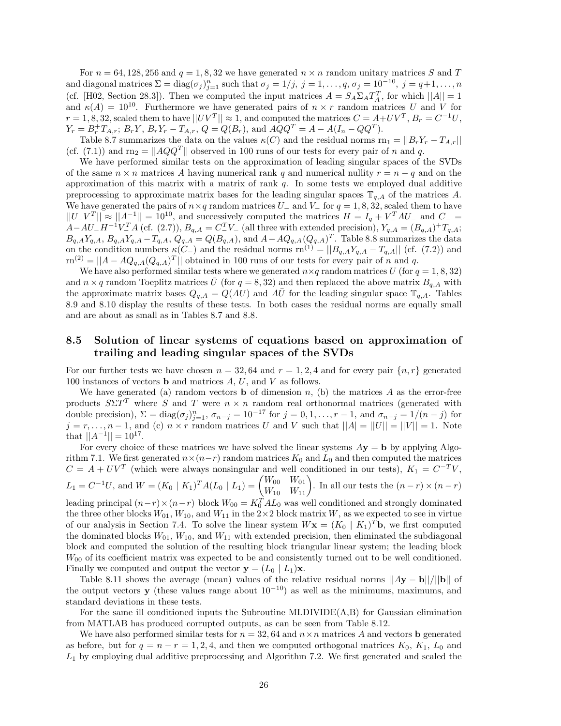For  $n = 64, 128, 256$  and  $q = 1, 8, 32$  we have generated  $n \times n$  random unitary matrices *S* and *T* and diagonal matrices  $\Sigma = \text{diag}(\sigma_j)_{j=1}^n$  such that  $\sigma_j = 1/j$ ,  $j = 1, \ldots, q$ ,  $\sigma_j = 10^{-10}$ ,  $j = q+1, \ldots, n$ (cf. [H02, Section 28.3]). Then we computed the input matrices  $A = S_A \Sigma_A T_A^T$ , for which  $||A|| = 1$ and  $\kappa(A) = 10^{10}$ . Furthermore we have generated pairs of  $n \times r$  random matrices *U* and *V* for  $r = 1, 8, 32$ , scaled them to have  $||UV^T|| \approx 1$ , and computed the matrices  $C = A + UV^T$ ,  $B_r = C^{-1}U$ ,  $Y_r = B_r^+ T_{A,r}$ ;  $B_r Y$ ,  $B_r Y_r - T_{A,r}$ ,  $Q = Q(B_r)$ , and  $A Q Q^T = A - A (I_n - Q Q^T)$ .

Table 8.7 summarizes the data on the values  $\kappa(C)$  and the residual norms  $\text{rn}_1 = ||B_r Y_r - T_{A,r}||$ (cf. (7.1)) and  $rn_2 = ||AQQ^T||$  observed in 100 runs of our tests for every pair of *n* and *q*.

We have performed similar tests on the approximation of leading singular spaces of the SVDs of the same  $n \times n$  matrices A having numerical rank q and numerical nullity  $r = n - q$  and on the approximation of this matrix with a matrix of rank *q*. In some tests we employed dual additive preprocessing to approximate matrix bases for the leading singular spaces  $\mathbb{T}_{q,A}$  of the matrices A. We have generated the pairs of  $n \times q$  random matrices  $U_-\$  and  $V_-\$  for  $q = 1, 8, 32$ , scaled them to have  $||U-V^T|| \approx ||A^{-1}|| = 10^{10}$ , and successively computed the matrices  $H = I_q + V^T A U$  and  $C =$  $A - AU - H^{-1}V^T A$  (cf. (2.7)),  $B_{q,A} = C^T V^-$  (all three with extended precision),  $Y_{q,A} = (B_{q,A}) + T_{q,A}$ ;  $B_{q,A}Y_{q,A}, B_{q,A}Y_{q,A}-T_{q,A}, Q_{q,A}=Q(B_{q,A}),$  and  $A-AQ_{q,A}(Q_{q,A})^T$ . Table 8.8 summarizes the data on the condition numbers  $\kappa(C_{-})$  and the residual norms  $\text{rn}^{(1)} = ||B_{q,A}Y_{q,A} - T_{q,A}||$  (cf. (7.2)) and  $r^{(2)} = ||A - AQ_{q,A}(Q_{q,A})^T||$  obtained in 100 runs of our tests for every pair of *n* and *q*.

We have also performed similar tests where we generated  $n \times q$  random matrices *U* (for  $q = 1, 8, 32$ ) and  $n \times q$  random Toeplitz matrices  $\bar{U}$  (for  $q = 8,32$ ) and then replaced the above matrix  $B_{q,A}$  with the approximate matrix bases  $Q_{q,A} = Q(AU)$  and  $A\overline{U}$  for the leading singular space  $\mathbb{T}_{q,A}$ . Tables 8.9 and 8.10 display the results of these tests. In both cases the residual norms are equally small and are about as small as in Tables 8.7 and 8.8.

## **8.5 Solution of linear systems of equations based on approximation of trailing and leading singular spaces of the SVDs**

For our further tests we have chosen  $n = 32,64$  and  $r = 1,2,4$  and for every pair  $\{n, r\}$  generated 100 instances of vectors **b** and matrices *A*, *U*, and *V* as follows.

We have generated (a) random vectors **b** of dimension  $n$ , (b) the matrices  $A$  as the error-free products  $S\Sigma T^T$  where *S* and *T* were  $n \times n$  random real orthonormal matrices (generated with double precision),  $\Sigma = \text{diag}(\sigma_j)_{j=1}^n$ ,  $\sigma_{n-j} = 10^{-17}$  for  $j = 0, 1, \ldots, r-1$ , and  $\sigma_{n-j} = 1/(n-j)$  for  $j = r, \ldots, n-1$ , and (c)  $n \times r$  random matrices *U* and *V* such that  $||A| = ||U|| = ||V|| = 1$ . Note that  $||A^{-1}|| = 10^{17}$ .

For every choice of these matrices we have solved the linear systems  $Ay = b$  by applying Algorithm 7.1. We first generated  $n \times (n-r)$  random matrices  $K_0$  and  $L_0$  and then computed the matrices  $C = A + UV^T$  (which were always nonsingular and well conditioned in our tests),  $K_1 = C^{-T}V$ ,  $L_1 = C^{-1}U$ , and  $W = (K_0 | K_1)^T A (L_0 | L_1) = \begin{pmatrix} W_{00} & W_{01} \ W_{10} & W_{11} \end{pmatrix}$ . In all our tests the  $(n-r) \times (n-r)$ 

leading principal  $(n-r) \times (n-r)$  block  $W_{00} = K_0^T A L_0$  was well conditioned and strongly dominated the three other blocks  $W_{01}$ ,  $W_{10}$ , and  $W_{11}$  in the 2×2 block matrix *W*, as we expected to see in virtue of our analysis in Section 7.4. To solve the linear system  $W\mathbf{x} = (K_0 | K_1)^T\mathbf{b}$ , we first computed the dominated blocks  $W_{01}$ ,  $W_{10}$ , and  $W_{11}$  with extended precision, then eliminated the subdiagonal block and computed the solution of the resulting block triangular linear system; the leading block  $W_{00}$  of its coefficient matrix was expected to be and consistently turned out to be well conditioned. Finally we computed and output the vector  $\mathbf{y} = (L_0 \mid L_1)\mathbf{x}$ .

Table 8.11 shows the average (mean) values of the relative residual norms  $||Ay - b||/||b||$  of the output vectors **y** (these values range about  $10^{-10}$ ) as well as the minimums, maximums, and standard deviations in these tests.

For the same ill conditioned inputs the Subroutine MLDIVIDE(A,B) for Gaussian elimination from MATLAB has produced corrupted outputs, as can be seen from Table 8.12.

We have also performed similar tests for  $n = 32, 64$  and  $n \times n$  matrices *A* and vectors **b** generated as before, but for  $q = n - r = 1, 2, 4$ , and then we computed orthogonal matrices  $K_0, K_1, L_0$  and *L*<sup>1</sup> by employing dual additive preprocessing and Algorithm 7.2. We first generated and scaled the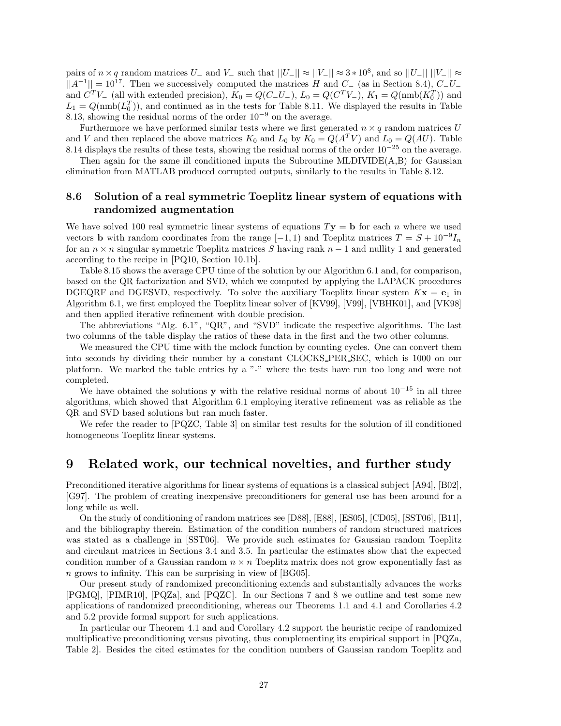pairs of *n* × *q* random matrices *U*<sub>−</sub> and *V*<sub>−</sub> such that  $||U_-|| \approx ||V_-|| \approx 3 * 10^8$ , and so  $||U_-|| ||V_-|| \approx$ ||*A*−1|| = 1017. Then we successively computed the matrices *<sup>H</sup>* and *<sup>C</sup>*<sup>−</sup> (as in Section 8.4), *<sup>C</sup>*−*U*<sup>−</sup> and  $C_{-V-}^T$  (all with extended precision),  $K_0 = Q(C_{-}U_{-})$ ,  $L_0 = Q(C_{-}^T V_{-})$ ,  $K_1 = Q(\text{nmb}(K_0^T))$  and  $L_1 = Q(\text{nmb}(L_0^T))$ , and continued as in the tests for Table 8.11. We displayed the results in Table 8.13, showing the residual norms of the order 10−<sup>9</sup> on the average.

Furthermore we have performed similar tests where we first generated  $n \times q$  random matrices *U* and *V* and then replaced the above matrices  $K_0$  and  $L_0$  by  $K_0 = Q(A^T V)$  and  $L_0 = Q(AU)$ . Table 8.14 displays the results of these tests, showing the residual norms of the order  $10^{-25}$  on the average.

Then again for the same ill conditioned inputs the Subroutine MLDIVIDE $(A,B)$  for Gaussian elimination from MATLAB produced corrupted outputs, similarly to the results in Table 8.12.

## **8.6 Solution of a real symmetric Toeplitz linear system of equations with randomized augmentation**

We have solved 100 real symmetric linear systems of equations  $T$ **y** = **b** for each *n* where we used vectors **b** with random coordinates from the range  $[-1, 1)$  and Toeplitz matrices  $T = S + 10^{-9}I_n$ for an  $n \times n$  singular symmetric Toeplitz matrices *S* having rank  $n-1$  and nullity 1 and generated according to the recipe in [PQ10, Section 10.1b].

Table 8.15 shows the average CPU time of the solution by our Algorithm 6.1 and, for comparison, based on the QR factorization and SVD, which we computed by applying the LAPACK procedures DGEQRF and DGESVD, respectively. To solve the auxiliary Toeplitz linear system  $Kx = e_1$  in Algorithm 6.1, we first employed the Toeplitz linear solver of [KV99], [V99], [VBHK01], and [VK98] and then applied iterative refinement with double precision.

The abbreviations "Alg. 6.1", "QR", and "SVD" indicate the respective algorithms. The last two columns of the table display the ratios of these data in the first and the two other columns.

We measured the CPU time with the mclock function by counting cycles. One can convert them into seconds by dividing their number by a constant CLOCKS PER SEC, which is 1000 on our platform. We marked the table entries by a "-" where the tests have run too long and were not completed.

We have obtained the solutions **y** with the relative residual norms of about  $10^{-15}$  in all three algorithms, which showed that Algorithm 6.1 employing iterative refinement was as reliable as the QR and SVD based solutions but ran much faster.

We refer the reader to [PQZC, Table 3] on similar test results for the solution of ill conditioned homogeneous Toeplitz linear systems.

## **9 Related work, our technical novelties, and further study**

Preconditioned iterative algorithms for linear systems of equations is a classical subject [A94], [B02], [G97]. The problem of creating inexpensive preconditioners for general use has been around for a long while as well.

On the study of conditioning of random matrices see [D88], [E88], [ES05], [CD05], [SST06], [B11], and the bibliography therein. Estimation of the condition numbers of random structured matrices was stated as a challenge in [SST06]. We provide such estimates for Gaussian random Toeplitz and circulant matrices in Sections 3.4 and 3.5. In particular the estimates show that the expected condition number of a Gaussian random  $n \times n$  Toeplitz matrix does not grow exponentially fast as *n* grows to infinity. This can be surprising in view of [BG05].

Our present study of randomized preconditioning extends and substantially advances the works [PGMQ], [PIMR10], [PQZa], and [PQZC]. In our Sections 7 and 8 we outline and test some new applications of randomized preconditioning, whereas our Theorems 1.1 and 4.1 and Corollaries 4.2 and 5.2 provide formal support for such applications.

In particular our Theorem 4.1 and and Corollary 4.2 support the heuristic recipe of randomized multiplicative preconditioning versus pivoting, thus complementing its empirical support in [PQZa, Table 2]. Besides the cited estimates for the condition numbers of Gaussian random Toeplitz and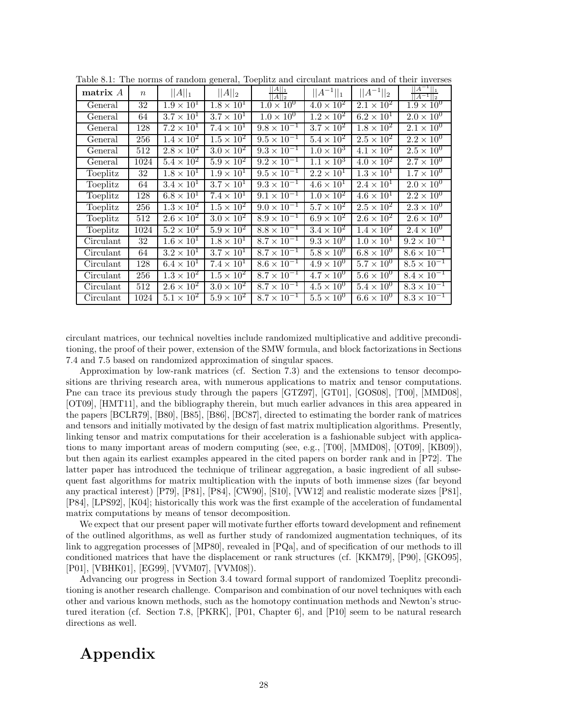| matrix $A$ | $\boldsymbol{n}$ | $  A  _1$           | $  A  _2$           | $\frac{  A  _1}{  A  _2}$      | $  A^{-1}  _1$               | $  A^{-1}  _2$      | $  A^{-1}  _1$<br>$  A^{-1}  _2$ |
|------------|------------------|---------------------|---------------------|--------------------------------|------------------------------|---------------------|----------------------------------|
| General    | 32               | $1.9 \times 10^{1}$ | $1.8 \times 10^{1}$ | $1.0 \times 10^{0}$            | $4.0 \times 10^{2}$          | $2.1 \times 10^{2}$ | $1.9 \times 10^{0}$              |
| General    | 64               | $3.7 \times 10^1$   | $3.7 \times 10^{1}$ | $1.0 \times 10^{0}$            | $1.2 \times 10^{2}$          | $6.2 \times 10^{1}$ | $2.0 \times 10^{0}$              |
| General    | 128              | $7.2 \times 10^{1}$ | $7.4 \times 10^{1}$ | $\frac{1}{9.8} \times 10^{-1}$ | $3.7 \times 10^{2}$          | $1.8 \times 10^{2}$ | $2.1 \times 10^{0}$              |
| General    | 256              | $1.4 \times 10^{2}$ | $1.5 \times 10^2$   | $9.5 \times 10^{-1}$           | $5.4 \times 10^{2}$          | $2.5 \times 10^2$   | $2.2 \times 10^{0}$              |
| General    | 512              | $2.8 \times 10^2$   | $3.0 \times 10^2$   | $9.3 \times 10^{-1}$           | $1.0 \times 10^{3}$          | $4.1 \times 10^{2}$ | $2.5 \times 10^{0}$              |
| General    | 1024             | $5.4 \times 10^2$   | $5.9 \times 10^2$   | $9.2 \times 10^{-1}$           | $\overline{1.1 \times 10^3}$ | $4.0 \times 10^2$   | $2.7 \times 10^{0}$              |
| Toeplitz   | 32               | $1.8 \times 10^{1}$ | $1.9 \times 10^{1}$ | $9.5 \times 10^{-1}$           | $\overline{2.2\times10^1}$   | $1.3 \times 10^{1}$ | $1.7 \times 10^{0}$              |
| Toeplitz   | 64               | $3.4 \times 10^{1}$ | $3.7 \times 10^{1}$ | $9.3 \times 10^{-1}$           | $4.6 \times 10^{1}$          | $2.4 \times 10^{1}$ | $2.0 \times 10^{0}$              |
| Toeplitz   | 128              | $6.8 \times 10^{1}$ | $7.4 \times 10^{1}$ | $9.1 \times 10^{-1}$           | $1.0 \times 10^{2}$          | $4.6 \times 10^{1}$ | $2.2 \times 10^{0}$              |
| Toeplitz   | 256              | $1.3 \times 10^2$   | $1.5 \times 10^2$   | $9.0 \times 10^{-1}$           | $5.7 \times 10^{2}$          | $2.5 \times 10^2$   | $2.3 \times 10^{0}$              |
| Toeplitz   | 512              | $2.6 \times 10^2$   | $3.0 \times 10^{2}$ | $8.9 \times 10^{-1}$           | $6.9 \times 10^{2}$          | $2.6 \times 10^2$   | $2.6 \times 10^{0}$              |
| Toeplitz   | 1024             | $5.2 \times 10^2$   | $5.9 \times 10^2$   | $8.8 \times 10^{-1}$           | $3.4 \times 10^2$            | $1.4 \times 10^{2}$ | $2.4 \times 10^{0}$              |
| Circulant  | 32               | $1.6 \times 10^{1}$ | $1.8 \times 10^{1}$ | $8.7 \times 10^{-1}$           | $9.3 \times 10^{0}$          | $1.0 \times 10^{1}$ | $9.2 \times 10^{-1}$             |
| Circulant  | 64               | $3.2 \times 10^{1}$ | $3.7 \times 10^{1}$ | $8.7 \times 10^{-1}$           | $5.8 \times 10^{0}$          | $6.8 \times 10^{0}$ | $8.6 \times 10^{-1}$             |
| Circulant  | 128              | $6.4 \times 10^1$   | $7.4 \times 10^{1}$ | $8.6 \times 10^{-1}$           | $4.9 \times 10^{0}$          | $5.7 \times 10^{0}$ | $8.5 \times 10^{-1}$             |
| Circulant  | 256              | $1.3 \times 10^2$   | $1.5 \times 10^2$   | $8.7 \times 10^{-1}$           | $4.7 \times 10^{0}$          | $5.6 \times 10^{0}$ | $8.4 \times 10^{-1}$             |
| Circulant  | 512              | $2.6 \times 10^2$   | $3.0 \times 10^{2}$ | $8.7 \times 10^{-1}$           | $4.5 \times 10^{0}$          | $5.4 \times 10^{0}$ | $8.3 \times 10^{-1}$             |
| Circulant  | 1024             | $5.1 \times 10^2$   | $5.9 \times 10^{2}$ | $8.7 \times 10^{-1}$           | $5.5 \times 10^{0}$          | $6.6 \times 10^{0}$ | $8.3 \times 10^{-1}$             |

Table 8.1: The norms of random general, Toeplitz and circulant matrices and of their inverses

circulant matrices, our technical novelties include randomized multiplicative and additive preconditioning, the proof of their power, extension of the SMW formula, and block factorizations in Sections 7.4 and 7.5 based on randomized approximation of singular spaces.

Approximation by low-rank matrices (cf. Section 7.3) and the extensions to tensor decompositions are thriving research area, with numerous applications to matrix and tensor computations. Pne can trace its previous study through the papers [GTZ97], [GT01], [GOS08], [T00], [MMD08], [OT09], [HMT11], and the bibliography therein, but much earlier advances in this area appeared in the papers [BCLR79], [B80], [B85], [B86], [BC87], directed to estimating the border rank of matrices and tensors and initially motivated by the design of fast matrix multiplication algorithms. Presently, linking tensor and matrix computations for their acceleration is a fashionable subject with applications to many important areas of modern computing (see, e.g., [T00], [MMD08], [OT09], [KB09]), but then again its earliest examples appeared in the cited papers on border rank and in [P72]. The latter paper has introduced the technique of trilinear aggregation, a basic ingredient of all subsequent fast algorithms for matrix multiplication with the inputs of both immense sizes (far beyond any practical interest) [P79], [P81], [P84], [CW90], [S10], [VW12] and realistic moderate sizes [P81], [P84], [LPS92], [K04]; historically this work was the first example of the acceleration of fundamental matrix computations by means of tensor decomposition.

We expect that our present paper will motivate further efforts toward development and refinement of the outlined algorithms, as well as further study of randomized augmentation techniques, of its link to aggregation processes of [MP80], revealed in [PQa], and of specification of our methods to ill conditioned matrices that have the displacement or rank structures (cf. [KKM79], [P90], [GKO95], [P01], [VBHK01], [EG99], [VVM07], [VVM08]).

Advancing our progress in Section 3.4 toward formal support of randomized Toeplitz preconditioning is another research challenge. Comparison and combination of our novel techniques with each other and various known methods, such as the homotopy continuation methods and Newton's structured iteration (cf. Section 7.8, [PKRK], [P01, Chapter 6], and [P10] seem to be natural research directions as well.

# **Appendix**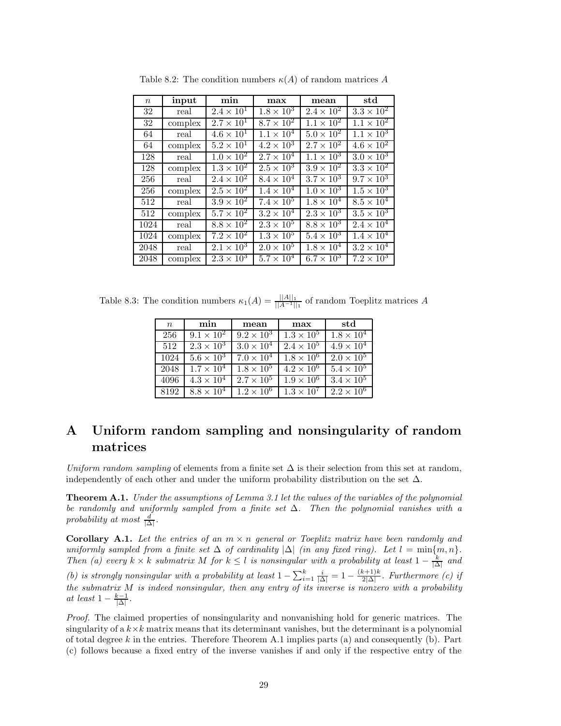| $\boldsymbol{n}$   | input   | min                 | max                 | mean                | std                          |
|--------------------|---------|---------------------|---------------------|---------------------|------------------------------|
| 32                 | real    | $2.4 \times 10^{1}$ | $1.8 \times 10^{3}$ | $2.4 \times 10^{2}$ | $3.3 \times 10^2$            |
| 32                 | complex | $2.7 \times 10^{1}$ | $8.7 \times 10^2$   | $1.1 \times 10^{2}$ | $1.1 \times 10^{2}$          |
| 64                 | real    | $4.6 \times 10^{1}$ | $1.1 \times 10^{4}$ | $5.0 \times 10^{2}$ | $1.1 \times 10^{3}$          |
| 64                 | complex | $5.2 \times 10^{1}$ | $4.2 \times 10^3$   | $2.7 \times 10^{2}$ | $4.6 \times 10^2$            |
| 128                | real    | $1.0 \times 10^{2}$ | $2.7 \times 10^{4}$ | $1.1 \times 10^{3}$ | $3.0 \times 10^{3}$          |
| 128                | complex | $1.3 \times 10^{2}$ | $2.5 \times 10^{3}$ | $3.9 \times 10^{2}$ | $3.3 \times 10^2$            |
| 256                | real    | $2.4 \times 10^2$   | $8.4 \times 10^{4}$ | $3.7 \times 10^3$   | $9.7 \times 10^{3}$          |
| 256                | complex | $2.5 \times 10^{2}$ | $1.4 \times 10^{4}$ | $1.0 \times 10^{3}$ | $1.5 \times 10^3$            |
| 512                | real    | $3.9 \times 10^2$   | $7.4 \times 10^{5}$ | $1.8 \times 10^{4}$ | $8.5 \times 10^4$            |
| 512                | complex | $5.7 \times 10^2$   | $3.2 \times 10^{4}$ | $2.3 \times 10^3$   | $3.5 \times 10^3$            |
| 1024               | real    | $8.8 \times 10^{2}$ | $2.3 \times 10^5$   | $8.8 \times 10^{3}$ | $2.4 \times 10^4$            |
| 1024               | complex | $7.2 \times 10^2$   | $1.3 \times 10^{5}$ | $5.4 \times 10^{3}$ | $\overline{1.4 \times 10^4}$ |
| $\overline{20}$ 48 | real    | $2.1 \times 10^3$   | $2.0 \times 10^{5}$ | $1.8 \times 10^{4}$ | $3.2 \times 10^4$            |
| 2048               | complex | $2.3 \times 10^{3}$ | $5.7 \times 10^{4}$ | $6.7 \times 10^{3}$ | $7.2 \times 10^{3}$          |

Table 8.2: The condition numbers  $\kappa(A)$  of random matrices A

Table 8.3: The condition numbers  $\kappa_1(A) = \frac{||A||_1}{||A^{-1}||_1}$  of random Toeplitz matrices A

| $\boldsymbol{n}$ | min                 | mean                | max                 | std                 |
|------------------|---------------------|---------------------|---------------------|---------------------|
| 256              | $9.1 \times 10^{2}$ | $9.2 \times 10^{3}$ | $1.3 \times 10^{5}$ | $1.8 \times 10^{4}$ |
| 512              | $2.3 \times 10^3$   | $3.0 \times 10^{4}$ | $2.4 \times 10^{5}$ | $4.9 \times 10^{4}$ |
| 1024             | $5.6 \times 10^3$   | $7.0 \times 10^{4}$ | $1.8 \times 10^{6}$ | $2.0 \times 10^{5}$ |
| 2048             | $1.7 \times 10^{4}$ | $1.8 \times 10^{5}$ | $4.2 \times 10^{6}$ | $5.4 \times 10^5$   |
| 4096             | $4.3 \times 10^4$   | $2.7 \times 10^{5}$ | $1.9 \times 10^{6}$ | $3.4 \times 10^{5}$ |
| 8192             | $8.8 \times 10^4$   | $1.2 \times 10^6$   | $1.3 \times 10^{7}$ | $2.2 \times 10^6$   |

# **A Uniform random sampling and nonsingularity of random matrices**

*Uniform random sampling* of elements from a finite set  $\Delta$  is their selection from this set at random, independently of each other and under the uniform probability distribution on the set  $\Delta$ .

**Theorem A.1.** *Under the assumptions of Lemma 3.1 let the values of the variables of the polynomial be randomly and uniformly sampled from a finite set* ∆*. Then the polynomial vanishes with a*  $\frac{d}{\Delta}$ .

**Corollary A.1.** Let the entries of an  $m \times n$  general or Toeplitz matrix have been randomly and *uniformly sampled from a finite set*  $\Delta$  *of cardinality*  $|\Delta|$  *(in any fixed ring). Let*  $l = \min\{m, n\}$ *. Then* (a) every  $k \times k$  *submatrix*  $M$  *for*  $k \leq l$  *is nonsingular with a probability at least*  $1 - \frac{k}{|\Delta|}$  *and (b) is strongly nonsingular with a probability at least*  $1 - \sum_{i=1}^{k} \frac{i}{|\Delta|} = 1 - \frac{(k+1)k}{2|\Delta|}$ . Furthermore *(c) if the submatrix M is indeed nonsingular, then any entry of its inverse is nonzero with a probability at least*  $1 - \frac{k-1}{|\Delta|}$ .

*Proof.* The claimed properties of nonsingularity and nonvanishing hold for generic matrices. The singularity of a  $k \times k$  matrix means that its determinant vanishes, but the determinant is a polynomial of total degree *k* in the entries. Therefore Theorem A.1 implies parts (a) and consequently (b). Part (c) follows because a fixed entry of the inverse vanishes if and only if the respective entry of the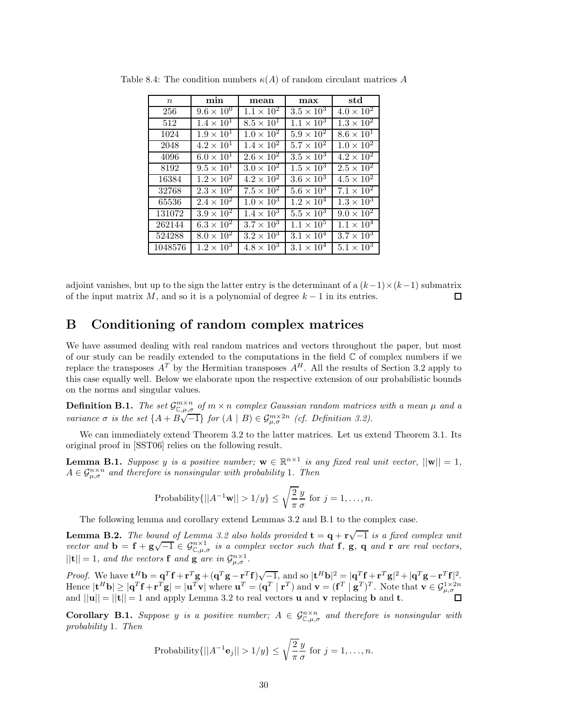| $\,n$   | min                 | mean                | max                 | std                 |
|---------|---------------------|---------------------|---------------------|---------------------|
| 256     | $9.6 \times 10^{0}$ | $1.1 \times 10^{2}$ | $3.5 \times 10^3$   | $4.0 \times 10^{2}$ |
| 512     | $1.4 \times 10^{1}$ | $8.5 \times 10^{1}$ | $1.1 \times 10^{3}$ | $1.3 \times 10^{2}$ |
| 1024    | $1.9 \times 10^{1}$ | $1.0 \times 10^{2}$ | $5.9 \times 10^2$   | $8.6 \times 10^{1}$ |
| 2048    | $4.2 \times 10^1$   | $1.4 \times 10^{2}$ | $5.7 \times 10^2$   | $1.0 \times 10^{2}$ |
| 4096    | $6.0 \times 10^{1}$ | $2.6 \times 10^{2}$ | $3.5 \times 10^3$   | $4.2 \times 10^{2}$ |
| 8192    | $9.5 \times 10^{1}$ | $3.0 \times 10^2$   | $1.5 \times 10^{3}$ | $2.5 \times 10^{2}$ |
| 16384   | $1.2 \times 10^{2}$ | $4.2 \times 10^{2}$ | $3.6 \times 10^3$   | $4.5 \times 10^2$   |
| 32768   | $2.3 \times 10^{2}$ | $7.5 \times 10^{2}$ | $5.6 \times 10^3$   | $7.1 \times 10^{2}$ |
| 65536   | $2.4 \times 10^{2}$ | $1.0 \times 10^{3}$ | $1.2 \times 10^{4}$ | $1.3 \times 10^3$   |
| 131072  | $3.9 \times 10^2$   | $1.4 \times 10^3$   | $5.5 \times 10^3$   | $9.0 \times 10^{2}$ |
| 262144  | $6.3 \times 10^2$   | $3.7 \times 10^3$   | $1.1 \times 10^{5}$ | $1.1 \times 10^{4}$ |
| 524288  | $8.0 \times 10^{2}$ | $3.2 \times 10^3$   | $3.1 \times 10^{4}$ | $3.7\times10^{3}$   |
| 1048576 | $1.2 \times 10^3$   | $4.8 \times 10^3$   | $3.1 \times 10^4$   | $5.1 \times 10^3$   |

Table 8.4: The condition numbers  $\kappa(A)$  of random circulant matrices A

adjoint vanishes, but up to the sign the latter entry is the determinant of a  $(k-1)\times(k-1)$  submatrix of the input matrix  $M$ , and so it is a polynomial of degree  $k-1$  in its entries. П

## **B Conditioning of random complex matrices**

We have assumed dealing with real random matrices and vectors throughout the paper, but most of our study can be readily extended to the computations in the field  $\mathbb C$  of complex numbers if we replace the transposes  $A<sup>T</sup>$  by the Hermitian transposes  $A<sup>H</sup>$ . All the results of Section 3.2 apply to this case equally well. Below we elaborate upon the respective extension of our probabilistic bounds on the norms and singular values.

**Definition B.1.** The set  $\mathcal{G}^{m \times n}_{\mathbb{C},\mu,\sigma}$  of  $m \times n$  complex Gaussian random matrices with a mean  $\mu$  and a variance  $\sigma$  is the set  $\{A + B\sqrt{-1}\}$  for  $(A \mid B) \in \mathcal{G}^{m \times 2n}_{\mu,\sigma}$  (cf. Definition 3.2).

We can immediately extend Theorem 3.2 to the latter matrices. Let us extend Theorem 3.1. Its original proof in [SST06] relies on the following result.

**Lemma B.1.** *Suppose y is a positive number;*  $\mathbf{w} \in \mathbb{R}^{n \times 1}$  *is any fixed real unit vector,*  $||\mathbf{w}|| = 1$ *,*  $A \in \mathcal{G}_{\mu,\sigma}^{n \times n}$  *and therefore is nonsingular with probability* 1*. Then* 

Probability
$$
\{||A^{-1}\mathbf{w}|| > 1/y\} \le \sqrt{\frac{2}{\pi}} \frac{y}{\sigma}
$$
 for  $j = 1, ..., n$ .

The following lemma and corollary extend Lemmas 3.2 and B.1 to the complex case.

**Lemma B.2.** *The bound of Lemma 3.2 also holds provided*  $\mathbf{t} = \mathbf{q} + \mathbf{r}\sqrt{-1}$  *is a fixed complex unit vector and*  $\mathbf{b} = \mathbf{f} + \mathbf{g}\sqrt{-1} \in \mathcal{G}_{\mathbb{C},\mu,\sigma}^{m\times1}$  *is a complex vector such that* **f**, **g**, **q** *and* **r** *are real vectors,*  $||{\bf t}|| = 1$ *, and the vectors* **f** *and* **g** *are in*  $\mathcal{G}_{\mu,\sigma}^{n\times1}$ *.* 

*Proof.* We have  $\mathbf{t}^H \mathbf{b} = \mathbf{q}^T \mathbf{f} + \mathbf{r}^T \mathbf{g} + (\mathbf{q}^T \mathbf{g} - \mathbf{r}^T \mathbf{f}) \sqrt{-1}$ , and so  $|\mathbf{t}^H \mathbf{b}|^2 = |\mathbf{q}^T \mathbf{f} + \mathbf{r}^T \mathbf{g}|^2 + |\mathbf{q}^T \mathbf{g} - \mathbf{r}^T \mathbf{f}|^2$ . Hence  $|\mathbf{t}^H \mathbf{b}| \geq |\mathbf{q}^T \mathbf{f} + \mathbf{r}^T \mathbf{g}| = |\mathbf{u}^T \mathbf{v}| \text{ where } \mathbf{u}^T = (\mathbf{q}^T \mid \mathbf{r}^T) \text{ and } \mathbf{v} = (\mathbf{f}^T \mid \mathbf{g}^T)^T.$  Note that  $\mathbf{v} \in \mathcal{G}_{\mu,\sigma}^{1 \times 2n}$ and  $||\mathbf{u}|| = ||\mathbf{t}|| = 1$  and apply Lemma 3.2 to real vectors **u** and **v** replacing **b** and **t**.

**Corollary B.1.** *Suppose y is a positive number;*  $A \in \mathcal{G}_{\mathbb{C},\mu,\sigma}^{n \times n}$  *and therefore is nonsingular with probability* 1*. Then*

Probability
$$
\{||A^{-1}\mathbf{e}_j|| > 1/y\} \le \sqrt{\frac{2}{\pi}} \frac{y}{\sigma}
$$
 for  $j = 1, ..., n$ .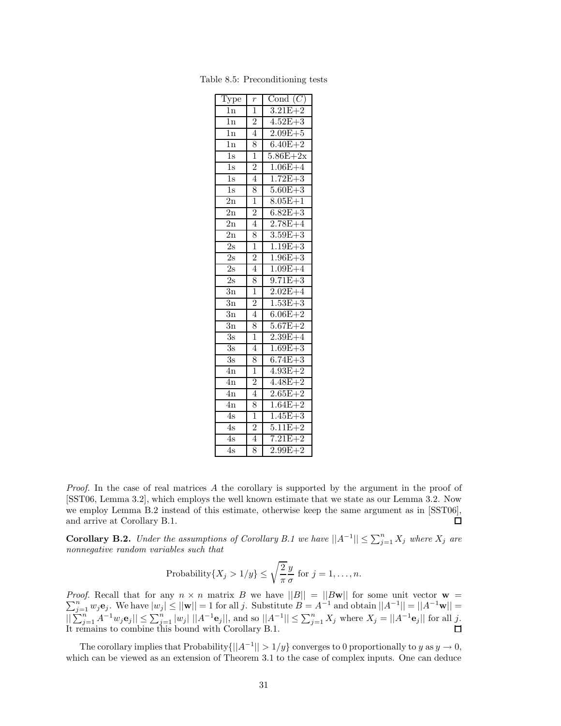| Type             | $\,r\,$        | Cond $(C)$   |
|------------------|----------------|--------------|
| $\overline{1}$ n | $\overline{1}$ | $3.21E + 2$  |
| 1n               | $\overline{2}$ | $4.52E + 3$  |
| $\overline{1n}$  | $\overline{4}$ | $2.09E + 5$  |
| $\overline{1}$ n | 8              | $6.40E + 2$  |
| $\overline{1s}$  | $\frac{1}{1}$  | $5.86E + 2x$ |
| $\overline{1s}$  | $\overline{2}$ | $1.06E + 4$  |
| $\overline{1s}$  | $\overline{4}$ | $1.72E + 3$  |
| $\overline{1}$ s | 8              | $5.60E + 3$  |
| $\overline{2n}$  | $\overline{1}$ | $8.05E + 1$  |
| $\overline{2n}$  | $\frac{2}{4}$  | $6.82E + 3$  |
| $\overline{2n}$  |                | $2.78E + 4$  |
| $\overline{2n}$  | 8              | $3.59E + 3$  |
| $\overline{2s}$  | $\overline{1}$ | $1.19E + 3$  |
| $\overline{2s}$  | $\overline{2}$ | $1.96E + 3$  |
| $\overline{2s}$  | $\overline{4}$ | $1.09E + 4$  |
| 2s               | 8              | $9.71E + 3$  |
| $\overline{3n}$  | $\overline{1}$ | $2.02E+4$    |
| $\overline{3n}$  | $\overline{2}$ | $1.53E + 3$  |
| $\overline{3n}$  | $\overline{4}$ | $6.06E + 2$  |
| $\overline{3n}$  | 8              | $5.67E + 2$  |
| $\overline{3s}$  | $\overline{1}$ | $2.39E + 4$  |
| $\overline{3s}$  | $\overline{4}$ | $1.69E + 3$  |
| $\overline{3s}$  | 8              | $6.74E + 3$  |
| $\overline{4n}$  | $\overline{1}$ | $4.93E + 2$  |
| $\overline{4n}$  | $\overline{2}$ | $4.48E + 2$  |
| $\overline{4n}$  | $\overline{4}$ | $2.65E + 2$  |
| $\overline{4n}$  | 8              | $1.64E + 2$  |
| 4s               | $\overline{1}$ | $1.45E + 3$  |
| $\overline{4s}$  | $\frac{2}{4}$  | $5.11E + 2$  |
| 4s               |                | $7.21E + 2$  |
| 4s               | 8              | $2.99E + 2$  |

Table 8.5: Preconditioning tests

*Proof.* In the case of real matrices A the corollary is supported by the argument in the proof of [SST06, Lemma 3.2], which employs the well known estimate that we state as our Lemma 3.2. Now we employ Lemma B.2 instead of this estimate, otherwise keep the same argument as in [SST06], and arrive at Corollary B.1.  $\Box$ 

**Corollary B.2.** *Under the assumptions of Corollary B.1 we have*  $||A^{-1}|| \le \sum_{j=1}^{n} X_j$  *where*  $X_j$  *are nonnegative random variables such that*

Probability{
$$
X_j > 1/y
$$
}  $\leq \sqrt{\frac{2}{\pi}} \frac{y}{\sigma}$  for  $j = 1, ..., n$ .

*Proof. Proof.* Recall that for any  $n \times n$  matrix B we have  $||B|| = ||B\mathbf{w}||$  for some unit vector  $\mathbf{w} = \sum_{j=1}^{n} w_j \mathbf{e}_j$ . We have  $|w_j| \le ||\mathbf{w}|| = 1$  for all j. Substitute  $B = A^{-1}$  and obtain  $||A^{-1}|| = ||A^{-1}\mathbf{w}|| =$  $||\sum_{j=1}^{n} A^{-1}w_j \mathbf{e}_j|| \le \sum_{j=1}^{n} |w_j| ||A^{-1} \mathbf{e}_j||$ , and so  $||A^{-1}|| \le \sum_{j=1}^{n} X_j$  where  $X_j = ||A^{-1} \mathbf{e}_j||$  for all j. It remains to combine this bound with Corollary B.1.

The corollary implies that Probability $\{||A^{-1}|| > 1/y\}$  converges to 0 proportionally to *y* as  $y \to 0$ , which can be viewed as an extension of Theorem 3.1 to the case of complex inputs. One can deduce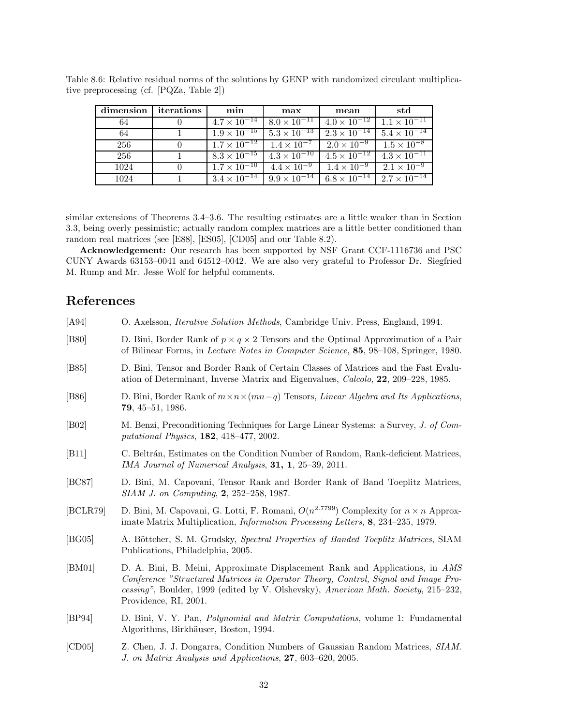| dimension | iterations | min | max                                                                                        | mean                             | std                              |
|-----------|------------|-----|--------------------------------------------------------------------------------------------|----------------------------------|----------------------------------|
| 64        |            |     | $4.7 \times 10^{-14}$   $8.0 \times 10^{-11}$                                              | $4.0 \times \overline{10^{-12}}$ | $1.1 \times 10^{-11}$            |
| 64        |            |     | $1.9 \times 10^{-15}$ $5.3 \times 10^{-13}$                                                | $2.3 \times 10^{-14}$            | $5.4 \times \overline{10^{-14}}$ |
| 256       | $\theta$   |     | $1.7 \times 10^{-12}$   $1.4 \times 10^{-7}$   $2.0 \times 10^{-9}$   $1.5 \times 10^{-8}$ |                                  |                                  |
| 256       |            |     | $8.3 \times 10^{-15}$ $4.3 \times 10^{-10}$ $4.5 \times 10^{-12}$                          |                                  | $4.3 \times \overline{10^{-11}}$ |
| 1024      |            |     | $1.7 \times 10^{-10}$ $4.4 \times 10^{-9}$ $1.4 \times 10^{-9}$                            |                                  | $2.1 \times 10^{-9}$             |
| 1024      |            |     | $3.4 \times 10^{-14}$ $9.9 \times 10^{-14}$ 6.8 $\times 10^{-14}$                          |                                  | $2.7 \times \overline{10^{-14}}$ |

Table 8.6: Relative residual norms of the solutions by GENP with randomized circulant multiplicative preprocessing (cf. [PQZa, Table 2])

similar extensions of Theorems 3.4–3.6. The resulting estimates are a little weaker than in Section 3.3, being overly pessimistic; actually random complex matrices are a little better conditioned than random real matrices (see [E88], [ES05], [CD05] and our Table 8.2).

**Acknowledgement:** Our research has been supported by NSF Grant CCF-1116736 and PSC CUNY Awards 63153–0041 and 64512–0042. We are also very grateful to Professor Dr. Siegfried M. Rump and Mr. Jesse Wolf for helpful comments.

# **References**

| [A94]              | O. Axelsson, <i>Iterative Solution Methods</i> , Cambridge Univ. Press, England, 1994.                                                                                                                                                                                            |
|--------------------|-----------------------------------------------------------------------------------------------------------------------------------------------------------------------------------------------------------------------------------------------------------------------------------|
| [ <b>B80</b> ]     | D. Bini, Border Rank of $p \times q \times 2$ Tensors and the Optimal Approximation of a Pair<br>of Bilinear Forms, in <i>Lecture Notes in Computer Science</i> , <b>85</b> , 98–108, Springer, 1980.                                                                             |
| [ <b>B85</b> ]     | D. Bini, Tensor and Border Rank of Certain Classes of Matrices and the Fast Evalu-<br>ation of Determinant, Inverse Matrix and Eigenvalues, <i>Calcolo</i> , <b>22</b> , 209–228, 1985.                                                                                           |
| [ <b>B86</b> ]     | D. Bini, Border Rank of $m \times n \times (mn-q)$ Tensors, <i>Linear Algebra and Its Applications</i> ,<br>$79, 45 - 51, 1986.$                                                                                                                                                  |
| [ <sub>B02</sub> ] | M. Benzi, Preconditioning Techniques for Large Linear Systems: a Survey, J. of Com-<br><i>putational Physics</i> , 182, 418-477, 2002.                                                                                                                                            |
| [B11]              | C. Beltrán, Estimates on the Condition Number of Random, Rank-deficient Matrices,<br>IMA Journal of Numerical Analysis, 31, 1, 25–39, 2011.                                                                                                                                       |
| [BC87]             | D. Bini, M. Capovani, Tensor Rank and Border Rank of Band Toeplitz Matrices,<br>$SIAM$ J. on Computing, 2, 252–258, 1987.                                                                                                                                                         |
| [BCLR79]           | D. Bini, M. Capovani, G. Lotti, F. Romani, $O(n^{2.7799})$ Complexity for $n \times n$ Approx-<br>imate Matrix Multiplication, <i>Information Processing Letters</i> , 8, 234–235, 1979.                                                                                          |
| [BG05]             | A. Böttcher, S. M. Grudsky, Spectral Properties of Banded Toeplitz Matrices, SIAM<br>Publications, Philadelphia, 2005.                                                                                                                                                            |
| [BM01]             | D. A. Bini, B. Meini, Approximate Displacement Rank and Applications, in AMS<br>Conference "Structured Matrices in Operator Theory, Control, Signal and Image Pro-<br>cessing", Boulder, 1999 (edited by V. Olshevsky), American Math. Society, 215–232,<br>Providence, RI, 2001. |
| [BP94]             | D. Bini, V. Y. Pan, <i>Polynomial and Matrix Computations</i> , volume 1: Fundamental<br>Algorithms, Birkhäuser, Boston, 1994.                                                                                                                                                    |
|                    |                                                                                                                                                                                                                                                                                   |

[CD05] Z. Chen, J. J. Dongarra, Condition Numbers of Gaussian Random Matrices, *SIAM. J. on Matrix Analysis and Applications*, **27**, 603–620, 2005.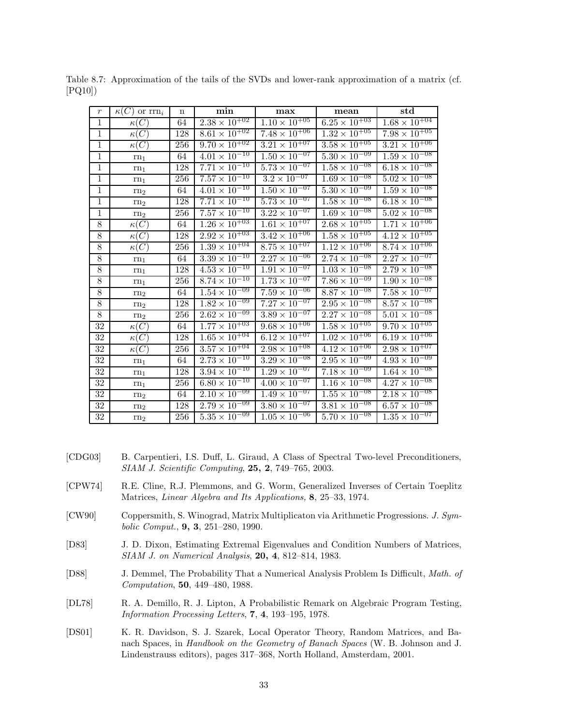| $\,r\,$         | $\kappa(C)$ or $\text{rrn}_i$ | $\mathbf n$ | $\min$                            | max                               | mean                              | $_{std}$                          |
|-----------------|-------------------------------|-------------|-----------------------------------|-----------------------------------|-----------------------------------|-----------------------------------|
| $\mathbf{1}$    | $\kappa(C)$                   | 64          | $2.\overline{38 \times 10^{+02}}$ | $1.\overline{10 \times 10^{+05}}$ | $6.\overline{25 \times 10^{+03}}$ | $1.68 \times 10^{+04}$            |
| $\overline{1}$  | $\kappa(C)$                   | 128         | $8.61 \times 10^{+02}$            | $7.\overline{48 \times 10^{+06}}$ | $1.\overline{32 \times 10^{+05}}$ | $7.98 \times 10^{+05}$            |
| $\mathbf{1}$    | $\kappa(C)$                   | 256         | $9.70 \times 10^{+02}$            | $3.21 \times 10^{+07}$            | $3.58 \times 10^{+05}$            | $3.21 \times 10^{+06}$            |
| $\mathbf{1}$    | $rn_1$                        | 64          | $4.\overline{01 \times 10^{-10}}$ | $1.50 \times 10^{-07}$            | $5.30 \times 10^{-09}$            | $1.\overline{59} \times 10^{-08}$ |
| $\overline{1}$  | rn <sub>1</sub>               | 128         | $7.71 \times 10^{-10}$            | $5.73 \times 10^{-07}$            | $1.\overline{58 \times 10^{-08}}$ | $6.18 \times 10^{-08}$            |
| $\mathbf{1}$    | rn <sub>1</sub>               | 256         | $7.\overline{57 \times 10^{-10}}$ | $3.\overline{2 \times 10^{-07}}$  | $1.69 \times 10^{-08}$            | $5.02 \times 10^{-08}$            |
| $\overline{1}$  | rn <sub>2</sub>               | 64          | $4.01 \times 10^{-10}$            | $1.50 \times 10^{-07}$            | $5.30 \times 10^{-09}$            | $1.59 \times 10^{-08}$            |
| $\overline{1}$  | rn <sub>2</sub>               | 128         | $7.7\overline{1\times10^{-10}}$   | $5.73 \times 10^{-07}$            | $1.58 \times 10^{-08}$            | $6.\overline{18 \times 10^{-08}}$ |
| $\mathbf{1}$    | rn <sub>2</sub>               | 256         | $7.\overline{57} \times 10^{-10}$ | $3.22 \times 10^{-07}$            | $1.69 \times 10^{-08}$            | $5.02 \times 10^{-08}$            |
| $\overline{8}$  | $\kappa(C)$                   | 64          | $1.26 \times 10^{+03}$            | $1.61 \times 10^{+07}$            | $2.68 \times 10^{+05}$            | $1.71 \times 10^{+06}$            |
| 8               | $\kappa(C)$                   | 128         | $2.92 \times 10^{+03}$            | $3.42 \times 10^{+06}$            | $1.58 \times 10^{+05}$            | $4.12 \times 10^{+05}$            |
| $8\,$           | $\kappa(C)$                   | 256         | $1.39 \times 10^{+04}$            | $8.75 \times 10^{+07}$            | $1.\overline{12 \times 10^{+06}}$ | $8.74 \times 10^{+06}$            |
| 8               | $rn_1$                        | 64          | $3.39 \times 10^{-10}$            | $2.27 \times 10^{-06}$            | $2.74 \times 10^{-08}$            | $2.27 \times 10^{-07}$            |
| $8\,$           | $rn_1$                        | 128         | $4.53 \times 10^{-10}$            | $1.91 \times 10^{-07}$            | $1.03 \times 10^{-08}$            | $2.79 \times 10^{-08}$            |
| $\overline{8}$  | $rn_1$                        | 256         | $8.74 \times 10^{-10}$            | $1.73\times10^{-07}$              | $7.86\times10^{-09}$              | $1.\overline{90 \times 10^{-08}}$ |
| $\overline{8}$  | rn <sub>2</sub>               | 64          | $1.\overline{54 \times 10^{-09}}$ | $7.\overline{59 \times 10^{-06}}$ | $8.\overline{87 \times 10^{-08}}$ | $7.58 \times 10^{-07}$            |
| $8\,$           | rn <sub>2</sub>               | 128         | $1.82 \times 10^{-09}$            | $7.\overline{27 \times 10^{-07}}$ | $2.\overline{95 \times 10^{-08}}$ | $8.\overline{57 \times 10^{-08}}$ |
| $\overline{8}$  | rn <sub>2</sub>               | 256         | $2.62 \times 10^{-09}$            | $3.89 \times 10^{-07}$            | $2.27 \times 10^{-08}$            | $5.01 \times 10^{-08}$            |
| $\overline{32}$ | $\kappa(C)$                   | 64          | $1.\overline{77 \times 10^{+03}}$ | $9.\overline{68 \times 10^{+06}}$ | $1.58 \times 10^{+05}$            | $9.70 \times 10^{+05}$            |
| 32              | $\kappa(C)$                   | 128         | $1.65 \times 10^{+04}$            | $6.\overline{12 \times 10^{+07}}$ | $1.02 \times 10^{+06}$            | $6.19 \times 10^{+06}$            |
| 32              | $\kappa(C)$                   | 256         | $3.57 \times 10^{+04}$            | $2.98 \times 10^{+08}$            | $4.12 \times 10^{+06}$            | $2.98 \times 10^{+07}$            |
| 32              | $rn_1$                        | 64          | $2.73 \times 10^{-10}$            | $3.29 \times 10^{-08}$            | $2.95 \times 10^{-09}$            | $4.93 \times 10^{-09}$            |
| 32              | $rn_1$                        | 128         | $3.94 \times 10^{-10}$            | $1.\overline{29 \times 10^{-07}}$ | $7.18 \times 10^{-09}$            | $1.64 \times 10^{-08}$            |
| 32              | rn <sub>1</sub>               | 256         | $6.\overline{80 \times 10^{-10}}$ | $4.00 \times 10^{-07}$            | $1.16 \times 10^{-08}$            | $4.27 \times 10^{-08}$            |
| $\overline{32}$ | rn <sub>2</sub>               | 64          | $2.\overline{10 \times 10^{-09}}$ | $1.\overline{49 \times 10^{-07}}$ | $1.\overline{55 \times 10^{-08}}$ | $2.18 \times 10^{-08}$            |
| 32              | rn <sub>2</sub>               | 128         | $2.79 \times 10^{-09}$            | $3.80 \times 10^{-07}$            | $3.81 \times 10^{-08}$            | $6.57 \times 10^{-08}$            |
| 32              | rn <sub>2</sub>               | 256         | $5.\overline{35 \times 10^{-09}}$ | $1.\overline{05 \times 10^{-06}}$ | $5.70 \times 10^{-08}$            | $1.\overline{35 \times 10^{-07}}$ |

Table 8.7: Approximation of the tails of the SVDs and lower-rank approximation of a matrix (cf. [PQ10])

- [CDG03] B. Carpentieri, I.S. Duff, L. Giraud, A Class of Spectral Two-level Preconditioners, *SIAM J. Scientific Computing*, **25, 2**, 749–765, 2003.
- [CPW74] R.E. Cline, R.J. Plemmons, and G. Worm, Generalized Inverses of Certain Toeplitz Matrices, *Linear Algebra and Its Applications,* **8**, 25–33, 1974.
- [CW90] Coppersmith, S. Winograd, Matrix Multiplicaton via Arithmetic Progressions. *J. Symbolic Comput.*, **9, 3**, 251–280, 1990.
- [D83] J. D. Dixon, Estimating Extremal Eigenvalues and Condition Numbers of Matrices, *SIAM J. on Numerical Analysis*, **20, 4**, 812–814, 1983.
- [D88] J. Demmel, The Probability That a Numerical Analysis Problem Is Difficult, *Math. of Computation*, **50**, 449–480, 1988.
- [DL78] R. A. Demillo, R. J. Lipton, A Probabilistic Remark on Algebraic Program Testing, *Information Processing Letters*, **7**, **4**, 193–195, 1978.
- [DS01] K. R. Davidson, S. J. Szarek, Local Operator Theory, Random Matrices, and Banach Spaces, in *Handbook on the Geometry of Banach Spaces* (W. B. Johnson and J. Lindenstrauss editors), pages 317–368, North Holland, Amsterdam, 2001.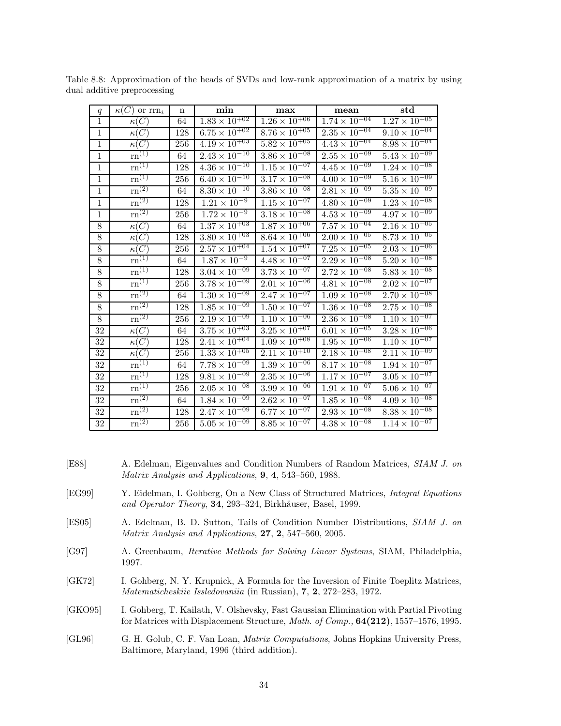| q               | $\kappa(C)$ or $\text{rrn}_i$  | $\mathbf n$ | $\min$                            | max                               | $_{\rm mean}$                     | $_{std}$                        |
|-----------------|--------------------------------|-------------|-----------------------------------|-----------------------------------|-----------------------------------|---------------------------------|
| $\mathbf{1}$    | $\kappa(C)$                    | 64          | $1.83 \times 10^{+02}$            | $1.26 \times 10^{+06}$            | $1.74 \times 10^{+04}$            | $1.27 \times 10^{+05}$          |
| $\mathbf{1}$    | $\kappa(C)$                    | 128         | $6.75 \times 10^{+02}$            | $8.\overline{76 \times 10^{+05}}$ | $2.35 \times 10^{+04}$            | $9.10 \times 10^{+04}$          |
| $\,1$           | $\kappa(C)$                    | 256         | $4.19 \times 10^{+03}$            | $5.82 \times 10^{+05}$            | $4.43 \times 10^{+04}$            | $8.98 \times 10^{+04}$          |
| $\,1\,$         | $\mathrm{rn}^{(1)}$            | 64          | $2.43\times\overline{10^{-10}}$   | $3.86 \times 10^{-08}$            | $2.55 \times 10^{-09}$            | $5.43 \times 10^{-09}$          |
| $\mathbf{1}$    | $\mathrm{rn}^{(1)}$            | 128         | $4.36 \times 10^{-10}$            | $1.15 \times 10^{-07}$            | $4.45 \times 10^{-09}$            | $1.24 \times 10^{-08}$          |
| $\,1$           | $\mathrm{rn}^{(1)}$            | 256         | $6.40 \times \overline{10^{-10}}$ | $3.17 \times 10^{-08}$            | $4.00 \times \overline{10^{-09}}$ | $5.16\times\overline{10^{-09}}$ |
| $\,1$           | $\overline{\mathrm{rn}^{(2)}}$ | 64          | $8.30 \times 10^{-10}$            | $3.86 \times 10^{-\overline{08}}$ | $2.81 \times 10^{-09}$            | $5.35\times\overline{10^{-09}}$ |
| $\mathbf{1}$    | $\rm{rn}^{(2)}$                | 128         | $1.21 \times \overline{10^{-9}}$  | $1.15 \times 10^{-07}$            | $4.80 \times 10^{-09}$            | $1.23 \times 10^{-08}$          |
| $\mathbf{1}$    | $\overline{\mathrm{rn}^{(2)}}$ | 256         | $1.72 \times 10^{-9}$             | $3.18\times10^{-08}$              | $4.53\times10^{-09}$              | $4.97\times10^{-09}$            |
| $\overline{8}$  | $\overline{\kappa(C)}$         | 64          | $1.37 \times 10^{+03}$            | $1.87 \times 10^{+06}$            | $7.\overline{57} \times 10^{+04}$ | $2.16 \times 10^{+05}$          |
| 8               | $\kappa(C)$                    | 128         | $3.80 \times 10^{+03}$            | $8.64 \times 10^{+06}$            | $2.00 \times 10^{+05}$            | $8.73 \times 10^{+05}$          |
| $8\,$           | $\kappa(C)$                    | 256         | $2.57\times\overline{10^{+04}}$   | $1.54\times\overline{10^{+07}}$   | $7.\overline{25 \times 10^{+05}}$ | $2.03 \times 10^{+06}$          |
| $8\,$           | $rn^{(1)}$                     | 64          | $1.87 \times 10^{-9}$             | $4.48 \times 10^{-07}$            | $2.29 \times 10^{-08}$            | $5.20\times\overline{10^{-08}}$ |
| $8\,$           | $\overline{\mathrm{rn}}^{(1)}$ | 128         | $3.04 \times 10^{-09}$            | $3.73 \times 10^{-07}$            | $2.72 \times 10^{-08}$            | $5.83 \times 10^{-08}$          |
| $8\,$           | $\overline{\mathrm{rn}^{(1)}}$ | 256         | $3.78\times\overline{10^{-09}}$   | $2.01 \times 10^{-06}$            | $4.81 \times 10^{-08}$            | $2.02\times10^{-07}$            |
| $8\,$           | $\overline{\mathrm{rn}}^{(2)}$ | 64          | $1.30 \times 10^{-09}$            | $2.47 \times 10^{-07}$            | $1.\overline{09 \times 10^{-08}}$ | $2.70 \times 10^{-08}$          |
| $8\,$           | $\overline{\text{rn}^{(2)}}$   | 128         | $1.85 \times 10^{-09}$            | $1.\overline{50 \times 10^{-07}}$ | $1.\overline{36 \times 10^{-08}}$ | $2.75 \times 10^{-08}$          |
| $8\,$           | $\overline{\text{rn}^{(2)}}$   | 256         | $2.19\times10^{-09}$              | $1.10 \times 10^{-06}$            | $2.36 \times 10^{-08}$            | $1.10 \times 10^{-07}$          |
| $\overline{32}$ | $\kappa(C)$                    | 64          | $3.75 \times 10^{+03}$            | $3.\overline{25 \times 10^{+07}}$ | $6.01 \times 10^{+05}$            | $3.28 \times 10^{+06}$          |
| $32\,$          | $\kappa(C)$                    | 128         | $2.4\overline{1\times10^{+04}}$   | $1.09 \times 10^{+08}$            | $1.95 \times 10^{+06}$            | $1.10 \times 10^{+07}$          |
| 32              | $\kappa(C)$                    | 256         | $1.33 \times 10^{+05}$            | $2.11 \times 10^{+10}$            | $2.18 \times 10^{+08}$            | $2.11 \times 10^{+09}$          |
| 32              | $rn^{(1)}$                     | 64          | $7.78 \times 10^{-09}$            | $1.39 \times 10^{-06}$            | $8.17 \times 10^{-08}$            | $1.94 \times 10^{-07}$          |
| 32              | $\overline{\mathrm{rn}}^{(1)}$ | 128         | $9.81 \times 10^{-09}$            | $2.35 \times 10^{-06}$            | $1.17 \times 10^{-07}$            | $3.05 \times 10^{-07}$          |
| 32              | $\overline{\mathrm{rn}}^{(1)}$ | 256         | $2.05 \times 10^{-08}$            | $3.99 \times 10^{-06}$            | $1.91\times10^{-07}$              | $5.06\times\overline{10^{-07}}$ |
| 32              | $\mathrm{rn}^{\left(2\right)}$ | 64          | $1.84 \times 10^{-09}$            | $2.62 \times 10^{-07}$            | $1.85 \times 10^{-08}$            | $4.09\times\overline{10^{-08}}$ |
| 32              | $\rm{rn}^{(2)}$                | 128         | $2.47 \times 10^{-09}$            | $6.77 \times 10^{-07}$            | $2.93 \times 10^{-08}$            | $8.38\times10^{-08}$            |
| 32              | $\mathrm{rn}^{(2)}$            | 256         | $5.05 \times 10^{-09}$            | $8.85 \times 10^{-07}$            | $4.38 \times 10^{-08}$            | $1.14 \times 10^{-07}$          |

Table 8.8: Approximation of the heads of SVDs and low-rank approximation of a matrix by using dual additive preprocessing

- [E88] A. Edelman, Eigenvalues and Condition Numbers of Random Matrices, *SIAM J. on Matrix Analysis and Applications*, **9**, **4**, 543–560, 1988.
- [EG99] Y. Eidelman, I. Gohberg, On a New Class of Structured Matrices, *Integral Equations and Operator Theory*, **34**, 293–324, Birkhäuser, Basel, 1999.
- [ES05] A. Edelman, B. D. Sutton, Tails of Condition Number Distributions, *SIAM J. on Matrix Analysis and Applications*, **27**, **2**, 547–560, 2005.
- [G97] A. Greenbaum, *Iterative Methods for Solving Linear Systems*, SIAM, Philadelphia, 1997.
- [GK72] I. Gohberg, N. Y. Krupnick, A Formula for the Inversion of Finite Toeplitz Matrices, *Matematicheskiie Issledovaniia* (in Russian), **7**, **2**, 272–283, 1972.
- [GKO95] I. Gohberg, T. Kailath, V. Olshevsky, Fast Gaussian Elimination with Partial Pivoting for Matrices with Displacement Structure, *Math. of Comp.,* **64(212)**, 1557–1576, 1995.
- [GL96] G. H. Golub, C. F. Van Loan, *Matrix Computations*, Johns Hopkins University Press, Baltimore, Maryland, 1996 (third addition).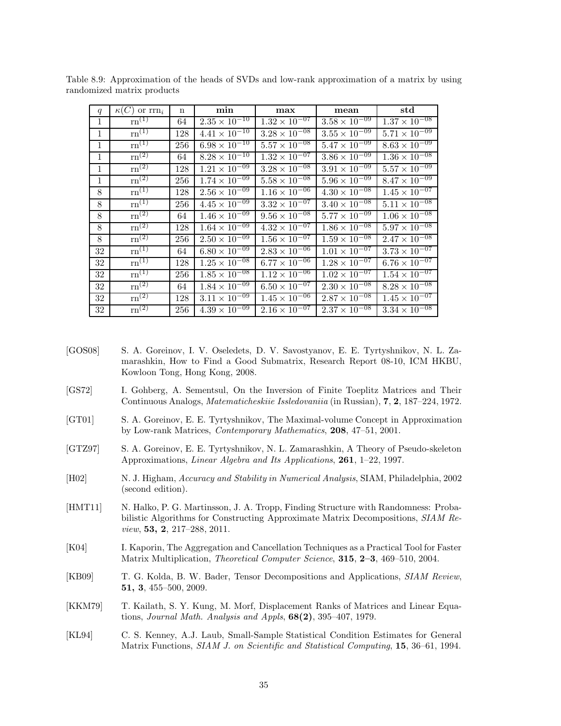| q            | $\kappa(C)$ or $\text{rrn}_i$             | $\mathbf n$ | min                    | max                               | mean                   | $_{std}$                          |
|--------------|-------------------------------------------|-------------|------------------------|-----------------------------------|------------------------|-----------------------------------|
| 1            | $\mathrm{rn}^{(1)}$                       | 64          | $2.35 \times 10^{-10}$ | $1.32 \times 10^{-07}$            | $3.58 \times 10^{-09}$ | $1.37 \times 10^{-08}$            |
| $\mathbf{1}$ | $rn^{(1)}$                                | 128         | $4.41 \times 10^{-10}$ | $3.28 \times 10^{-08}$            | $3.55 \times 10^{-09}$ | $5.71 \times 10^{-09}$            |
| $\mathbf{1}$ | $\overline{\mathrm{rn}}^{(1)}$            | 256         | $6.98 \times 10^{-10}$ | $5.57 \times 10^{-08}$            | $5.47 \times 10^{-09}$ | $8.63 \times 10^{-09}$            |
| 1            | $\overline{\text{rn}^{(2)}}$              | 64          | $8.28 \times 10^{-10}$ | $1.32 \times 10^{-07}$            | $3.86 \times 10^{-09}$ | $1.36 \times 10^{-08}$            |
| 1            | $\overline{\mathrm{rn}}^{(2)}$            | 128         | $1.21 \times 10^{-09}$ | $3.28 \times 10^{-08}$            | $3.91 \times 10^{-09}$ | $5.57 \times 10^{-09}$            |
| 1            | $\overline{\mathrm{rn}^{(2)}}$            | 256         | $1.74 \times 10^{-09}$ | $5.58 \times 10^{-\overline{08}}$ | $5.96 \times 10^{-09}$ | $8.47 \times 10^{-09}$            |
| 8            | $\overline{\mathrm{rn}^{(1)}}$            | 128         | $2.56 \times 10^{-09}$ | $1.16 \times 10^{-\overline{06}}$ | $4.30 \times 10^{-08}$ | $1.45 \times 10^{-07}$            |
| 8            | $\mathrm{rn}^{(1)}$                       | 256         | $4.45 \times 10^{-09}$ | $3.32 \times 10^{-07}$            | $3.40 \times 10^{-08}$ | $5.11 \times 10^{-08}$            |
| 8            | $\mathrm{rn}^{(2)}$                       | 64          | $1.46 \times 10^{-09}$ | $9.56 \times 10^{-08}$            | $5.77 \times 10^{-09}$ | $1.06 \times \overline{10^{-08}}$ |
| 8            | $\rm{rn}^{(2)}$                           | 128         | $1.64 \times 10^{-09}$ | $4.32 \times 10^{-07}$            | $1.86 \times 10^{-08}$ | $5.97 \times 10^{-08}$            |
| 8            | $rm^{(2)}$                                | 256         | $2.50 \times 10^{-09}$ | $1.56 \times 10^{-\overline{07}}$ | $1.59 \times 10^{-08}$ | $2.47 \times 10^{-08}$            |
| 32           | $\mathrm{rn}^{(1)}$                       | 64          | $6.80 \times 10^{-09}$ | $2.83 \times 10^{-06}$            | $1.01 \times 10^{-07}$ | $3.73 \times 10^{-07}$            |
| 32           | $\mathrm{rn}^{(1)}$                       | 128         | $1.25 \times 10^{-08}$ | $6.77 \times 10^{-06}$            | $1.28 \times 10^{-07}$ | $6.76 \times 10^{-07}$            |
| 32           | $\mathrm{rn}^{(1)}$                       | 256         | $1.85 \times 10^{-08}$ | $1.12 \times 10^{-06}$            | $1.02 \times 10^{-07}$ | $1.54 \times 10^{-07}$            |
| 32           | $rm^{(2)}$                                | 64          | $1.84 \times 10^{-09}$ | $6.50 \times 10^{-\overline{07}}$ | $2.30 \times 10^{-08}$ | $8.28 \times 10^{-08}$            |
| 32           | $\mathrm{rn}^{\left(2\right)}$            | 128         | $3.11 \times 10^{-09}$ | $1.45 \times 10^{-06}$            | $2.87 \times 10^{-08}$ | $1.45 \times 10^{-07}$            |
| 32           | $\overline{\mathrm{rn}}^{\left(2\right)}$ | 256         | $4.39 \times 10^{-09}$ | $2.16 \times 10^{-07}$            | $2.37 \times 10^{-08}$ | $3.34 \times 10^{-08}$            |

Table 8.9: Approximation of the heads of SVDs and low-rank approximation of a matrix by using randomized matrix products

- [GOS08] S. A. Goreinov, I. V. Oseledets, D. V. Savostyanov, E. E. Tyrtyshnikov, N. L. Zamarashkin, How to Find a Good Submatrix, Research Report 08-10, ICM HKBU, Kowloon Tong, Hong Kong, 2008.
- [GS72] I. Gohberg, A. Sementsul, On the Inversion of Finite Toeplitz Matrices and Their Continuous Analogs, *Matematicheskiie Issledovaniia* (in Russian), **7**, **2**, 187–224, 1972.
- [GT01] S. A. Goreinov, E. E. Tyrtyshnikov, The Maximal-volume Concept in Approximation by Low-rank Matrices, *Contemporary Mathematics*, **208**, 47–51, 2001.
- [GTZ97] S. A. Goreinov, E. E. Tyrtyshnikov, N. L. Zamarashkin, A Theory of Pseudo-skeleton Approximations, *Linear Algebra and Its Applications*, **261**, 1–22, 1997.
- [H02] N. J. Higham, *Accuracy and Stability in Numerical Analysis*, SIAM, Philadelphia, 2002 (second edition).
- [HMT11] N. Halko, P. G. Martinsson, J. A. Tropp, Finding Structure with Randomness: Probabilistic Algorithms for Constructing Approximate Matrix Decompositions, *SIAM Review*, **53, 2**, 217–288, 2011.
- [K04] I. Kaporin, The Aggregation and Cancellation Techniques as a Practical Tool for Faster Matrix Multiplication, *Theoretical Computer Science*, **315**, **2–3**, 469–510, 2004.
- [KB09] T. G. Kolda, B. W. Bader, Tensor Decompositions and Applications, *SIAM Review*, **51, 3**, 455–500, 2009.
- [KKM79] T. Kailath, S. Y. Kung, M. Morf, Displacement Ranks of Matrices and Linear Equations, *Journal Math. Analysis and Appls*, **68(2)**, 395–407, 1979.
- [KL94] C. S. Kenney, A.J. Laub, Small-Sample Statistical Condition Estimates for General Matrix Functions, *SIAM J. on Scientific and Statistical Computing*, **15**, 36–61, 1994.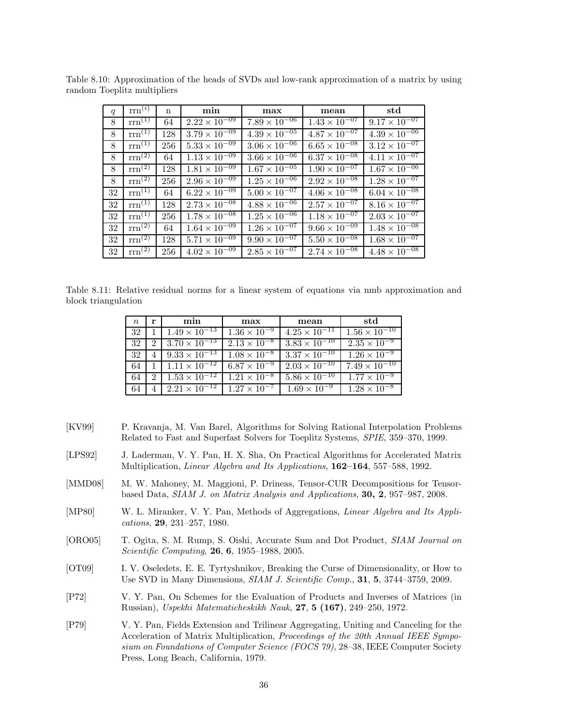| q  | $\text{rrn}^{(i)}$            | $\mathbf n$ | min                               | max                    | mean                   | std                    |
|----|-------------------------------|-------------|-----------------------------------|------------------------|------------------------|------------------------|
| 8  | $rm^{(1)}$                    | 64          | $2.22 \times 10^{-09}$            | $7.89 \times 10^{-06}$ | $1.43 \times 10^{-07}$ | $9.17 \times 10^{-07}$ |
| 8  | $rm^{(1)}$                    | 128         | $3.79 \times 10^{-09}$            | $4.39 \times 10^{-05}$ | $4.87 \times 10^{-07}$ | $4.39 \times 10^{-06}$ |
| 8  | $rm^{(1)}$                    | 256         | $5.33 \times 10^{-09}$            | $3.06 \times 10^{-06}$ | $6.65 \times 10^{-08}$ | $3.12 \times 10^{-07}$ |
| 8  | $rm^{(2)}$                    | 64          | $1.13 \times 10^{-09}$            | $3.66 \times 10^{-06}$ | $6.37 \times 10^{-08}$ | $4.11 \times 10^{-07}$ |
| 8  | $rm^{(2)}$                    | 128         | $1.81 \times 10^{-\overline{09}}$ | $1.67 \times 10^{-05}$ | $1.90 \times 10^{-07}$ | $1.67 \times 10^{-06}$ |
| 8  | $\overline{\text{rrn}^{(2)}}$ | 256         | $2.96 \times 10^{-09}$            | $1.25 \times 10^{-06}$ | $2.92 \times 10^{-08}$ | $1.28 \times 10^{-07}$ |
| 32 | $rm^{(1)}$                    | 64          | $6.22 \times 10^{-09}$            | $5.00 \times 10^{-07}$ | $4.06 \times 10^{-08}$ | $6.04 \times 10^{-08}$ |
| 32 | $rm^{(1)}$                    | 128         | $2.73 \times 10^{-\overline{08}}$ | $4.88 \times 10^{-06}$ | $2.57 \times 10^{-07}$ | $8.16 \times 10^{-07}$ |
| 32 | $rm^{(1)}$                    | 256         | $1.78 \times 10^{-08}$            | $1.25 \times 10^{-06}$ | $1.18 \times 10^{-07}$ | $2.03 \times 10^{-07}$ |
| 32 | $rm^{(2)}$                    | 64          | $1.64 \times 10^{-09}$            | $1.26 \times 10^{-07}$ | $9.66 \times 10^{-09}$ | $1.48 \times 10^{-08}$ |
| 32 | $rm^{(2)}$                    | 128         | $5.71 \times 10^{-\overline{09}}$ | $9.90 \times 10^{-07}$ | $5.50 \times 10^{-08}$ | $1.68 \times 10^{-07}$ |
| 32 | $rm^{(2)}$                    | 256         | $4.02 \times 10^{-09}$            | $2.85 \times 10^{-07}$ | $2.74 \times 10^{-08}$ | $4.48 \times 10^{-08}$ |

Table 8.10: Approximation of the heads of SVDs and low-rank approximation of a matrix by using random Toeplitz multipliers

Table 8.11: Relative residual norms for a linear system of equations via nmb approximation and block triangulation

| $n_{\rm c}$ | r                           | min                    | max                   | mean                   | std                                                 |
|-------------|-----------------------------|------------------------|-----------------------|------------------------|-----------------------------------------------------|
| 32          |                             | $1.49 \times 10^{-13}$ | $1.36 \times 10^{-9}$ | $4.25 \times 10^{-11}$ | $\frac{1.56 \times 10^{-10}}{1.56 \times 10^{-10}}$ |
| 32          | $\mathcal{D}_{\mathcal{A}}$ | $3.70 \times 10^{-13}$ | $2.13 \times 10^{-8}$ | $3.83 \times 10^{-10}$ | $2.35 \times 10^{-9}$                               |
| 32          |                             | $9.33 \times 10^{-13}$ | $1.08 \times 10^{-8}$ | $3.37 \times 10^{-10}$ | $1.26 \times 10^{-9}$                               |
| 64          |                             | $1.11 \times 10^{-12}$ | $6.87 \times 10^{-9}$ | $2.03 \times 10^{-10}$ | $7.49 \times 10^{-10}$                              |
| 64          | 2                           | $1.53 \times 10^{-12}$ | $1.21 \times 10^{-8}$ | $5.86 \times 10^{-10}$ | $1.77 \times 10^{-9}$                               |
| 64          |                             | $2.21 \times 10^{-12}$ | $1.27 \times 10^{-7}$ | $1.69 \times 10^{-9}$  | $1.28 \times 10^{-8}$                               |

- [KV99] P. Kravanja, M. Van Barel, Algorithms for Solving Rational Interpolation Problems Related to Fast and Superfast Solvers for Toeplitz Systems, *SPIE*, 359–370, 1999.
- [LPS92] J. Laderman, V. Y. Pan, H. X. Sha, On Practical Algorithms for Accelerated Matrix Multiplication, *Linear Algebra and Its Applications*, **162–164**, 557–588, 1992.
- [MMD08] M. W. Mahoney, M. Maggioni, P. Drineas, Tensor-CUR Decompositions for Tensorbased Data, *SIAM J. on Matrix Analysis and Applications*, **30, 2**, 957–987, 2008.
- [MP80] W. L. Miranker, V. Y. Pan, Methods of Aggregations, *Linear Algebra and Its Applications*, **29**, 231–257, 1980.
- [ORO05] T. Ogita, S. M. Rump, S. Oishi, Accurate Sum and Dot Product, *SIAM Journal on Scientific Computing*, **26**, **6**, 1955–1988, 2005.
- [OT09] I. V. Oseledets, E. E. Tyrtyshnikov, Breaking the Curse of Dimensionality, or How to Use SVD in Many Dimensions, *SIAM J. Scientific Comp.*, **31**, **5**, 3744–3759, 2009.
- [P72] V. Y. Pan, On Schemes for the Evaluation of Products and Inverses of Matrices (in Russian), *Uspekhi Matematicheskikh Nauk*, **27**, **5 (167)**, 249–250, 1972.
- [P79] V. Y. Pan, Fields Extension and Trilinear Aggregating, Uniting and Canceling for the Acceleration of Matrix Multiplication, *Proceedings of the 20th Annual IEEE Symposium on Foundations of Computer Science (FOCS 79)*, 28–38, IEEE Computer Society Press, Long Beach, California, 1979.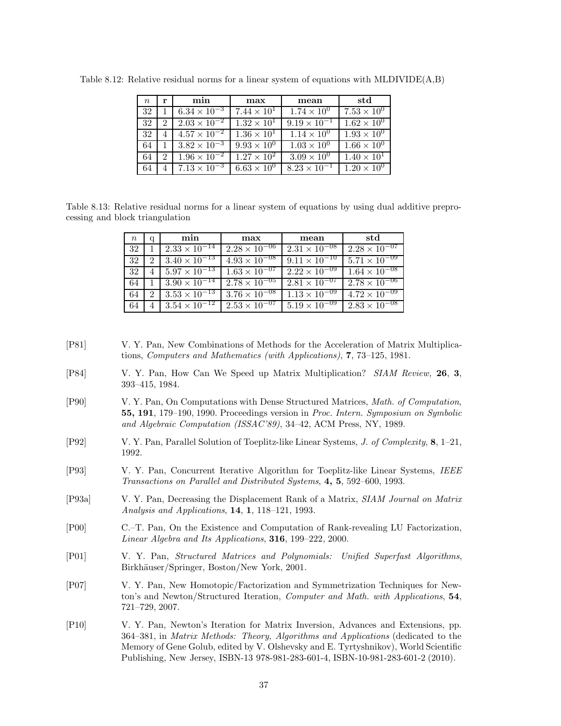| $n_{\rm c}$ | r                           | min                          | max                  | mean                          | std                  |
|-------------|-----------------------------|------------------------------|----------------------|-------------------------------|----------------------|
| 32          |                             | $6.34 \times 10^{-3}$        | $7.44 \times 10^{1}$ | $1.74 \times 10^{0}$          | $7.53 \times 10^{0}$ |
| 32          | $\mathcal{D}_{\mathcal{L}}$ | $2.03 \times 10^{-2}$        | $1.32 \times 10^{1}$ | $9.19 \times 10^{-1}$         | $1.62 \times 10^{0}$ |
| 32          | 4                           | $4.57 \times 10^{-2}$        | $1.36 \times 10^{1}$ | $1.14 \times 10^{0}$          | $1.93 \times 10^{0}$ |
| 64          |                             | $3.82 \times 10^{-3}$        | $9.93 \times 10^{0}$ | $\overline{1.03 \times 10^0}$ | $1.66 \times 10^{0}$ |
| 64          | 2                           | $1.96 \times 10^{-2}$        | $1.27 \times 10^{2}$ | $3.09 \times 10^{0}$          | $1.40 \times 10^{1}$ |
| 64          |                             | $\sqrt{7.13 \times 10^{-3}}$ | $6.63 \times 10^{0}$ | $8.23 \times 10^{-1}$         | $1.20 \times 10^{0}$ |

Table 8.12: Relative residual norms for a linear system of equations with MLDIVIDE(A,B)

Table 8.13: Relative residual norms for a linear system of equations by using dual additive preprocessing and block triangulation

| $\, n$ | q | min                    | max                    | mean                   | std                    |
|--------|---|------------------------|------------------------|------------------------|------------------------|
| 32     |   | $2.33 \times 10^{-14}$ | $2.28 \times 10^{-06}$ | $2.31 \times 10^{-08}$ | $2.28 \times 10^{-07}$ |
| 32     | 2 | $3.40 \times 10^{-13}$ | $4.93 \times 10^{-08}$ | $9.11 \times 10^{-10}$ | $5.71 \times 10^{-09}$ |
| 32     |   | $5.97 \times 10^{-13}$ | $1.63 \times 10^{-07}$ | $2.22 \times 10^{-09}$ | $1.64 \times 10^{-08}$ |
| 64     |   | $3.90 \times 10^{-14}$ | $2.78 \times 10^{-05}$ | $2.81 \times 10^{-07}$ | $2.78 \times 10^{-06}$ |
| 64     | 2 | $3.53 \times 10^{-13}$ | $3.76 \times 10^{-08}$ | $1.13 \times 10^{-09}$ | $4.72 \times 10^{-09}$ |
| 64     | 4 | $3.54 \times 10^{-12}$ | $2.53 \times 10^{-07}$ | $5.19 \times 10^{-09}$ | $2.83 \times 10^{-08}$ |

- [P81] V. Y. Pan, New Combinations of Methods for the Acceleration of Matrix Multiplications, *Computers and Mathematics (with Applications)*, **7**, 73–125, 1981.
- [P84] V. Y. Pan, How Can We Speed up Matrix Multiplication? *SIAM Review,* **26**, **3**, 393–415, 1984.
- [P90] V. Y. Pan, On Computations with Dense Structured Matrices, *Math. of Computation*, **55, 191**, 179–190, 1990. Proceedings version in *Proc. Intern. Symposium on Symbolic and Algebraic Computation (ISSAC'89)*, 34–42, ACM Press, NY, 1989.
- [P92] V. Y. Pan, Parallel Solution of Toeplitz-like Linear Systems, *J. of Complexity*, **8**, 1–21, 1992.
- [P93] V. Y. Pan, Concurrent Iterative Algorithm for Toeplitz-like Linear Systems, *IEEE Transactions on Parallel and Distributed Systems*, **4, 5**, 592–600, 1993.
- [P93a] V. Y. Pan, Decreasing the Displacement Rank of a Matrix, *SIAM Journal on Matrix Analysis and Applications*, **14**, **1**, 118–121, 1993.
- [P00] C.–T. Pan, On the Existence and Computation of Rank-revealing LU Factorization, *Linear Algebra and Its Applications*, **316**, 199–222, 2000.
- [P01] V. Y. Pan, *Structured Matrices and Polynomials: Unified Superfast Algorithms*, Birkhäuser/Springer, Boston/New York, 2001.
- [P07] V. Y. Pan, New Homotopic/Factorization and Symmetrization Techniques for Newton's and Newton/Structured Iteration, *Computer and Math. with Applications*, **54**, 721–729, 2007.
- [P10] V. Y. Pan, Newton's Iteration for Matrix Inversion, Advances and Extensions, pp. 364–381, in *Matrix Methods: Theory, Algorithms and Applications* (dedicated to the Memory of Gene Golub, edited by V. Olshevsky and E. Tyrtyshnikov), World Scientific Publishing, New Jersey, ISBN-13 978-981-283-601-4, ISBN-10-981-283-601-2 (2010).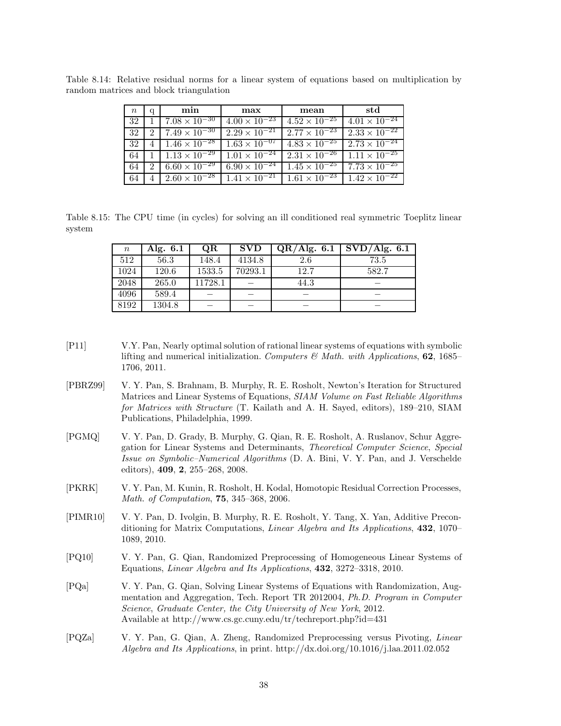| $n_{\rm c}$ | a             | min                                 | max                    | mean                   | std                                             |
|-------------|---------------|-------------------------------------|------------------------|------------------------|-------------------------------------------------|
| 32          |               | $7.08 \times 10^{-30}$              | $4.00 \times 10^{-23}$ | $4.52 \times 10^{-25}$ | $4.01 \times 10^{-24}$                          |
| 32          | $\mathcal{D}$ | $7.49 \times 10^{-30}$              | $2.29 \times 10^{-21}$ | $2.77 \times 10^{-23}$ | $2.33 \times 10^{-22}$                          |
| 32          |               | $4 \mid 1.46 \times 10^{-28}$       | $1.63 \times 10^{-07}$ | $4.83 \times 10^{-25}$ | $2.73 \times 10^{-24}$                          |
| 64          |               | $1 \cdot 1.13 \times 10^{-29}$      | $1.01 \times 10^{-24}$ |                        | $2.31 \times 10^{-26}$   $1.11 \times 10^{-25}$ |
| 64          |               | 2   6.60 $\times$ 10 <sup>-29</sup> | $6.90 \times 10^{-24}$ | $1.45 \times 10^{-25}$ | $7.73 \times 10^{-25}$                          |
| 64          |               | $2.60 \times 10^{-28}$              | $1.41 \times 10^{-21}$ |                        | $1.61 \times 10^{-23}$ $1.42 \times 10^{-22}$   |

Table 8.14: Relative residual norms for a linear system of equations based on multiplication by random matrices and block triangulation

Table 8.15: The CPU time (in cycles) for solving an ill conditioned real symmetric Toeplitz linear system

| $\, n$ | Alg. $6.1$ | <b>OR</b> | <b>SVD</b> | QR/Alg. 6.1 | SVD/Alg. 6.1 |
|--------|------------|-----------|------------|-------------|--------------|
| 512    | 56.3       | 148.4     | 4134.8     | 2.6         | 73.5         |
| 1024   | 120.6      | 1533.5    | 70293.1    | 12.7        | 582.7        |
| 2048   | 265.0      | 11728.1   |            | 44.3        |              |
| 4096   | 589.4      |           |            |             |              |
| 8192   | 1304.8     |           |            |             |              |

- [P11] V.Y. Pan, Nearly optimal solution of rational linear systems of equations with symbolic lifting and numerical initialization. *Computers & Math. with Applications*, **62**, 1685– 1706, 2011.
- [PBRZ99] V. Y. Pan, S. Brahnam, B. Murphy, R. E. Rosholt, Newton's Iteration for Structured Matrices and Linear Systems of Equations, *SIAM Volume on Fast Reliable Algorithms for Matrices with Structure* (T. Kailath and A. H. Sayed, editors), 189–210, SIAM Publications, Philadelphia, 1999.
- [PGMQ] V. Y. Pan, D. Grady, B. Murphy, G. Qian, R. E. Rosholt, A. Ruslanov, Schur Aggregation for Linear Systems and Determinants, *Theoretical Computer Science*, *Special Issue on Symbolic–Numerical Algorithms* (D. A. Bini, V. Y. Pan, and J. Verschelde editors), **409**, **2**, 255–268, 2008.
- [PKRK] V. Y. Pan, M. Kunin, R. Rosholt, H. Kodal, Homotopic Residual Correction Processes, *Math. of Computation*, **75**, 345–368, 2006.
- [PIMR10] V. Y. Pan, D. Ivolgin, B. Murphy, R. E. Rosholt, Y. Tang, X. Yan, Additive Preconditioning for Matrix Computations, *Linear Algebra and Its Applications*, **432**, 1070– 1089, 2010.
- [PQ10] V. Y. Pan, G. Qian, Randomized Preprocessing of Homogeneous Linear Systems of Equations, *Linear Algebra and Its Applications*, **432**, 3272–3318, 2010.
- [PQa] V. Y. Pan, G. Qian, Solving Linear Systems of Equations with Randomization, Augmentation and Aggregation, Tech. Report TR 2012004, *Ph.D. Program in Computer Science*, *Graduate Center, the City University of New York*, 2012. Available at http://www.cs.gc.cuny.edu/tr/techreport.php?id=431
- [PQZa] V. Y. Pan, G. Qian, A. Zheng, Randomized Preprocessing versus Pivoting, *Linear Algebra and Its Applications*, in print. http://dx.doi.org/10.1016/j.laa.2011.02.052